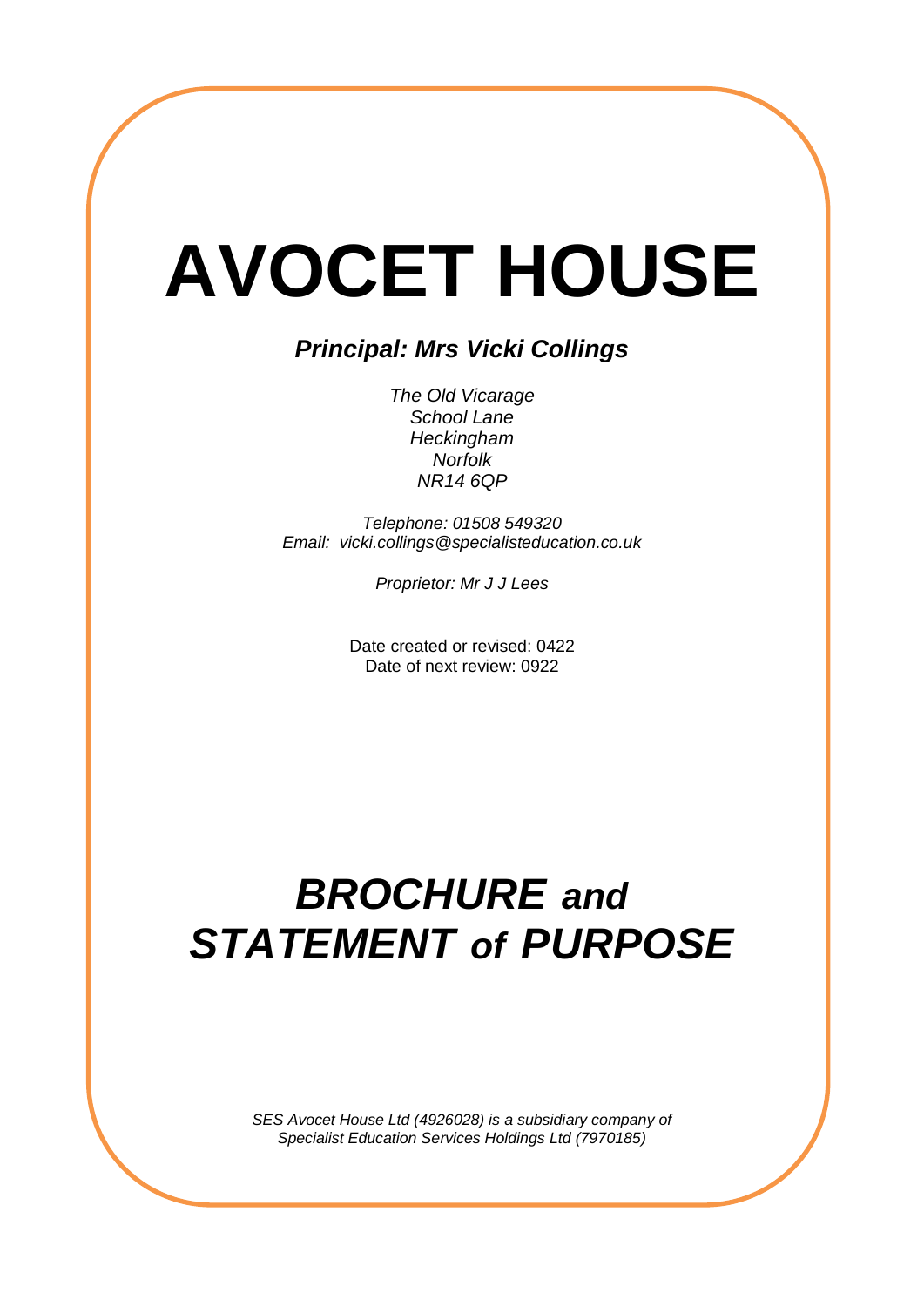# **AVOCET HOUSE**

# *Principal: Mrs Vicki Collings*

*The Old Vicarage School Lane Heckingham Norfolk NR14 6QP*

*Telephone: 01508 549320 Email: vicki.collings@specialisteducation.co.uk*

*Proprietor: Mr J J Lees*

Date created or revised: 0422 Date of next review: 0922

# *BROCHURE and STATEMENT of PURPOSE*

*SES Avocet House Ltd (4926028) is a subsidiary company of Specialist Education Services Holdings Ltd (7970185)*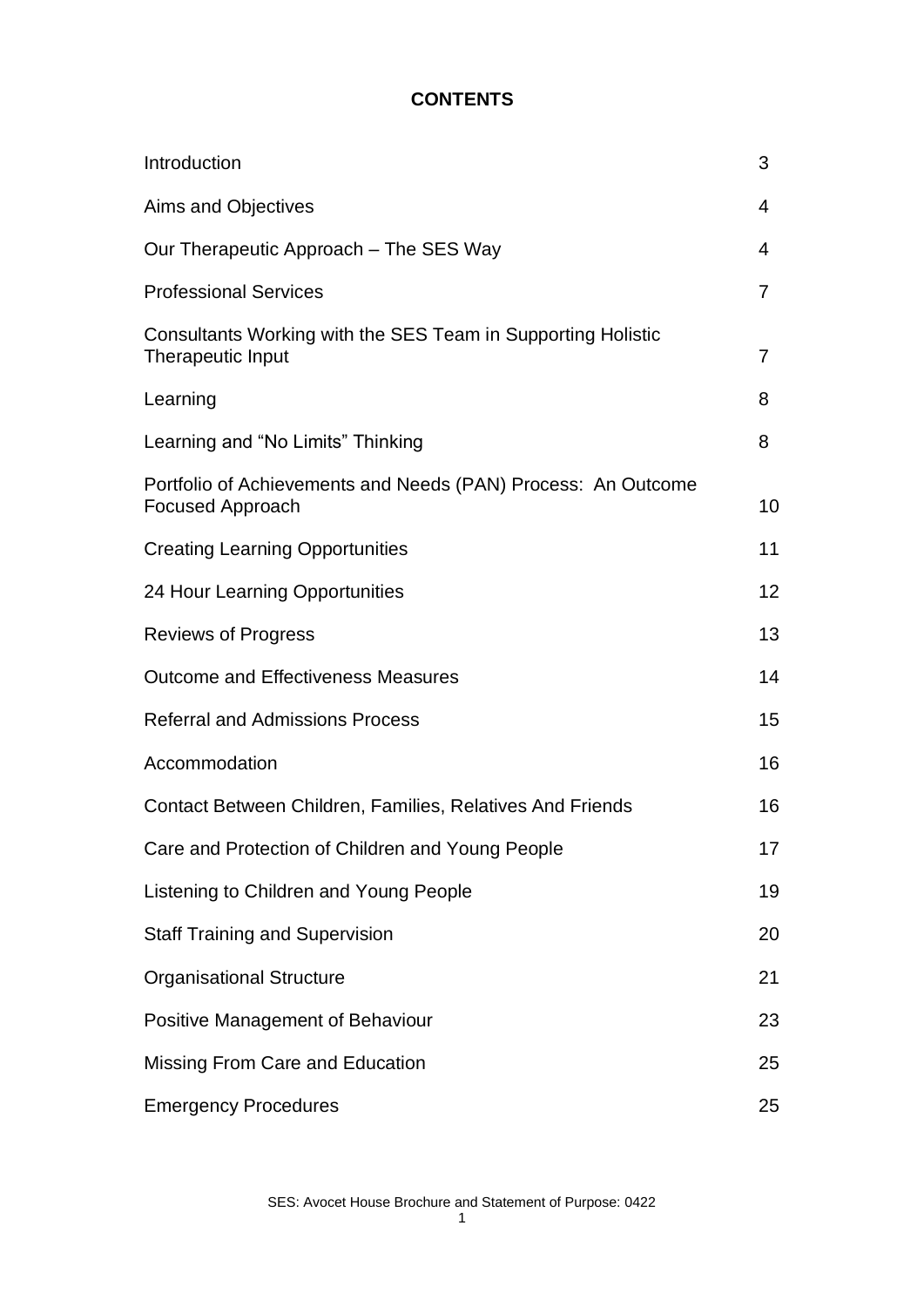#### **CONTENTS**

| Introduction                                                                             | 3              |
|------------------------------------------------------------------------------------------|----------------|
| Aims and Objectives                                                                      | 4              |
| Our Therapeutic Approach – The SES Way                                                   | 4              |
| <b>Professional Services</b>                                                             | 7              |
| Consultants Working with the SES Team in Supporting Holistic<br>Therapeutic Input        | $\overline{7}$ |
| Learning                                                                                 | 8              |
| Learning and "No Limits" Thinking                                                        | 8              |
| Portfolio of Achievements and Needs (PAN) Process: An Outcome<br><b>Focused Approach</b> | 10             |
| <b>Creating Learning Opportunities</b>                                                   | 11             |
| 24 Hour Learning Opportunities                                                           | 12             |
| <b>Reviews of Progress</b>                                                               | 13             |
| <b>Outcome and Effectiveness Measures</b>                                                | 14             |
| <b>Referral and Admissions Process</b>                                                   | 15             |
| Accommodation                                                                            | 16             |
| <b>Contact Between Children, Families, Relatives And Friends</b>                         | 16             |
| Care and Protection of Children and Young People                                         | 17             |
| Listening to Children and Young People                                                   | 19             |
| <b>Staff Training and Supervision</b>                                                    | 20             |
| <b>Organisational Structure</b>                                                          | 21             |
| Positive Management of Behaviour                                                         | 23             |
| Missing From Care and Education                                                          | 25             |
| <b>Emergency Procedures</b>                                                              | 25             |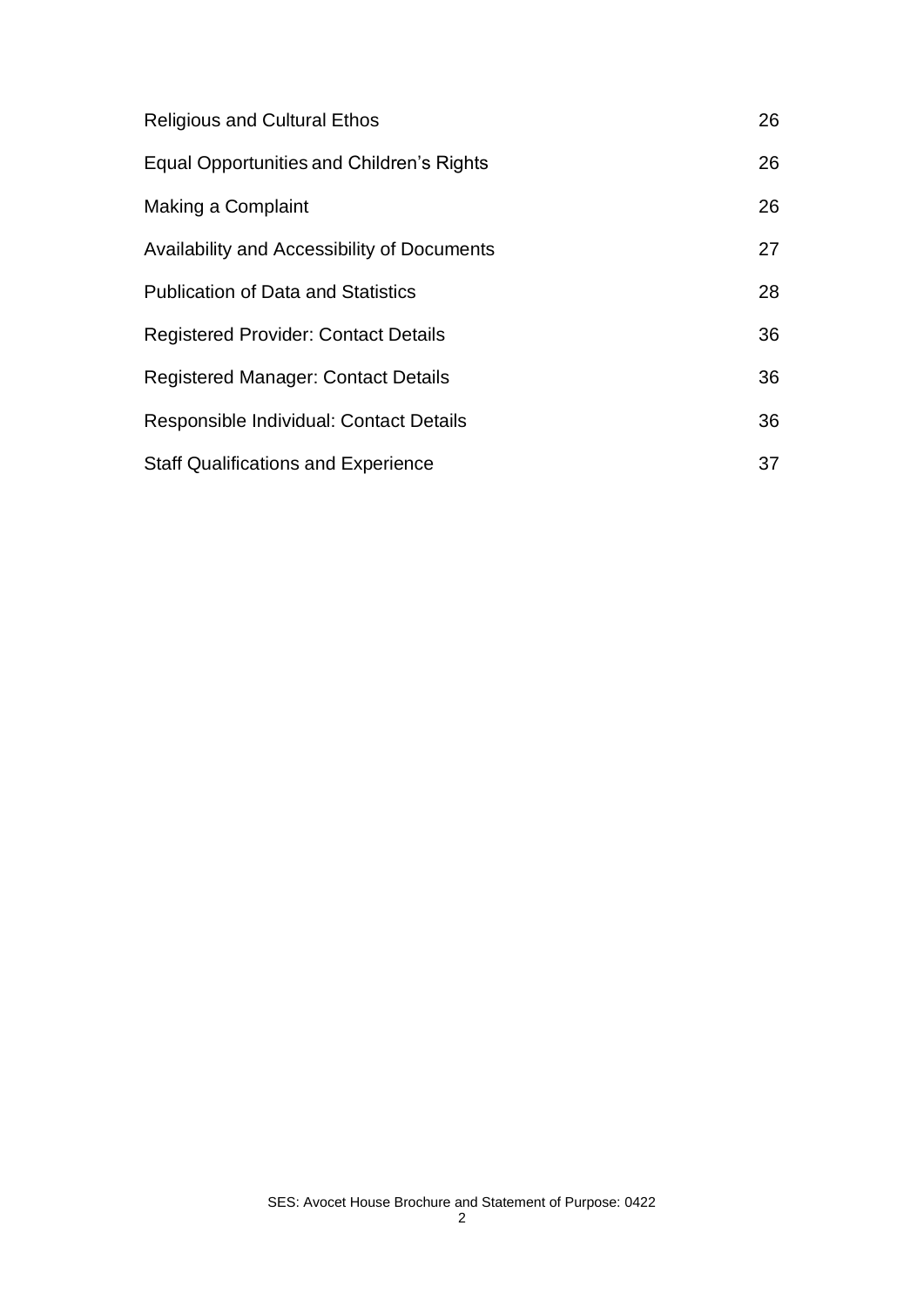| <b>Religious and Cultural Ethos</b>                | 26 |
|----------------------------------------------------|----|
| <b>Equal Opportunities and Children's Rights</b>   | 26 |
| Making a Complaint                                 | 26 |
| <b>Availability and Accessibility of Documents</b> | 27 |
| <b>Publication of Data and Statistics</b>          | 28 |
| <b>Registered Provider: Contact Details</b>        | 36 |
| <b>Registered Manager: Contact Details</b>         | 36 |
| Responsible Individual: Contact Details            | 36 |
| <b>Staff Qualifications and Experience</b>         | 37 |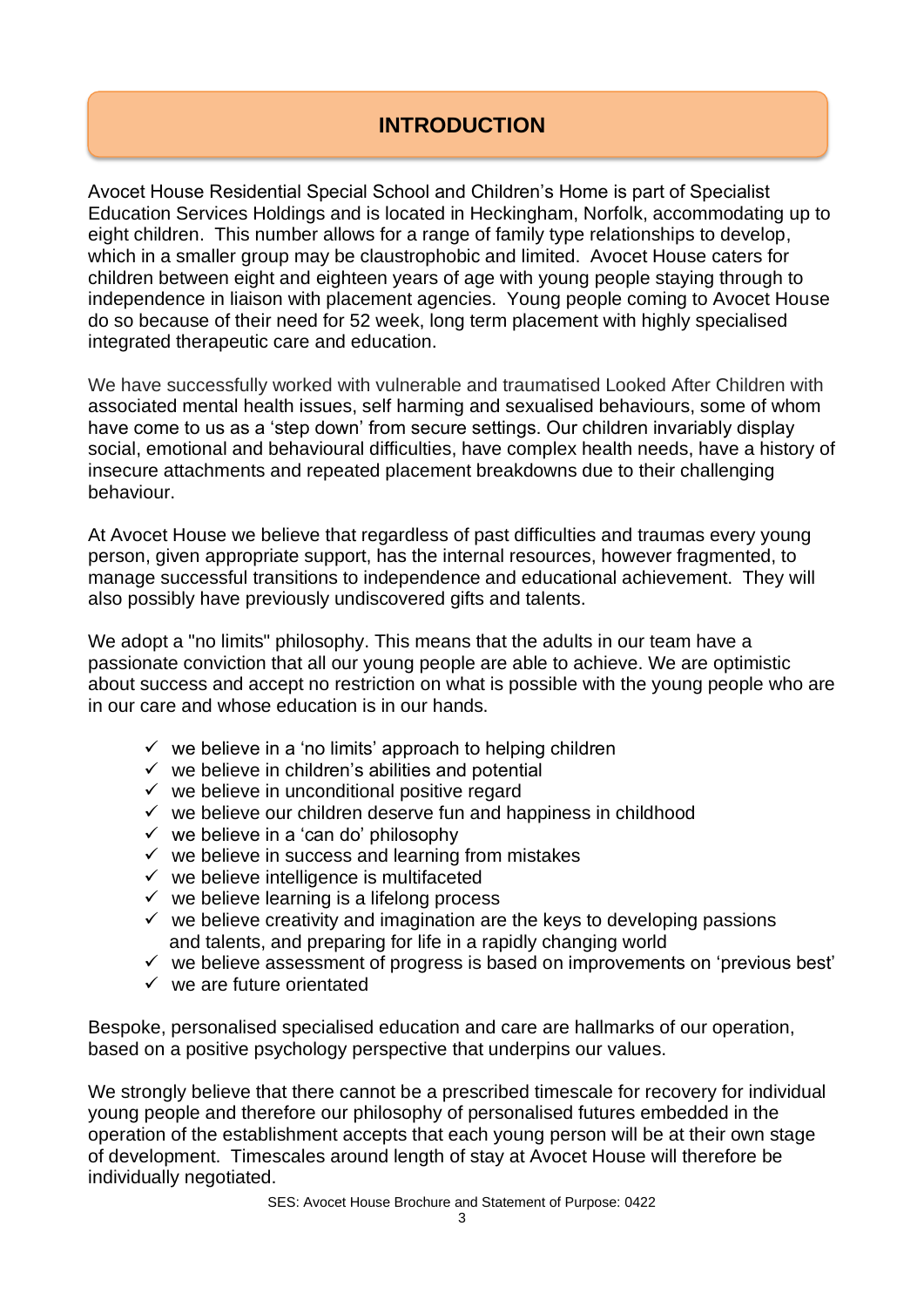# **INTRODUCTION**

Avocet House Residential Special School and Children's Home is part of Specialist Education Services Holdings and is located in Heckingham, Norfolk, accommodating up to eight children. This number allows for a range of family type relationships to develop, which in a smaller group may be claustrophobic and limited. Avocet House caters for children between eight and eighteen years of age with young people staying through to independence in liaison with placement agencies. Young people coming to Avocet House do so because of their need for 52 week, long term placement with highly specialised integrated therapeutic care and education.

We have successfully worked with vulnerable and traumatised Looked After Children with associated mental health issues, self harming and sexualised behaviours, some of whom have come to us as a 'step down' from secure settings. Our children invariably display social, emotional and behavioural difficulties, have complex health needs, have a history of insecure attachments and repeated placement breakdowns due to their challenging behaviour.

At Avocet House we believe that regardless of past difficulties and traumas every young person, given appropriate support, has the internal resources, however fragmented, to manage successful transitions to independence and educational achievement. They will also possibly have previously undiscovered gifts and talents.

We adopt a "no limits" philosophy. This means that the adults in our team have a passionate conviction that all our young people are able to achieve. We are optimistic about success and accept no restriction on what is possible with the young people who are in our care and whose education is in our hands.

- $\checkmark$  we believe in a 'no limits' approach to helping children
- $\checkmark$  we believe in children's abilities and potential
- $\checkmark$  we believe in unconditional positive regard
- $\checkmark$  we believe our children deserve fun and happiness in childhood
- $\checkmark$  we believe in a 'can do' philosophy
- $\checkmark$  we believe in success and learning from mistakes
- $\checkmark$  we believe intelligence is multifaceted
- $\checkmark$  we believe learning is a lifelong process
- $\checkmark$  we believe creativity and imagination are the keys to developing passions and talents, and preparing for life in a rapidly changing world
- $\checkmark$  we believe assessment of progress is based on improvements on 'previous best'
- $\checkmark$  we are future orientated

Bespoke, personalised specialised education and care are hallmarks of our operation, based on a positive psychology perspective that underpins our values.

We strongly believe that there cannot be a prescribed timescale for recovery for individual young people and therefore our philosophy of personalised futures embedded in the operation of the establishment accepts that each young person will be at their own stage of development. Timescales around length of stay at Avocet House will therefore be individually negotiated.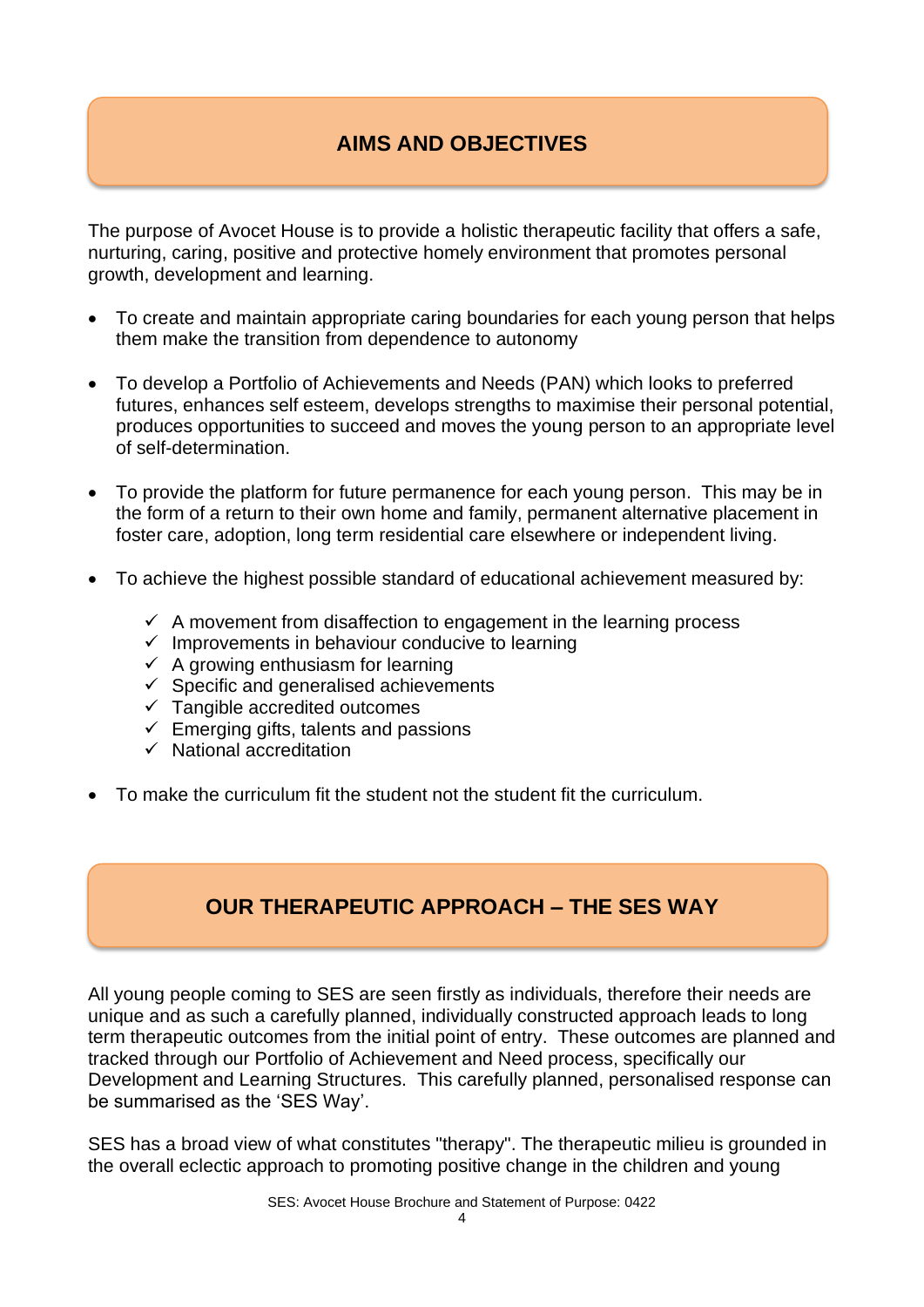# **AIMS AND OBJECTIVES**

The purpose of Avocet House is to provide a holistic therapeutic facility that offers a safe, nurturing, caring, positive and protective homely environment that promotes personal growth, development and learning.

- To create and maintain appropriate caring boundaries for each young person that helps them make the transition from dependence to autonomy
- To develop a Portfolio of Achievements and Needs (PAN) which looks to preferred futures, enhances self esteem, develops strengths to maximise their personal potential, produces opportunities to succeed and moves the young person to an appropriate level of self-determination.
- To provide the platform for future permanence for each young person. This may be in the form of a return to their own home and family, permanent alternative placement in foster care, adoption, long term residential care elsewhere or independent living.
- To achieve the highest possible standard of educational achievement measured by:
	- $\checkmark$  A movement from disaffection to engagement in the learning process
	- $\checkmark$  Improvements in behaviour conducive to learning
	- $\checkmark$  A growing enthusiasm for learning
	- $\checkmark$  Specific and generalised achievements
	- ✓ Tangible accredited outcomes
	- $\checkmark$  Emerging gifts, talents and passions
	- $\checkmark$  National accreditation
- To make the curriculum fit the student not the student fit the curriculum.

# **OUR THERAPEUTIC APPROACH – THE SES WAY**

All young people coming to SES are seen firstly as individuals, therefore their needs are unique and as such a carefully planned, individually constructed approach leads to long term therapeutic outcomes from the initial point of entry. These outcomes are planned and tracked through our Portfolio of Achievement and Need process, specifically our Development and Learning Structures. This carefully planned, personalised response can be summarised as the 'SES Way'.

SES has a broad view of what constitutes "therapy". The therapeutic milieu is grounded in the overall eclectic approach to promoting positive change in the children and young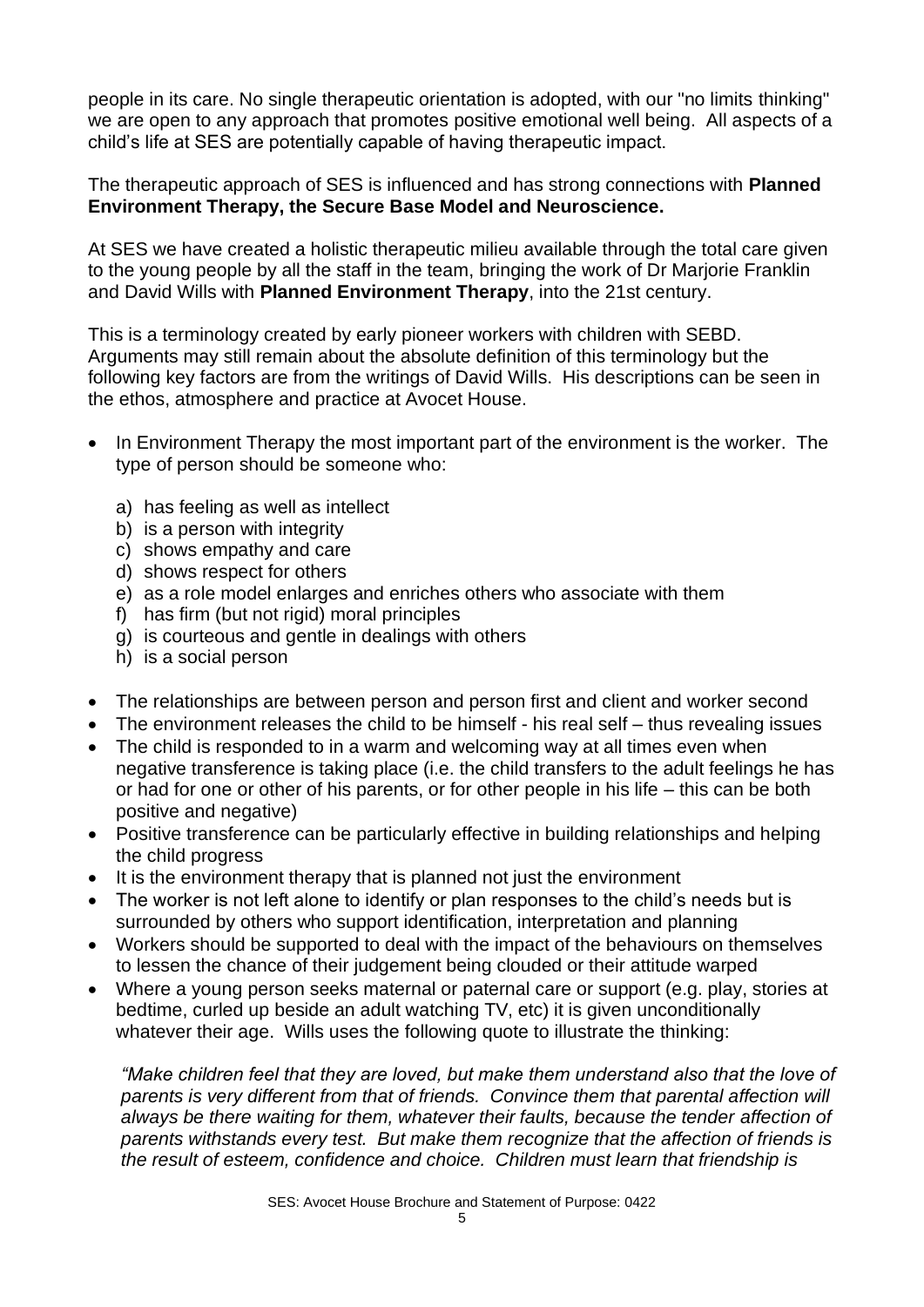people in its care. No single therapeutic orientation is adopted, with our "no limits thinking" we are open to any approach that promotes positive emotional well being. All aspects of a child's life at SES are potentially capable of having therapeutic impact.

The therapeutic approach of SES is influenced and has strong connections with **Planned Environment Therapy, the Secure Base Model and Neuroscience.**

At SES we have created a holistic therapeutic milieu available through the total care given to the young people by all the staff in the team, bringing the work of Dr Marjorie Franklin and David Wills with **Planned Environment Therapy**, into the 21st century.

This is a terminology created by early pioneer workers with children with SEBD. Arguments may still remain about the absolute definition of this terminology but the following key factors are from the writings of David Wills. His descriptions can be seen in the ethos, atmosphere and practice at Avocet House.

- In Environment Therapy the most important part of the environment is the worker. The type of person should be someone who:
	- a) has feeling as well as intellect
	- b) is a person with integrity
	- c) shows empathy and care
	- d) shows respect for others
	- e) as a role model enlarges and enriches others who associate with them
	- f) has firm (but not rigid) moral principles
	- g) is courteous and gentle in dealings with others
	- h) is a social person
- The relationships are between person and person first and client and worker second
- The environment releases the child to be himself his real self thus revealing issues
- The child is responded to in a warm and welcoming way at all times even when negative transference is taking place (i.e. the child transfers to the adult feelings he has or had for one or other of his parents, or for other people in his life – this can be both positive and negative)
- Positive transference can be particularly effective in building relationships and helping the child progress
- It is the environment therapy that is planned not just the environment
- The worker is not left alone to identify or plan responses to the child's needs but is surrounded by others who support identification, interpretation and planning
- Workers should be supported to deal with the impact of the behaviours on themselves to lessen the chance of their judgement being clouded or their attitude warped
- Where a young person seeks maternal or paternal care or support (e.g. play, stories at bedtime, curled up beside an adult watching TV, etc) it is given unconditionally whatever their age. Wills uses the following quote to illustrate the thinking:

*"Make children feel that they are loved, but make them understand also that the love of parents is very different from that of friends. Convince them that parental affection will always be there waiting for them, whatever their faults, because the tender affection of parents withstands every test. But make them recognize that the affection of friends is the result of esteem, confidence and choice. Children must learn that friendship is*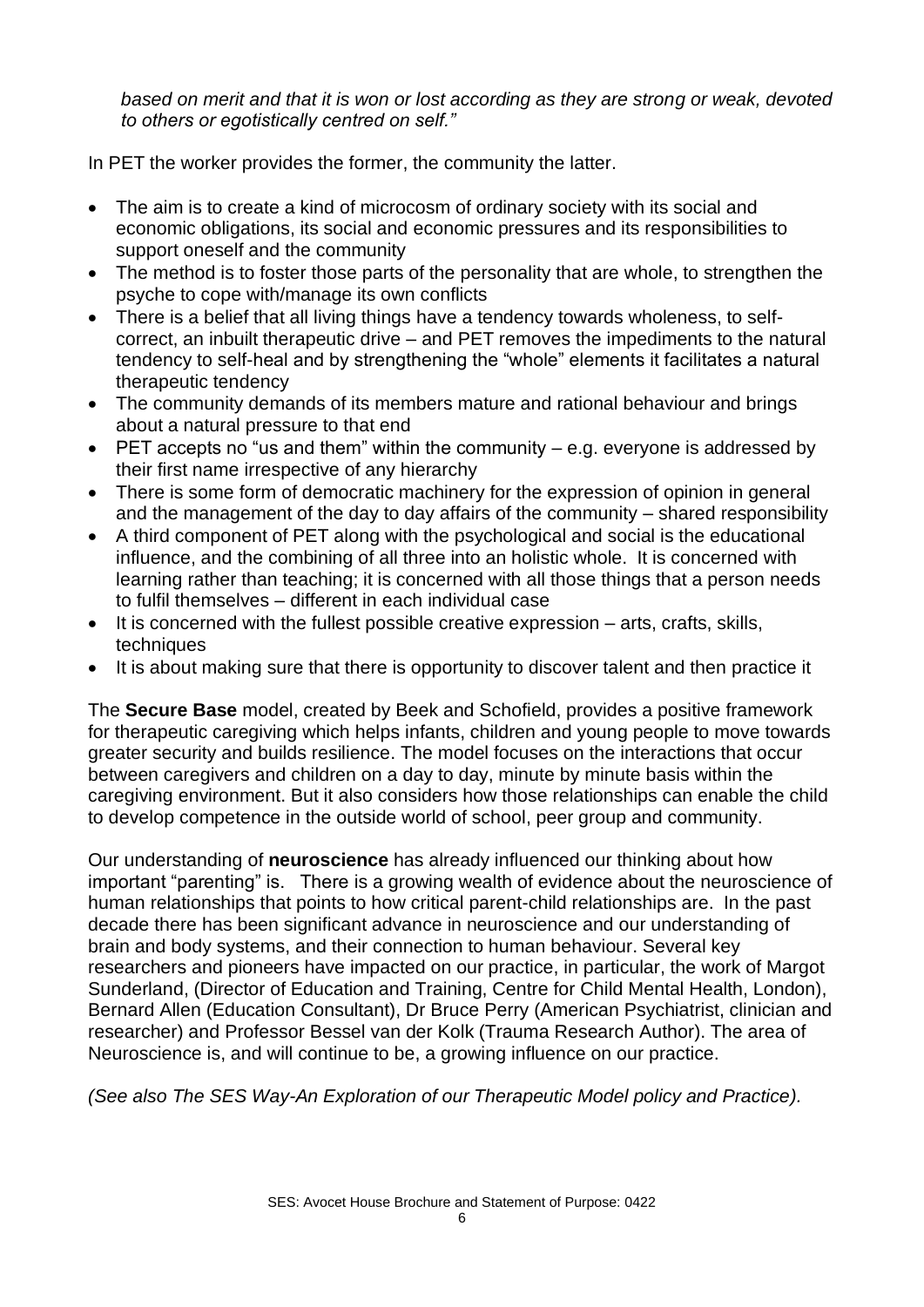*based on merit and that it is won or lost according as they are strong or weak, devoted to others or egotistically centred on self."*

In PET the worker provides the former, the community the latter.

- The aim is to create a kind of microcosm of ordinary society with its social and economic obligations, its social and economic pressures and its responsibilities to support oneself and the community
- The method is to foster those parts of the personality that are whole, to strengthen the psyche to cope with/manage its own conflicts
- There is a belief that all living things have a tendency towards wholeness, to selfcorrect, an inbuilt therapeutic drive – and PET removes the impediments to the natural tendency to self-heal and by strengthening the "whole" elements it facilitates a natural therapeutic tendency
- The community demands of its members mature and rational behaviour and brings about a natural pressure to that end
- PET accepts no "us and them" within the community  $-$  e.g. everyone is addressed by their first name irrespective of any hierarchy
- There is some form of democratic machinery for the expression of opinion in general and the management of the day to day affairs of the community – shared responsibility
- A third component of PET along with the psychological and social is the educational influence, and the combining of all three into an holistic whole. It is concerned with learning rather than teaching; it is concerned with all those things that a person needs to fulfil themselves – different in each individual case
- It is concerned with the fullest possible creative expression arts, crafts, skills, techniques
- It is about making sure that there is opportunity to discover talent and then practice it

The **Secure Base** model, created by Beek and Schofield, provides a positive framework for therapeutic caregiving which helps infants, children and young people to move towards greater security and builds resilience. The model focuses on the interactions that occur between caregivers and children on a day to day, minute by minute basis within the caregiving environment. But it also considers how those relationships can enable the child to develop competence in the outside world of school, peer group and community.

Our understanding of **neuroscience** has already influenced our thinking about how important "parenting" is. There is a growing wealth of evidence about the neuroscience of human relationships that points to how critical parent-child relationships are. In the past decade there has been significant advance in neuroscience and our understanding of brain and body systems, and their connection to human behaviour. Several key researchers and pioneers have impacted on our practice, in particular, the work of Margot Sunderland, (Director of Education and Training, Centre for Child Mental Health, London), Bernard Allen (Education Consultant), Dr Bruce Perry (American Psychiatrist, clinician and researcher) and Professor Bessel van der Kolk (Trauma Research Author). The area of Neuroscience is, and will continue to be, a growing influence on our practice.

*(See also The SES Way-An Exploration of our Therapeutic Model policy and Practice).*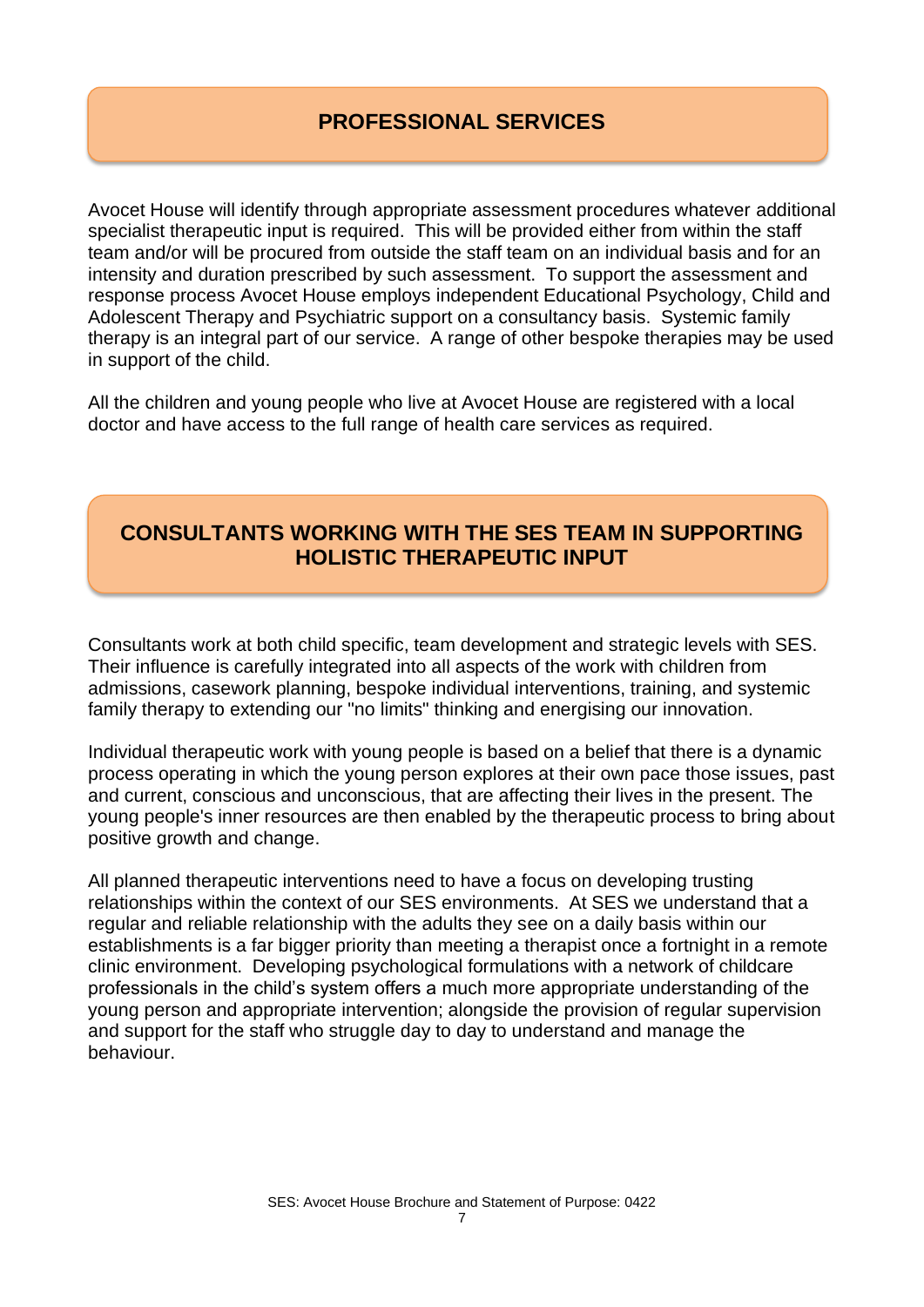# **PROFESSIONAL SERVICES**

Avocet House will identify through appropriate assessment procedures whatever additional specialist therapeutic input is required. This will be provided either from within the staff team and/or will be procured from outside the staff team on an individual basis and for an intensity and duration prescribed by such assessment. To support the assessment and response process Avocet House employs independent Educational Psychology, Child and Adolescent Therapy and Psychiatric support on a consultancy basis. Systemic family therapy is an integral part of our service. A range of other bespoke therapies may be used in support of the child.

All the children and young people who live at Avocet House are registered with a local doctor and have access to the full range of health care services as required.

# **CONSULTANTS WORKING WITH THE SES TEAM IN SUPPORTING HOLISTIC THERAPEUTIC INPUT**

Consultants work at both child specific, team development and strategic levels with SES. Their influence is carefully integrated into all aspects of the work with children from admissions, casework planning, bespoke individual interventions, training, and systemic family therapy to extending our "no limits" thinking and energising our innovation.

Individual therapeutic work with young people is based on a belief that there is a dynamic process operating in which the young person explores at their own pace those issues, past and current, conscious and unconscious, that are affecting their lives in the present. The young people's inner resources are then enabled by the therapeutic process to bring about positive growth and change.

All planned therapeutic interventions need to have a focus on developing trusting relationships within the context of our SES environments. At SES we understand that a regular and reliable relationship with the adults they see on a daily basis within our establishments is a far bigger priority than meeting a therapist once a fortnight in a remote clinic environment. Developing psychological formulations with a network of childcare professionals in the child's system offers a much more appropriate understanding of the young person and appropriate intervention; alongside the provision of regular supervision and support for the staff who struggle day to day to understand and manage the behaviour.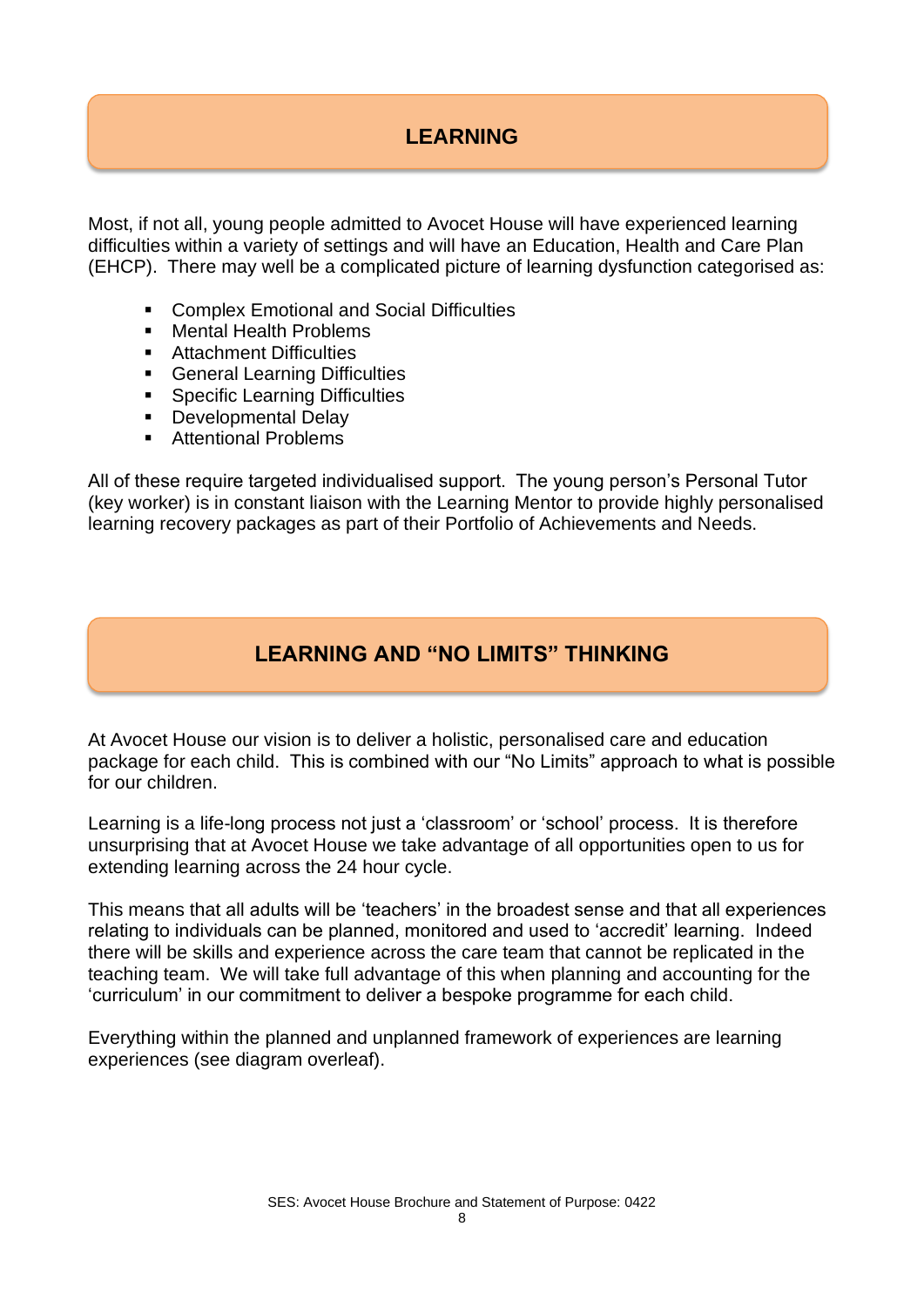# **LEARNING**

Most, if not all, young people admitted to Avocet House will have experienced learning difficulties within a variety of settings and will have an Education, Health and Care Plan (EHCP). There may well be a complicated picture of learning dysfunction categorised as:

- **Complex Emotional and Social Difficulties**
- Mental Health Problems
- Attachment Difficulties
- **General Learning Difficulties**
- Specific Learning Difficulties
- **Developmental Delay**
- Attentional Problems

All of these require targeted individualised support. The young person's Personal Tutor (key worker) is in constant liaison with the Learning Mentor to provide highly personalised learning recovery packages as part of their Portfolio of Achievements and Needs.

# **LEARNING AND "NO LIMITS" THINKING**

At Avocet House our vision is to deliver a holistic, personalised care and education package for each child. This is combined with our "No Limits" approach to what is possible for our children.

Learning is a life-long process not just a 'classroom' or 'school' process. It is therefore unsurprising that at Avocet House we take advantage of all opportunities open to us for extending learning across the 24 hour cycle.

This means that all adults will be 'teachers' in the broadest sense and that all experiences relating to individuals can be planned, monitored and used to 'accredit' learning. Indeed there will be skills and experience across the care team that cannot be replicated in the teaching team. We will take full advantage of this when planning and accounting for the 'curriculum' in our commitment to deliver a bespoke programme for each child.

Everything within the planned and unplanned framework of experiences are learning experiences (see diagram overleaf).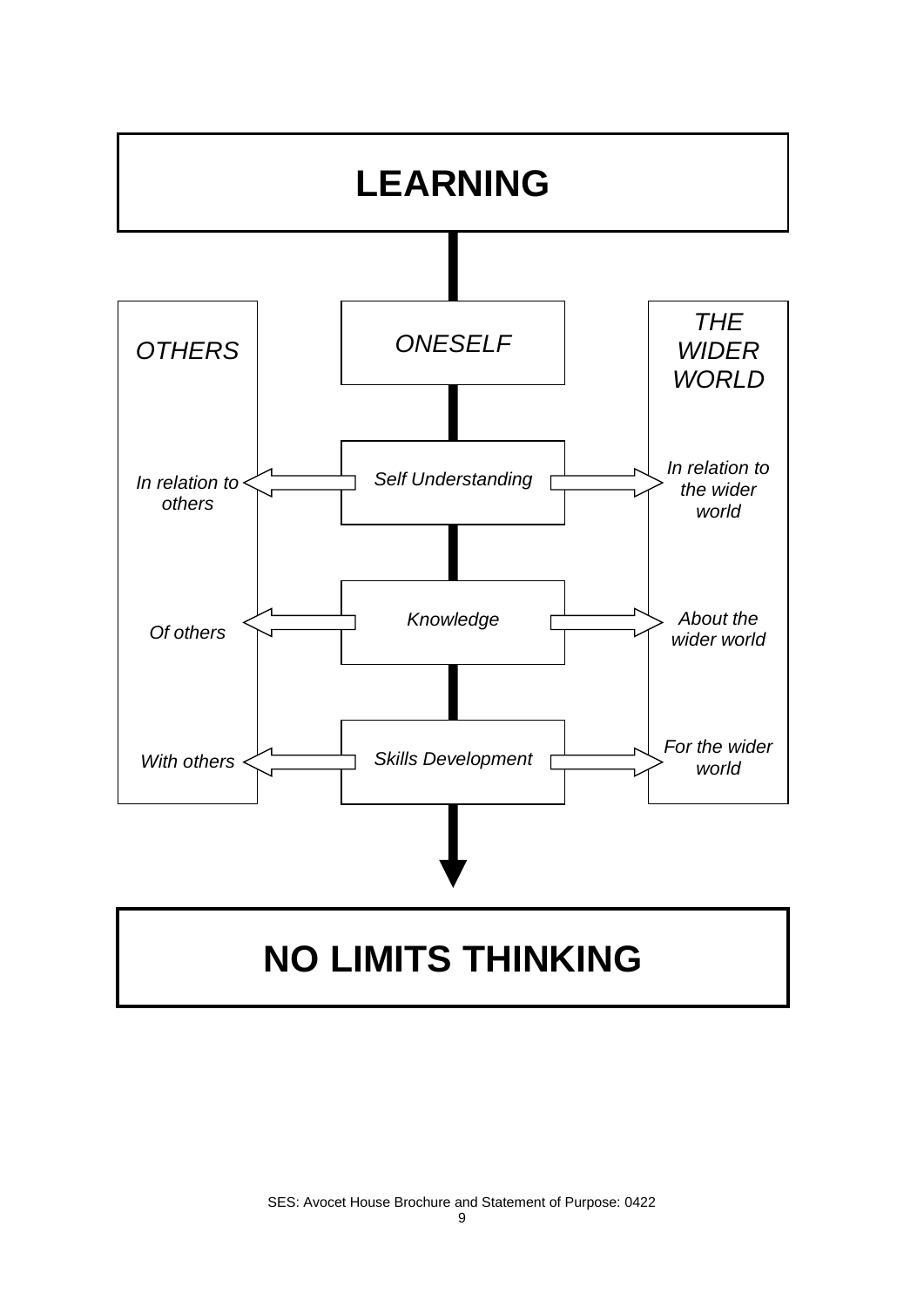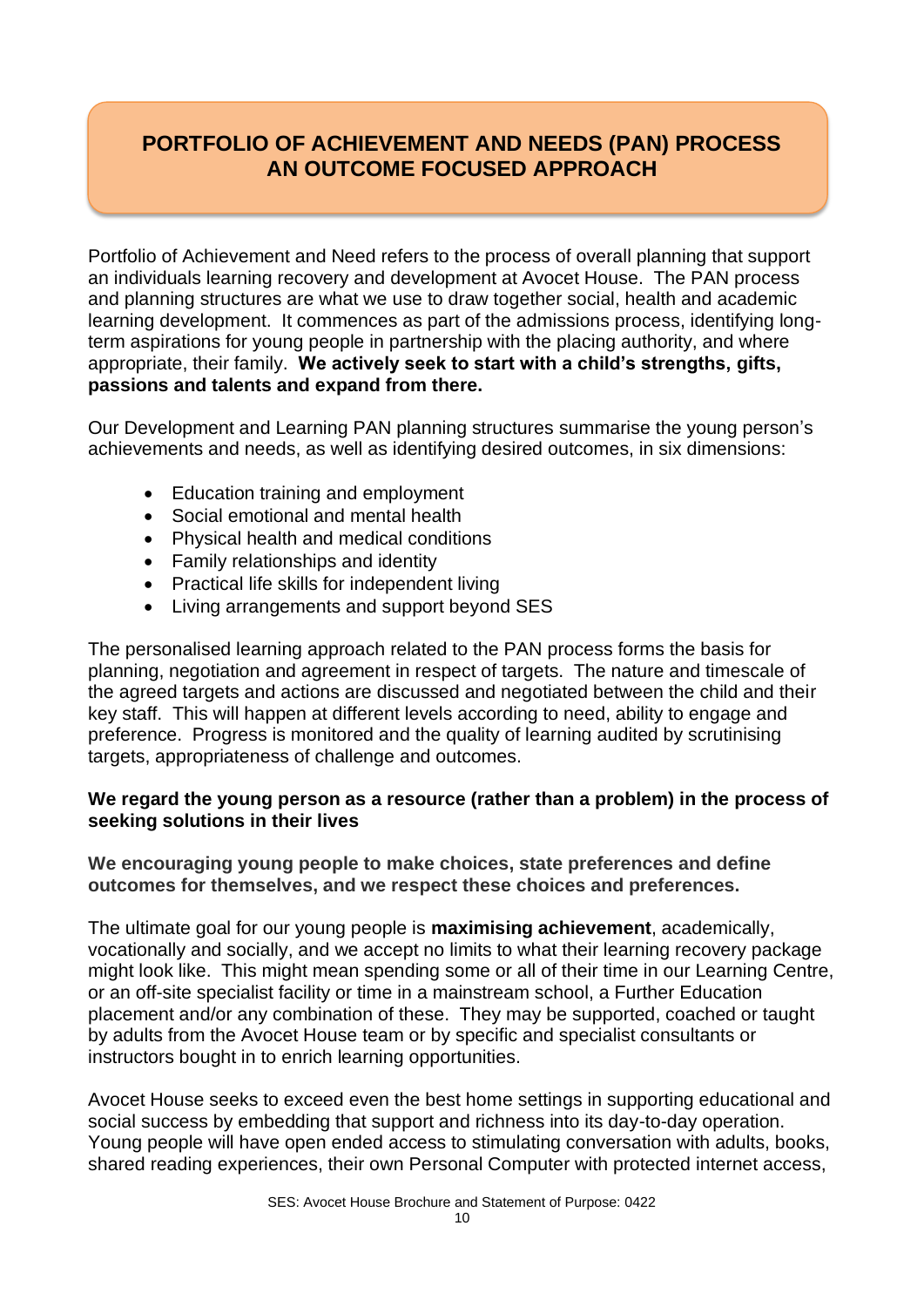# **PORTFOLIO OF ACHIEVEMENT AND NEEDS (PAN) PROCESS AN OUTCOME FOCUSED APPROACH**

Portfolio of Achievement and Need refers to the process of overall planning that support an individuals learning recovery and development at Avocet House. The PAN process and planning structures are what we use to draw together social, health and academic learning development. It commences as part of the admissions process, identifying longterm aspirations for young people in partnership with the placing authority, and where appropriate, their family. **We actively seek to start with a child's strengths, gifts, passions and talents and expand from there.**

Our Development and Learning PAN planning structures summarise the young person's achievements and needs, as well as identifying desired outcomes, in six dimensions:

- Education training and employment
- Social emotional and mental health
- Physical health and medical conditions
- Family relationships and identity
- Practical life skills for independent living
- Living arrangements and support beyond SES

The personalised learning approach related to the PAN process forms the basis for planning, negotiation and agreement in respect of targets. The nature and timescale of the agreed targets and actions are discussed and negotiated between the child and their key staff. This will happen at different levels according to need, ability to engage and preference. Progress is monitored and the quality of learning audited by scrutinising targets, appropriateness of challenge and outcomes.

#### **We regard the young person as a resource (rather than a problem) in the process of seeking solutions in their lives**

**We encouraging young people to make choices, state preferences and define outcomes for themselves, and we respect these choices and preferences.** 

The ultimate goal for our young people is **maximising achievement**, academically, vocationally and socially, and we accept no limits to what their learning recovery package might look like. This might mean spending some or all of their time in our Learning Centre, or an off-site specialist facility or time in a mainstream school, a Further Education placement and/or any combination of these. They may be supported, coached or taught by adults from the Avocet House team or by specific and specialist consultants or instructors bought in to enrich learning opportunities.

Avocet House seeks to exceed even the best home settings in supporting educational and social success by embedding that support and richness into its day-to-day operation. Young people will have open ended access to stimulating conversation with adults, books, shared reading experiences, their own Personal Computer with protected internet access,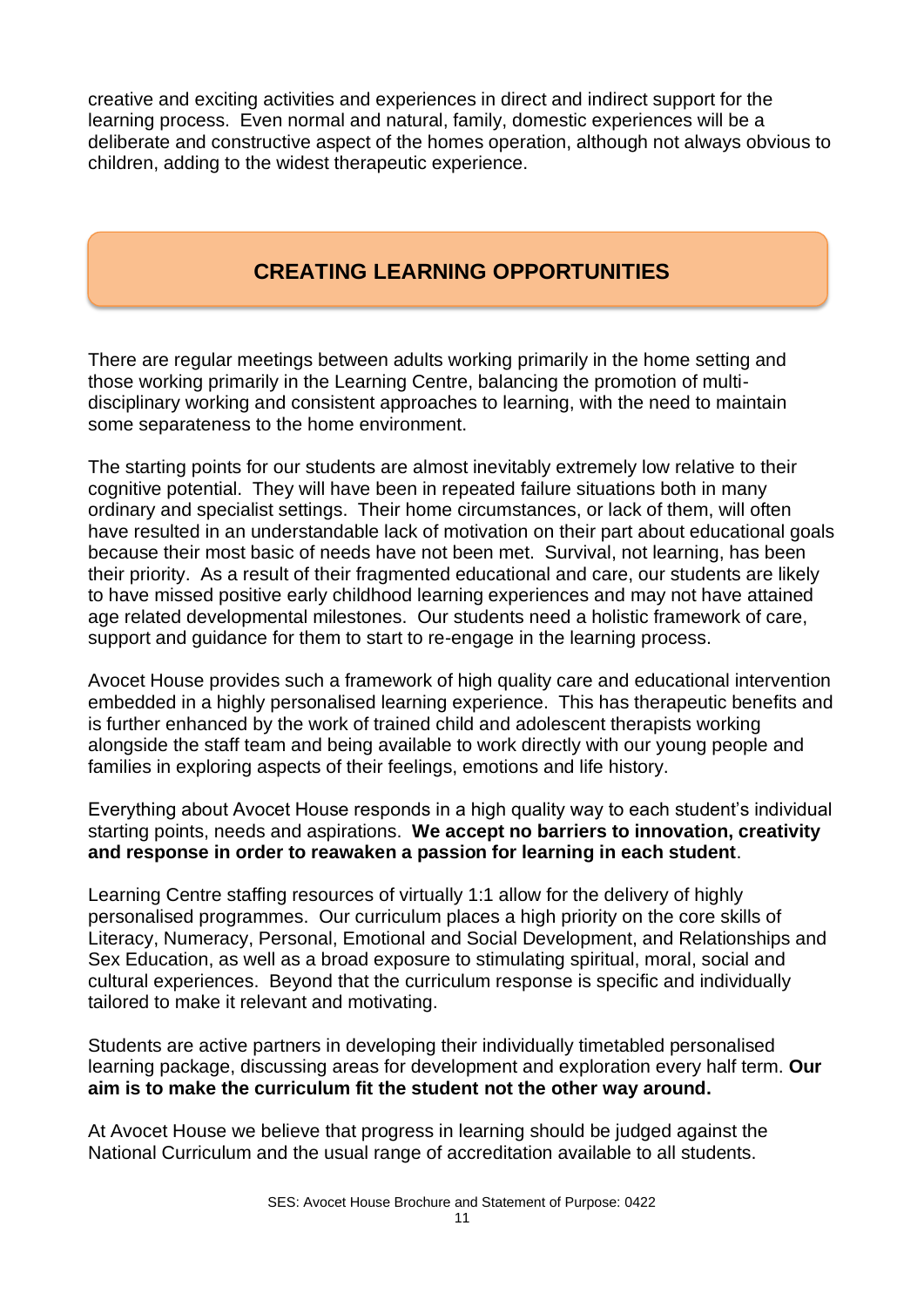creative and exciting activities and experiences in direct and indirect support for the learning process. Even normal and natural, family, domestic experiences will be a deliberate and constructive aspect of the homes operation, although not always obvious to children, adding to the widest therapeutic experience.

# **CREATING LEARNING OPPORTUNITIES**

There are regular meetings between adults working primarily in the home setting and those working primarily in the Learning Centre, balancing the promotion of multidisciplinary working and consistent approaches to learning, with the need to maintain some separateness to the home environment.

The starting points for our students are almost inevitably extremely low relative to their cognitive potential. They will have been in repeated failure situations both in many ordinary and specialist settings. Their home circumstances, or lack of them, will often have resulted in an understandable lack of motivation on their part about educational goals because their most basic of needs have not been met. Survival, not learning, has been their priority. As a result of their fragmented educational and care, our students are likely to have missed positive early childhood learning experiences and may not have attained age related developmental milestones. Our students need a holistic framework of care, support and guidance for them to start to re-engage in the learning process.

Avocet House provides such a framework of high quality care and educational intervention embedded in a highly personalised learning experience. This has therapeutic benefits and is further enhanced by the work of trained child and adolescent therapists working alongside the staff team and being available to work directly with our young people and families in exploring aspects of their feelings, emotions and life history.

Everything about Avocet House responds in a high quality way to each student's individual starting points, needs and aspirations. **We accept no barriers to innovation, creativity and response in order to reawaken a passion for learning in each student**.

Learning Centre staffing resources of virtually 1:1 allow for the delivery of highly personalised programmes. Our curriculum places a high priority on the core skills of Literacy, Numeracy, Personal, Emotional and Social Development, and Relationships and Sex Education, as well as a broad exposure to stimulating spiritual, moral, social and cultural experiences. Beyond that the curriculum response is specific and individually tailored to make it relevant and motivating.

Students are active partners in developing their individually timetabled personalised learning package, discussing areas for development and exploration every half term. **Our aim is to make the curriculum fit the student not the other way around.** 

At Avocet House we believe that progress in learning should be judged against the National Curriculum and the usual range of accreditation available to all students.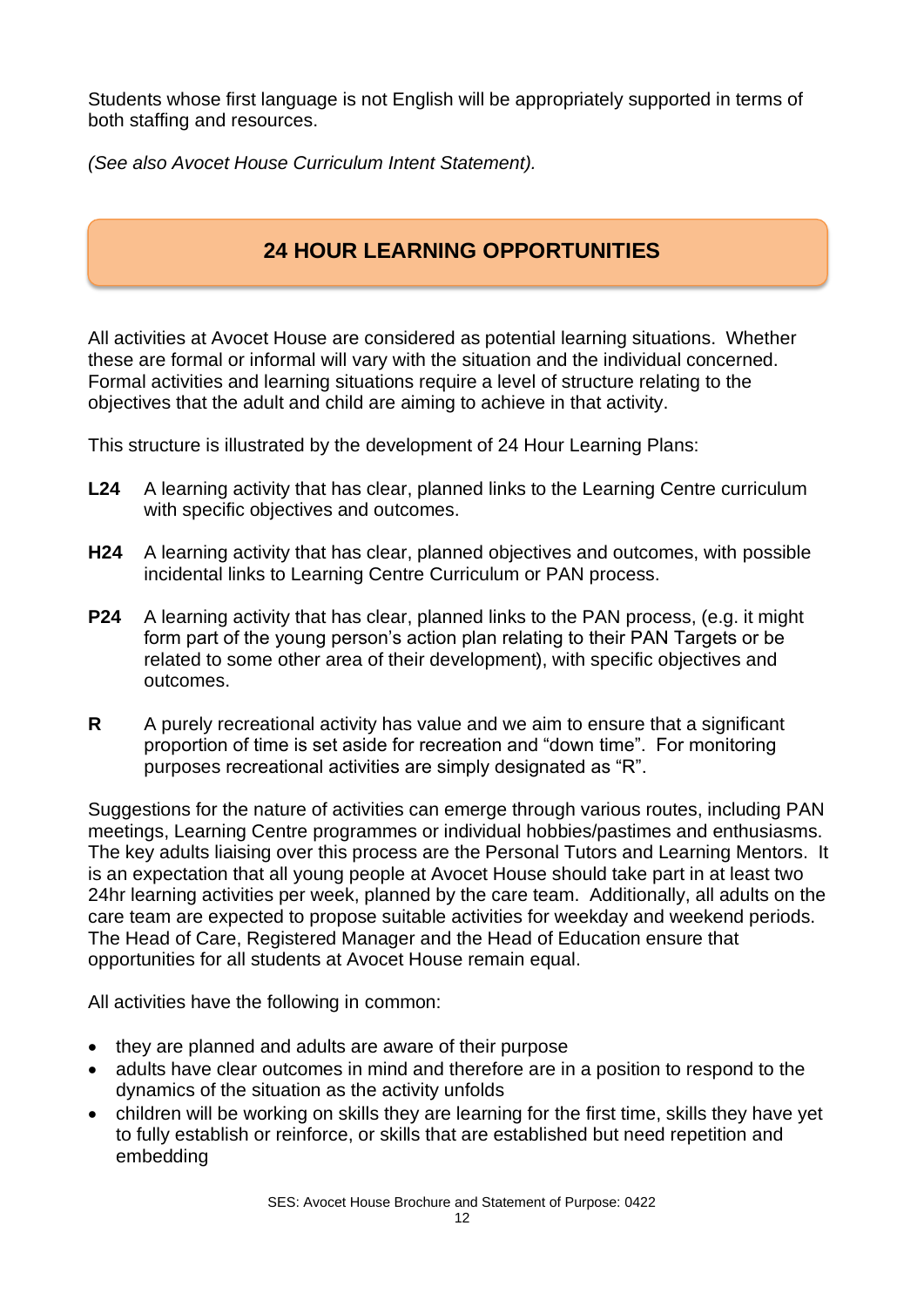Students whose first language is not English will be appropriately supported in terms of both staffing and resources.

*(See also Avocet House Curriculum Intent Statement).*

# **24 HOUR LEARNING OPPORTUNITIES**

All activities at Avocet House are considered as potential learning situations. Whether these are formal or informal will vary with the situation and the individual concerned. Formal activities and learning situations require a level of structure relating to the objectives that the adult and child are aiming to achieve in that activity.

This structure is illustrated by the development of 24 Hour Learning Plans:

- **L24** A learning activity that has clear, planned links to the Learning Centre curriculum with specific objectives and outcomes.
- **H24** A learning activity that has clear, planned objectives and outcomes, with possible incidental links to Learning Centre Curriculum or PAN process.
- **P24** A learning activity that has clear, planned links to the PAN process, (e.g. it might form part of the young person's action plan relating to their PAN Targets or be related to some other area of their development), with specific objectives and outcomes.
- **R** A purely recreational activity has value and we aim to ensure that a significant proportion of time is set aside for recreation and "down time". For monitoring purposes recreational activities are simply designated as "R".

Suggestions for the nature of activities can emerge through various routes, including PAN meetings, Learning Centre programmes or individual hobbies/pastimes and enthusiasms. The key adults liaising over this process are the Personal Tutors and Learning Mentors. It is an expectation that all young people at Avocet House should take part in at least two 24hr learning activities per week, planned by the care team. Additionally, all adults on the care team are expected to propose suitable activities for weekday and weekend periods. The Head of Care, Registered Manager and the Head of Education ensure that opportunities for all students at Avocet House remain equal.

All activities have the following in common:

- they are planned and adults are aware of their purpose
- adults have clear outcomes in mind and therefore are in a position to respond to the dynamics of the situation as the activity unfolds
- children will be working on skills they are learning for the first time, skills they have yet to fully establish or reinforce, or skills that are established but need repetition and embedding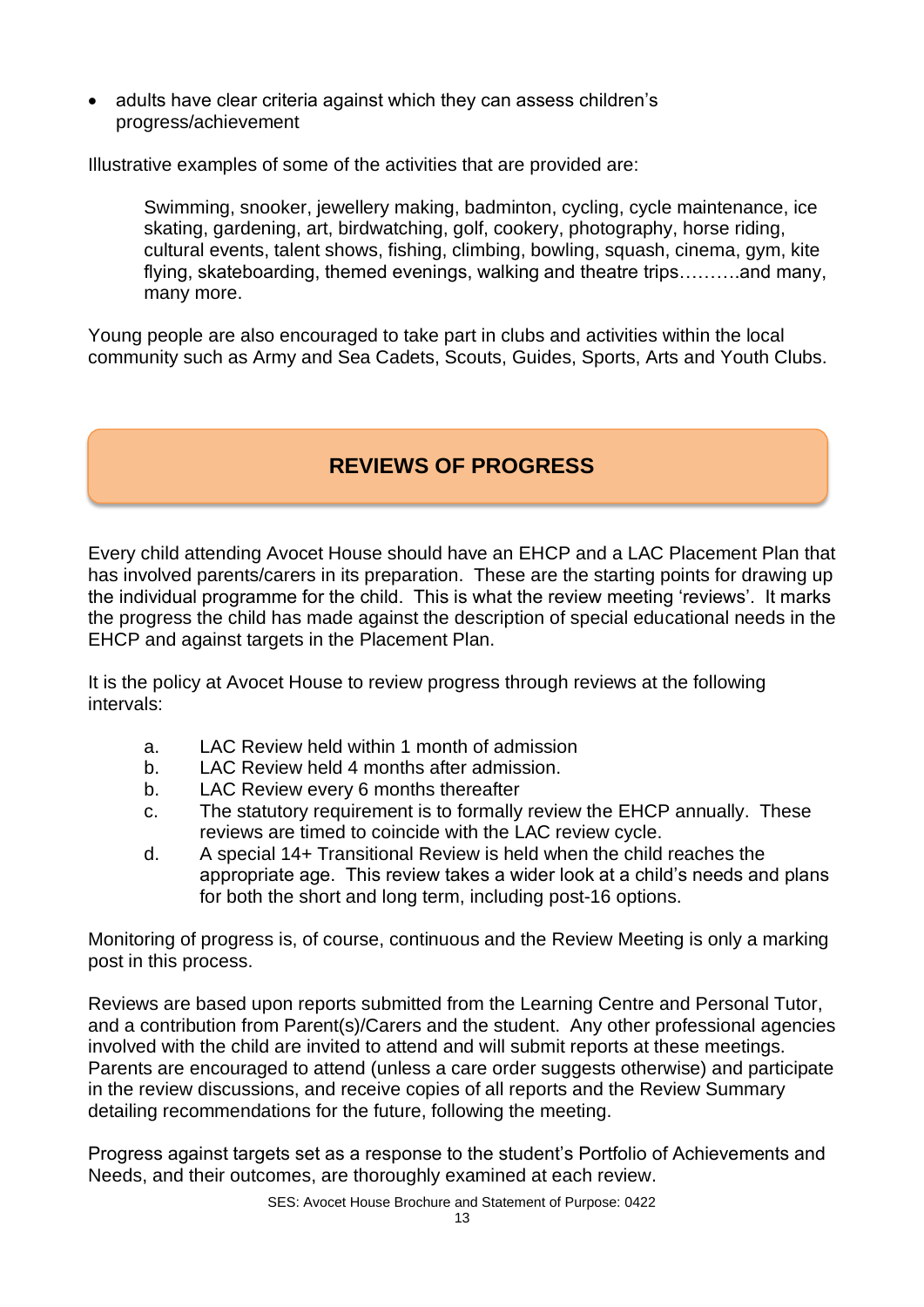• adults have clear criteria against which they can assess children's progress/achievement

Illustrative examples of some of the activities that are provided are:

Swimming, snooker, jewellery making, badminton, cycling, cycle maintenance, ice skating, gardening, art, birdwatching, golf, cookery, photography, horse riding, cultural events, talent shows, fishing, climbing, bowling, squash, cinema, gym, kite flying, skateboarding, themed evenings, walking and theatre trips……….and many, many more.

Young people are also encouraged to take part in clubs and activities within the local community such as Army and Sea Cadets, Scouts, Guides, Sports, Arts and Youth Clubs.

# **REVIEWS OF PROGRESS**

Every child attending Avocet House should have an EHCP and a LAC Placement Plan that has involved parents/carers in its preparation. These are the starting points for drawing up the individual programme for the child. This is what the review meeting 'reviews'. It marks the progress the child has made against the description of special educational needs in the EHCP and against targets in the Placement Plan.

It is the policy at Avocet House to review progress through reviews at the following intervals:

- a. LAC Review held within 1 month of admission
- b. LAC Review held 4 months after admission.
- b. LAC Review every 6 months thereafter
- c. The statutory requirement is to formally review the EHCP annually. These reviews are timed to coincide with the LAC review cycle.
- d. A special 14+ Transitional Review is held when the child reaches the appropriate age. This review takes a wider look at a child's needs and plans for both the short and long term, including post-16 options.

Monitoring of progress is, of course, continuous and the Review Meeting is only a marking post in this process.

Reviews are based upon reports submitted from the Learning Centre and Personal Tutor, and a contribution from Parent(s)/Carers and the student. Any other professional agencies involved with the child are invited to attend and will submit reports at these meetings. Parents are encouraged to attend (unless a care order suggests otherwise) and participate in the review discussions, and receive copies of all reports and the Review Summary detailing recommendations for the future, following the meeting.

Progress against targets set as a response to the student's Portfolio of Achievements and Needs, and their outcomes, are thoroughly examined at each review.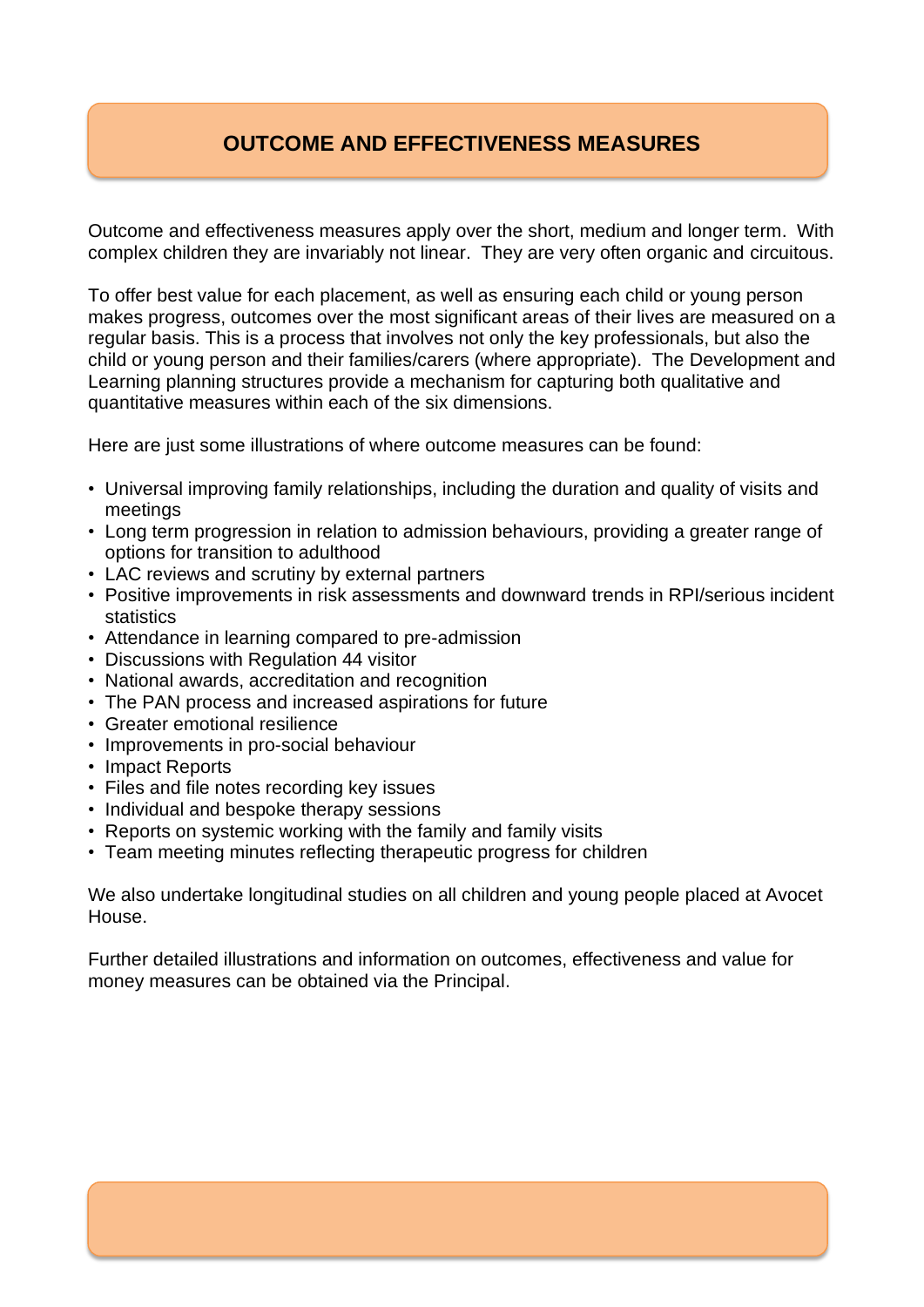# **OUTCOME AND EFFECTIVENESS MEASURES**

Outcome and effectiveness measures apply over the short, medium and longer term. With complex children they are invariably not linear. They are very often organic and circuitous.

To offer best value for each placement, as well as ensuring each child or young person makes progress, outcomes over the most significant areas of their lives are measured on a regular basis. This is a process that involves not only the key professionals, but also the child or young person and their families/carers (where appropriate). The Development and Learning planning structures provide a mechanism for capturing both qualitative and quantitative measures within each of the six dimensions.

Here are just some illustrations of where outcome measures can be found:

- Universal improving family relationships, including the duration and quality of visits and meetings
- Long term progression in relation to admission behaviours, providing a greater range of options for transition to adulthood
- LAC reviews and scrutiny by external partners
- Positive improvements in risk assessments and downward trends in RPI/serious incident statistics
- Attendance in learning compared to pre-admission
- Discussions with Regulation 44 visitor
- National awards, accreditation and recognition
- The PAN process and increased aspirations for future
- Greater emotional resilience
- Improvements in pro-social behaviour
- Impact Reports
- Files and file notes recording key issues
- Individual and bespoke therapy sessions
- Reports on systemic working with the family and family visits
- Team meeting minutes reflecting therapeutic progress for children

We also undertake longitudinal studies on all children and young people placed at Avocet House.

Further detailed illustrations and information on outcomes, effectiveness and value for money measures can be obtained via the Principal.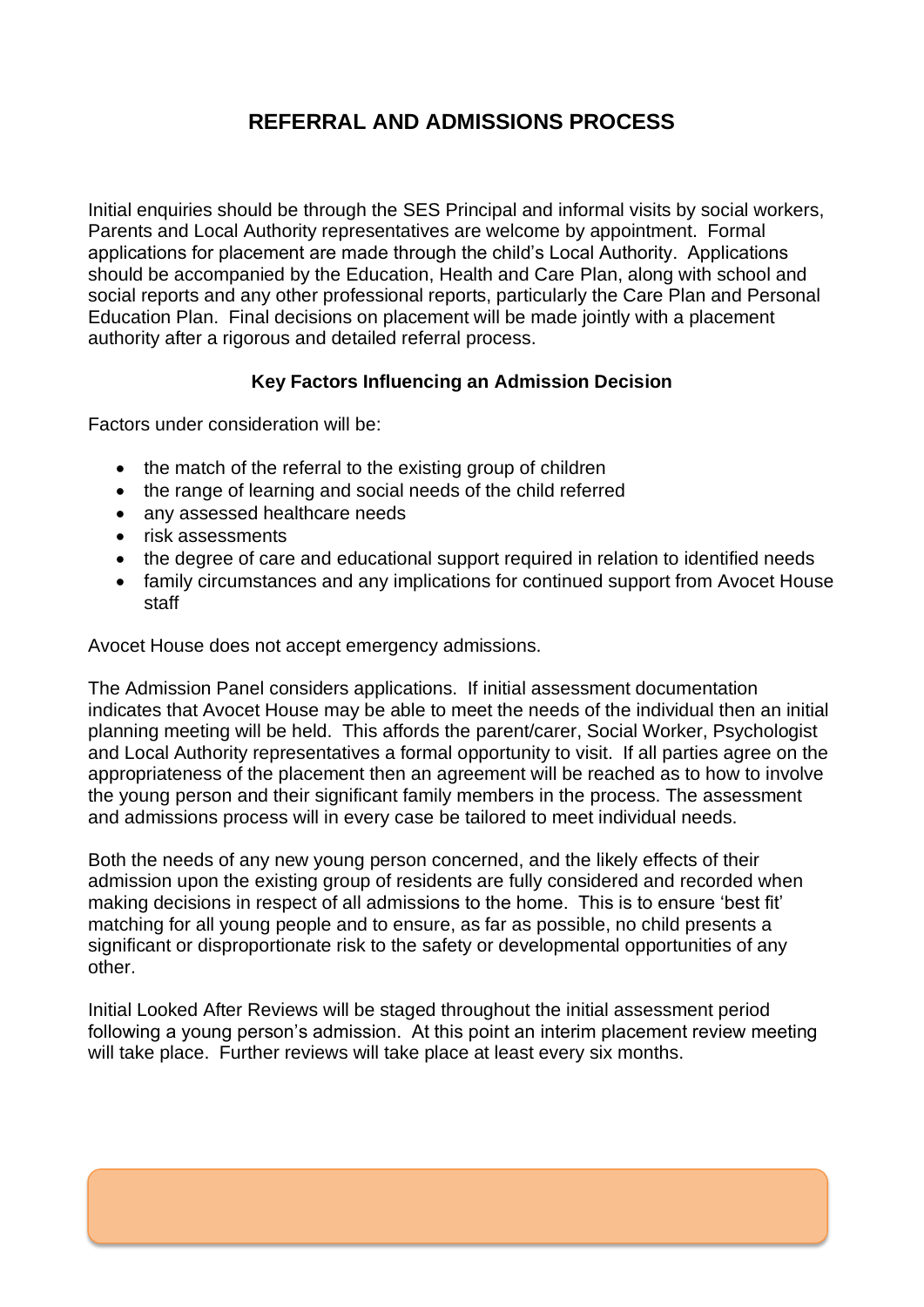# **REFERRAL AND ADMISSIONS PROCESS**

Initial enquiries should be through the SES Principal and informal visits by social workers, Parents and Local Authority representatives are welcome by appointment. Formal applications for placement are made through the child's Local Authority. Applications should be accompanied by the Education, Health and Care Plan, along with school and social reports and any other professional reports, particularly the Care Plan and Personal Education Plan. Final decisions on placement will be made jointly with a placement authority after a rigorous and detailed referral process.

#### **Key Factors Influencing an Admission Decision**

Factors under consideration will be:

- the match of the referral to the existing group of children
- the range of learning and social needs of the child referred
- any assessed healthcare needs
- risk assessments
- the degree of care and educational support required in relation to identified needs
- family circumstances and any implications for continued support from Avocet House staff

Avocet House does not accept emergency admissions.

The Admission Panel considers applications. If initial assessment documentation indicates that Avocet House may be able to meet the needs of the individual then an initial planning meeting will be held. This affords the parent/carer, Social Worker, Psychologist and Local Authority representatives a formal opportunity to visit. If all parties agree on the appropriateness of the placement then an agreement will be reached as to how to involve the young person and their significant family members in the process. The assessment and admissions process will in every case be tailored to meet individual needs.

Both the needs of any new young person concerned, and the likely effects of their admission upon the existing group of residents are fully considered and recorded when making decisions in respect of all admissions to the home. This is to ensure 'best fit' matching for all young people and to ensure, as far as possible, no child presents a significant or disproportionate risk to the safety or developmental opportunities of any other.

Initial Looked After Reviews will be staged throughout the initial assessment period following a young person's admission. At this point an interim placement review meeting will take place. Further reviews will take place at least every six months.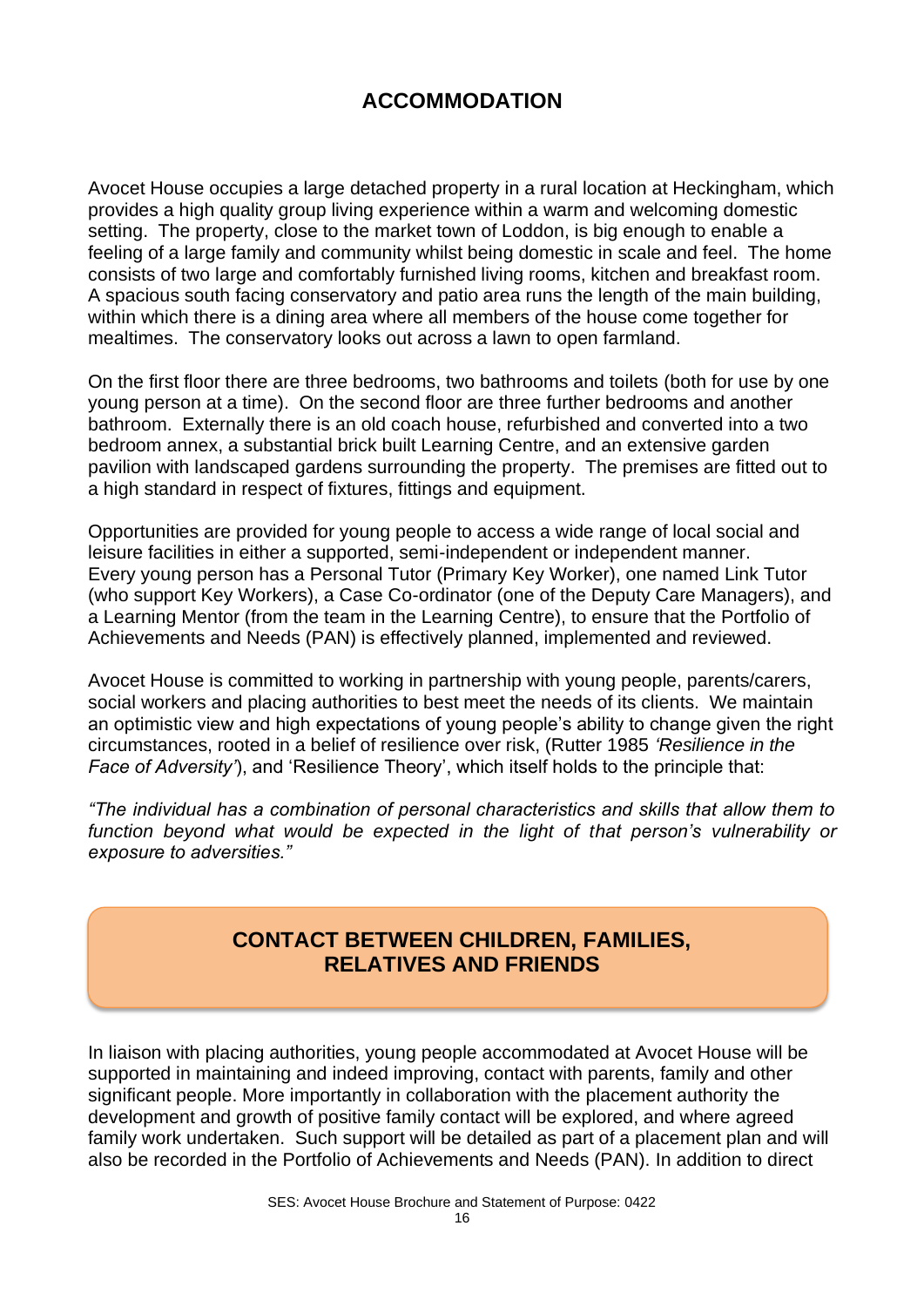# **ACCOMMODATION**

Avocet House occupies a large detached property in a rural location at Heckingham, which provides a high quality group living experience within a warm and welcoming domestic setting. The property, close to the market town of Loddon, is big enough to enable a feeling of a large family and community whilst being domestic in scale and feel. The home consists of two large and comfortably furnished living rooms, kitchen and breakfast room. A spacious south facing conservatory and patio area runs the length of the main building, within which there is a dining area where all members of the house come together for mealtimes. The conservatory looks out across a lawn to open farmland.

On the first floor there are three bedrooms, two bathrooms and toilets (both for use by one young person at a time). On the second floor are three further bedrooms and another bathroom. Externally there is an old coach house, refurbished and converted into a two bedroom annex, a substantial brick built Learning Centre, and an extensive garden pavilion with landscaped gardens surrounding the property. The premises are fitted out to a high standard in respect of fixtures, fittings and equipment.

Opportunities are provided for young people to access a wide range of local social and leisure facilities in either a supported, semi-independent or independent manner. Every young person has a Personal Tutor (Primary Key Worker), one named Link Tutor (who support Key Workers), a Case Co-ordinator (one of the Deputy Care Managers), and a Learning Mentor (from the team in the Learning Centre), to ensure that the Portfolio of Achievements and Needs (PAN) is effectively planned, implemented and reviewed.

Avocet House is committed to working in partnership with young people, parents/carers, social workers and placing authorities to best meet the needs of its clients. We maintain an optimistic view and high expectations of young people's ability to change given the right circumstances, rooted in a belief of resilience over risk, (Rutter 1985 *'Resilience in the Face of Adversity'*), and 'Resilience Theory', which itself holds to the principle that:

*"The individual has a combination of personal characteristics and skills that allow them to*  function beyond what would be expected in the light of that person's vulnerability or *exposure to adversities."*

## **CONTACT BETWEEN CHILDREN, FAMILIES, RELATIVES AND FRIENDS**

In liaison with placing authorities, young people accommodated at Avocet House will be supported in maintaining and indeed improving, contact with parents, family and other significant people. More importantly in collaboration with the placement authority the development and growth of positive family contact will be explored, and where agreed family work undertaken. Such support will be detailed as part of a placement plan and will also be recorded in the Portfolio of Achievements and Needs (PAN). In addition to direct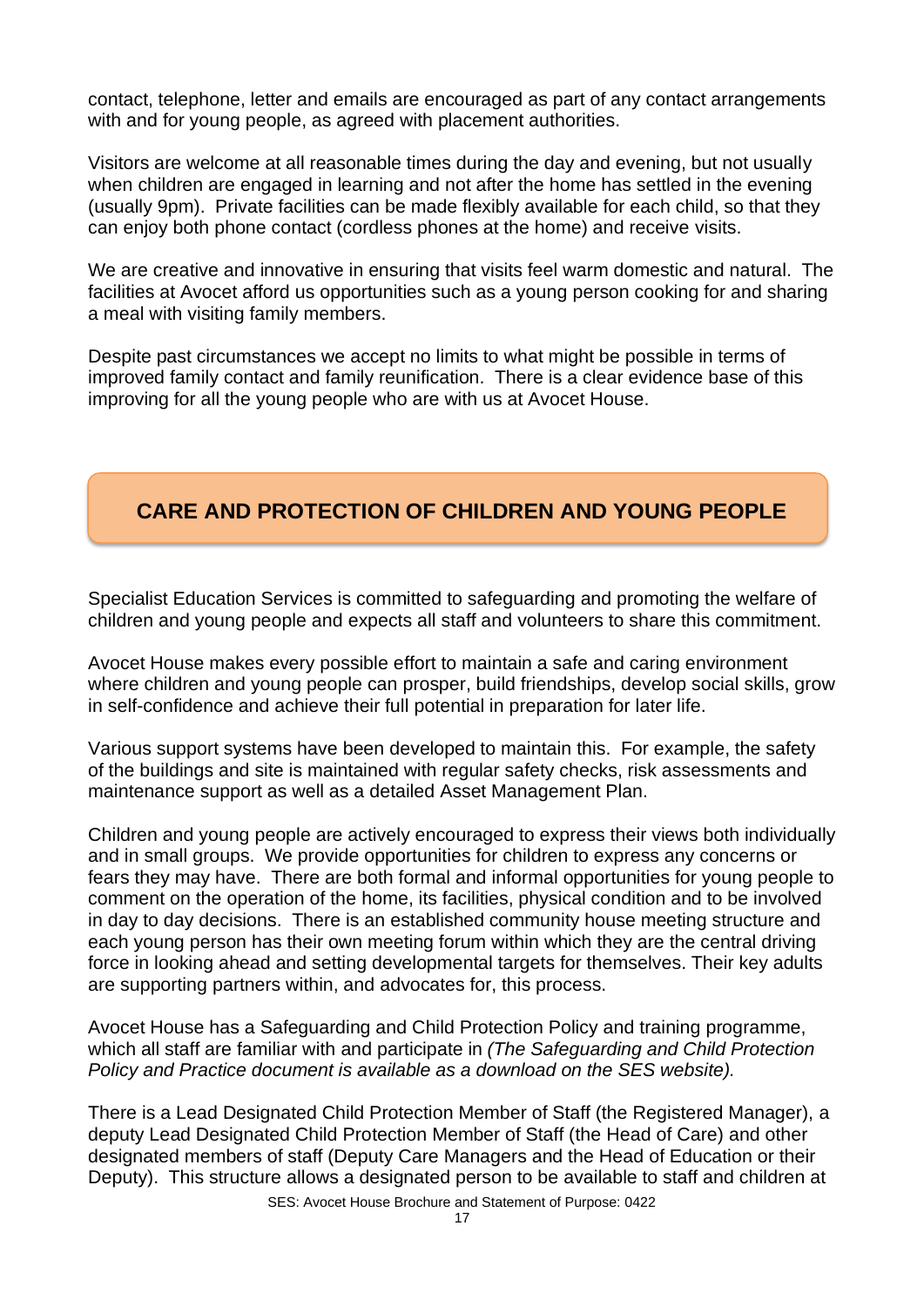contact, telephone, letter and emails are encouraged as part of any contact arrangements with and for young people, as agreed with placement authorities.

Visitors are welcome at all reasonable times during the day and evening, but not usually when children are engaged in learning and not after the home has settled in the evening (usually 9pm). Private facilities can be made flexibly available for each child, so that they can enjoy both phone contact (cordless phones at the home) and receive visits.

We are creative and innovative in ensuring that visits feel warm domestic and natural. The facilities at Avocet afford us opportunities such as a young person cooking for and sharing a meal with visiting family members.

Despite past circumstances we accept no limits to what might be possible in terms of improved family contact and family reunification. There is a clear evidence base of this improving for all the young people who are with us at Avocet House.

# **CARE AND PROTECTION OF CHILDREN AND YOUNG PEOPLE**

Specialist Education Services is committed to safeguarding and promoting the welfare of children and young people and expects all staff and volunteers to share this commitment.

Avocet House makes every possible effort to maintain a safe and caring environment where children and young people can prosper, build friendships, develop social skills, grow in self-confidence and achieve their full potential in preparation for later life.

Various support systems have been developed to maintain this. For example, the safety of the buildings and site is maintained with regular safety checks, risk assessments and maintenance support as well as a detailed Asset Management Plan.

Children and young people are actively encouraged to express their views both individually and in small groups. We provide opportunities for children to express any concerns or fears they may have. There are both formal and informal opportunities for young people to comment on the operation of the home, its facilities, physical condition and to be involved in day to day decisions. There is an established community house meeting structure and each young person has their own meeting forum within which they are the central driving force in looking ahead and setting developmental targets for themselves. Their key adults are supporting partners within, and advocates for, this process.

Avocet House has a Safeguarding and Child Protection Policy and training programme, which all staff are familiar with and participate in *(The Safeguarding and Child Protection Policy and Practice document is available as a download on the SES website).*

There is a Lead Designated Child Protection Member of Staff (the Registered Manager), a deputy Lead Designated Child Protection Member of Staff (the Head of Care) and other designated members of staff (Deputy Care Managers and the Head of Education or their Deputy). This structure allows a designated person to be available to staff and children at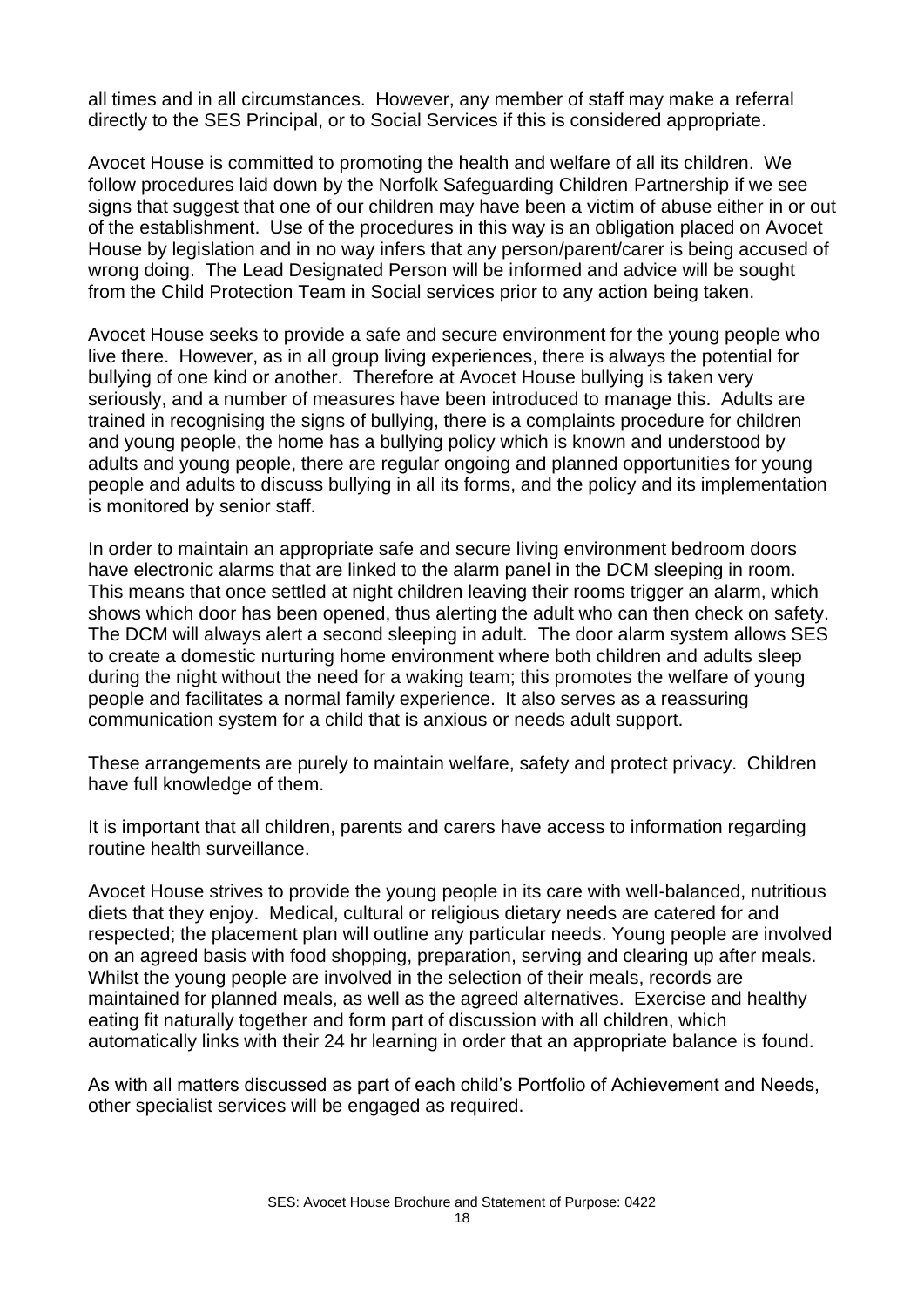all times and in all circumstances. However, any member of staff may make a referral directly to the SES Principal, or to Social Services if this is considered appropriate.

Avocet House is committed to promoting the health and welfare of all its children. We follow procedures laid down by the Norfolk Safeguarding Children Partnership if we see signs that suggest that one of our children may have been a victim of abuse either in or out of the establishment. Use of the procedures in this way is an obligation placed on Avocet House by legislation and in no way infers that any person/parent/carer is being accused of wrong doing. The Lead Designated Person will be informed and advice will be sought from the Child Protection Team in Social services prior to any action being taken.

Avocet House seeks to provide a safe and secure environment for the young people who live there. However, as in all group living experiences, there is always the potential for bullying of one kind or another. Therefore at Avocet House bullying is taken very seriously, and a number of measures have been introduced to manage this. Adults are trained in recognising the signs of bullying, there is a complaints procedure for children and young people, the home has a bullying policy which is known and understood by adults and young people, there are regular ongoing and planned opportunities for young people and adults to discuss bullying in all its forms, and the policy and its implementation is monitored by senior staff.

In order to maintain an appropriate safe and secure living environment bedroom doors have electronic alarms that are linked to the alarm panel in the DCM sleeping in room. This means that once settled at night children leaving their rooms trigger an alarm, which shows which door has been opened, thus alerting the adult who can then check on safety. The DCM will always alert a second sleeping in adult. The door alarm system allows SES to create a domestic nurturing home environment where both children and adults sleep during the night without the need for a waking team; this promotes the welfare of young people and facilitates a normal family experience. It also serves as a reassuring communication system for a child that is anxious or needs adult support.

These arrangements are purely to maintain welfare, safety and protect privacy. Children have full knowledge of them.

It is important that all children, parents and carers have access to information regarding routine health surveillance.

Avocet House strives to provide the young people in its care with well-balanced, nutritious diets that they enjoy. Medical, cultural or religious dietary needs are catered for and respected; the placement plan will outline any particular needs. Young people are involved on an agreed basis with food shopping, preparation, serving and clearing up after meals. Whilst the young people are involved in the selection of their meals, records are maintained for planned meals, as well as the agreed alternatives. Exercise and healthy eating fit naturally together and form part of discussion with all children, which automatically links with their 24 hr learning in order that an appropriate balance is found.

As with all matters discussed as part of each child's Portfolio of Achievement and Needs, other specialist services will be engaged as required.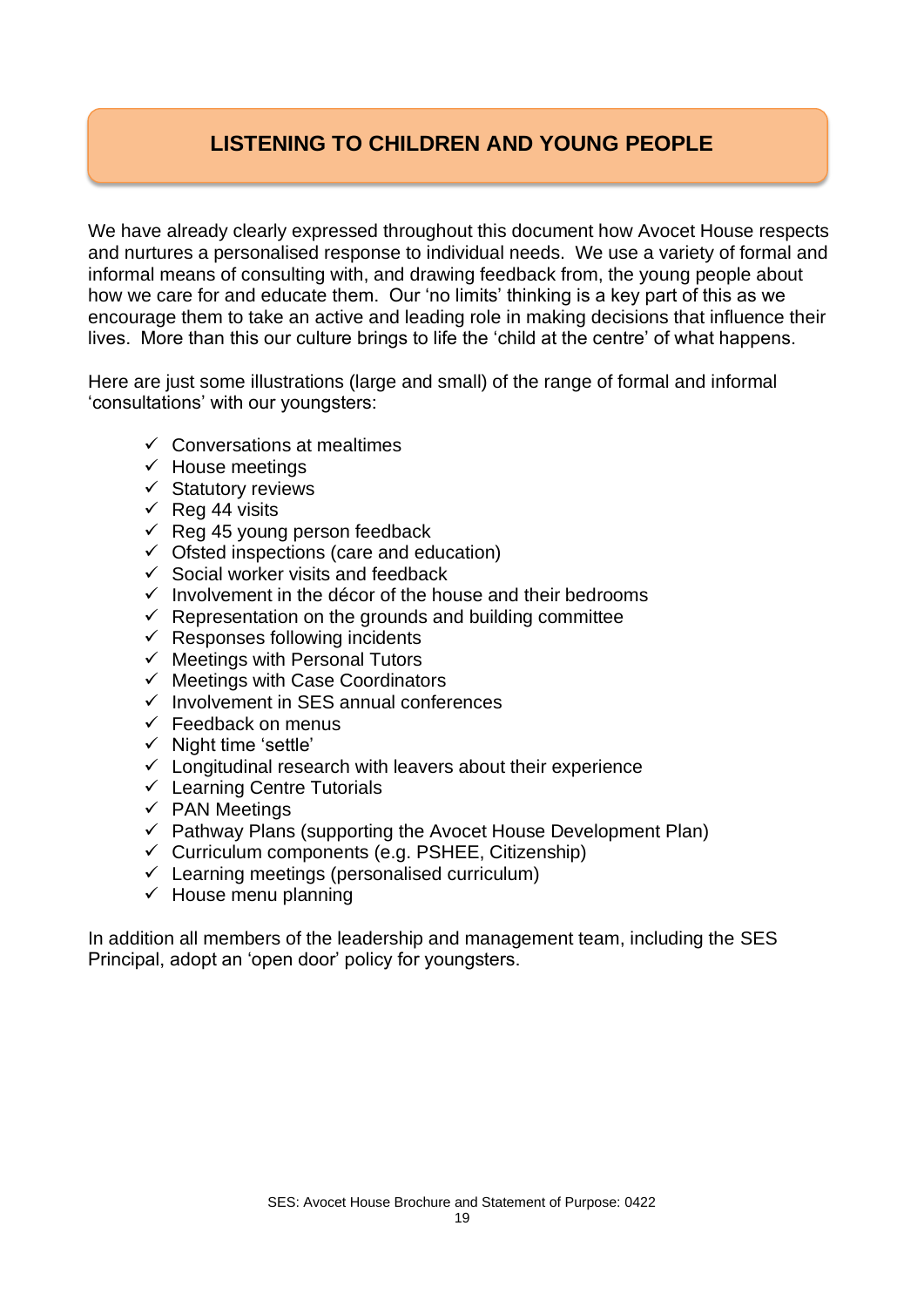# **LISTENING TO CHILDREN AND YOUNG PEOPLE**

We have already clearly expressed throughout this document how Avocet House respects and nurtures a personalised response to individual needs. We use a variety of formal and informal means of consulting with, and drawing feedback from, the young people about how we care for and educate them. Our 'no limits' thinking is a key part of this as we encourage them to take an active and leading role in making decisions that influence their lives. More than this our culture brings to life the 'child at the centre' of what happens.

Here are just some illustrations (large and small) of the range of formal and informal 'consultations' with our youngsters:

- $\checkmark$  Conversations at mealtimes
- $\checkmark$  House meetings
- ✓ Statutory reviews
- $\checkmark$  Reg 44 visits
- $\checkmark$  Reg 45 young person feedback
- $\checkmark$  Ofsted inspections (care and education)
- $\checkmark$  Social worker visits and feedback
- $\checkmark$  Involvement in the décor of the house and their bedrooms
- $\checkmark$  Representation on the grounds and building committee
- $\checkmark$  Responses following incidents
- $\checkmark$  Meetings with Personal Tutors
- $\checkmark$  Meetings with Case Coordinators
- ✓ Involvement in SES annual conferences
- $\checkmark$  Feedback on menus
- ✓ Night time 'settle'
- $\checkmark$  Longitudinal research with leavers about their experience
- ✓ Learning Centre Tutorials
- ✓ PAN Meetings
- $\checkmark$  Pathway Plans (supporting the Avocet House Development Plan)
- $\checkmark$  Curriculum components (e.g. PSHEE, Citizenship)
- $\checkmark$  Learning meetings (personalised curriculum)
- $\checkmark$  House menu planning

In addition all members of the leadership and management team, including the SES Principal, adopt an 'open door' policy for youngsters.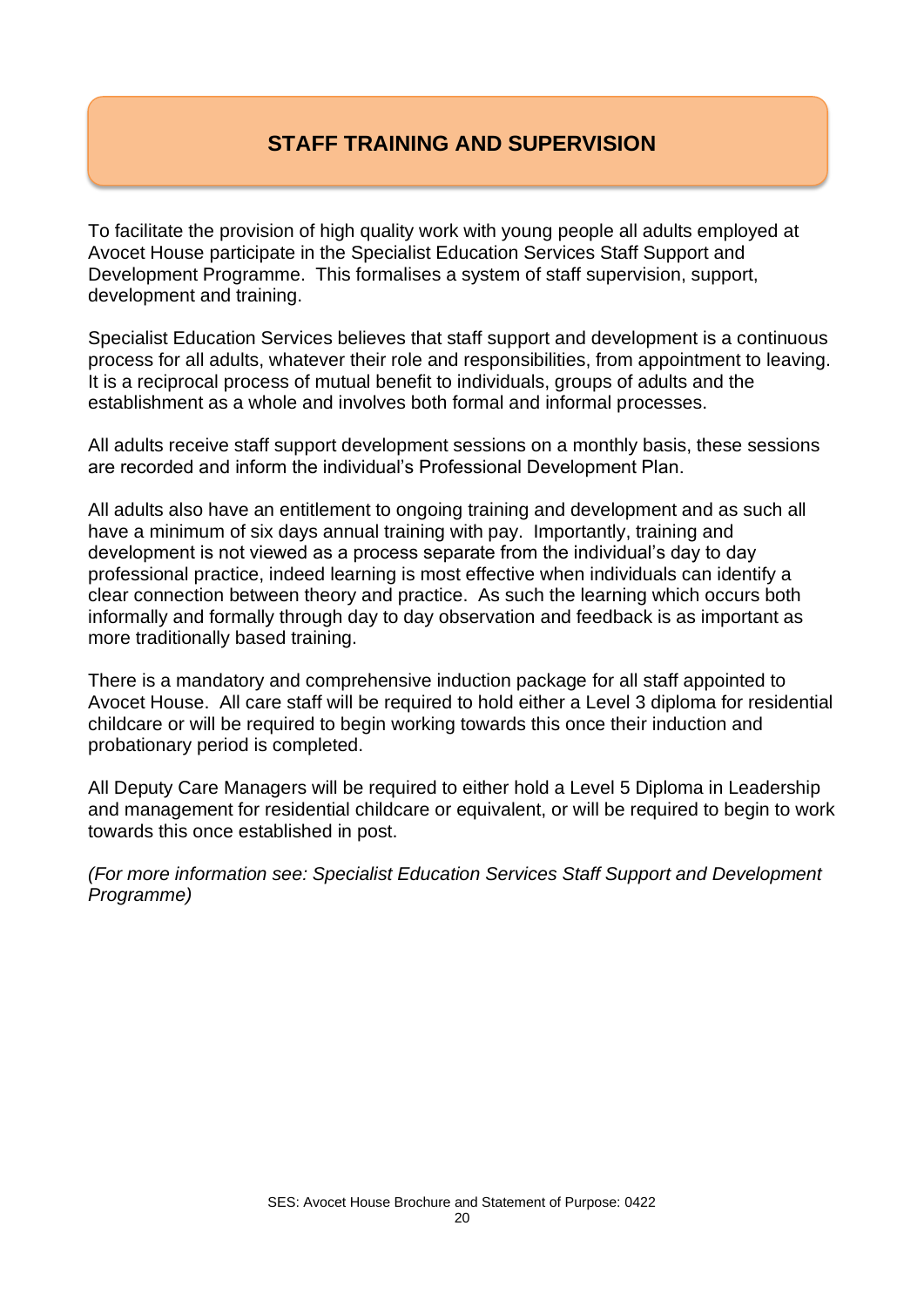# **STAFF TRAINING AND SUPERVISION**

To facilitate the provision of high quality work with young people all adults employed at Avocet House participate in the Specialist Education Services Staff Support and Development Programme. This formalises a system of staff supervision, support, development and training.

Specialist Education Services believes that staff support and development is a continuous process for all adults, whatever their role and responsibilities, from appointment to leaving. It is a reciprocal process of mutual benefit to individuals, groups of adults and the establishment as a whole and involves both formal and informal processes.

All adults receive staff support development sessions on a monthly basis, these sessions are recorded and inform the individual's Professional Development Plan.

All adults also have an entitlement to ongoing training and development and as such all have a minimum of six days annual training with pay. Importantly, training and development is not viewed as a process separate from the individual's day to day professional practice, indeed learning is most effective when individuals can identify a clear connection between theory and practice. As such the learning which occurs both informally and formally through day to day observation and feedback is as important as more traditionally based training.

There is a mandatory and comprehensive induction package for all staff appointed to Avocet House. All care staff will be required to hold either a Level 3 diploma for residential childcare or will be required to begin working towards this once their induction and probationary period is completed.

All Deputy Care Managers will be required to either hold a Level 5 Diploma in Leadership and management for residential childcare or equivalent, or will be required to begin to work towards this once established in post.

*(For more information see: Specialist Education Services Staff Support and Development Programme)*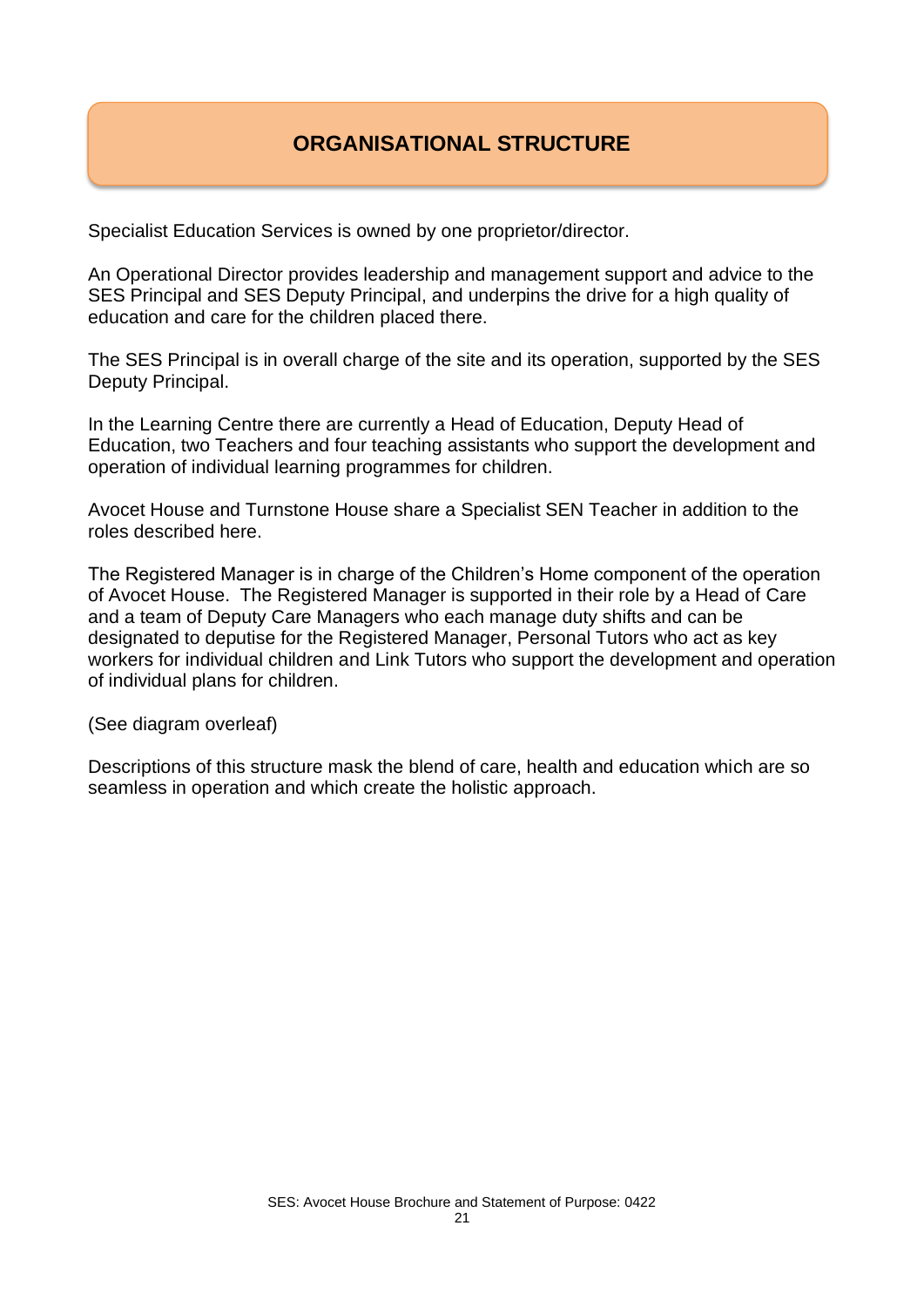# **ORGANISATIONAL STRUCTURE**

Specialist Education Services is owned by one proprietor/director.

An Operational Director provides leadership and management support and advice to the SES Principal and SES Deputy Principal, and underpins the drive for a high quality of education and care for the children placed there.

The SES Principal is in overall charge of the site and its operation, supported by the SES Deputy Principal.

In the Learning Centre there are currently a Head of Education, Deputy Head of Education, two Teachers and four teaching assistants who support the development and operation of individual learning programmes for children.

Avocet House and Turnstone House share a Specialist SEN Teacher in addition to the roles described here.

The Registered Manager is in charge of the Children's Home component of the operation of Avocet House. The Registered Manager is supported in their role by a Head of Care and a team of Deputy Care Managers who each manage duty shifts and can be designated to deputise for the Registered Manager, Personal Tutors who act as key workers for individual children and Link Tutors who support the development and operation of individual plans for children.

(See diagram overleaf)

Descriptions of this structure mask the blend of care, health and education which are so seamless in operation and which create the holistic approach.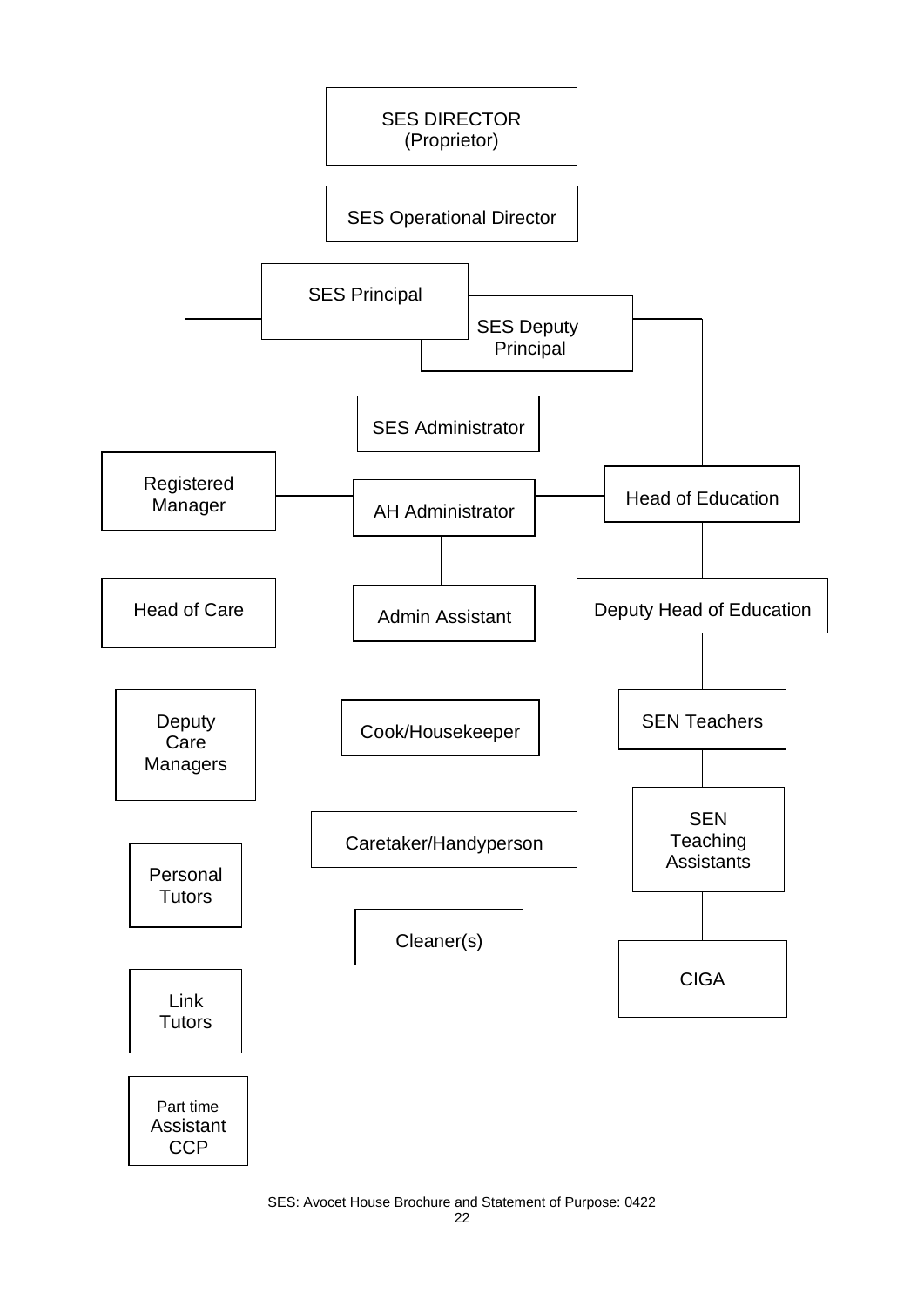

SES: Avocet House Brochure and Statement of Purpose: 0422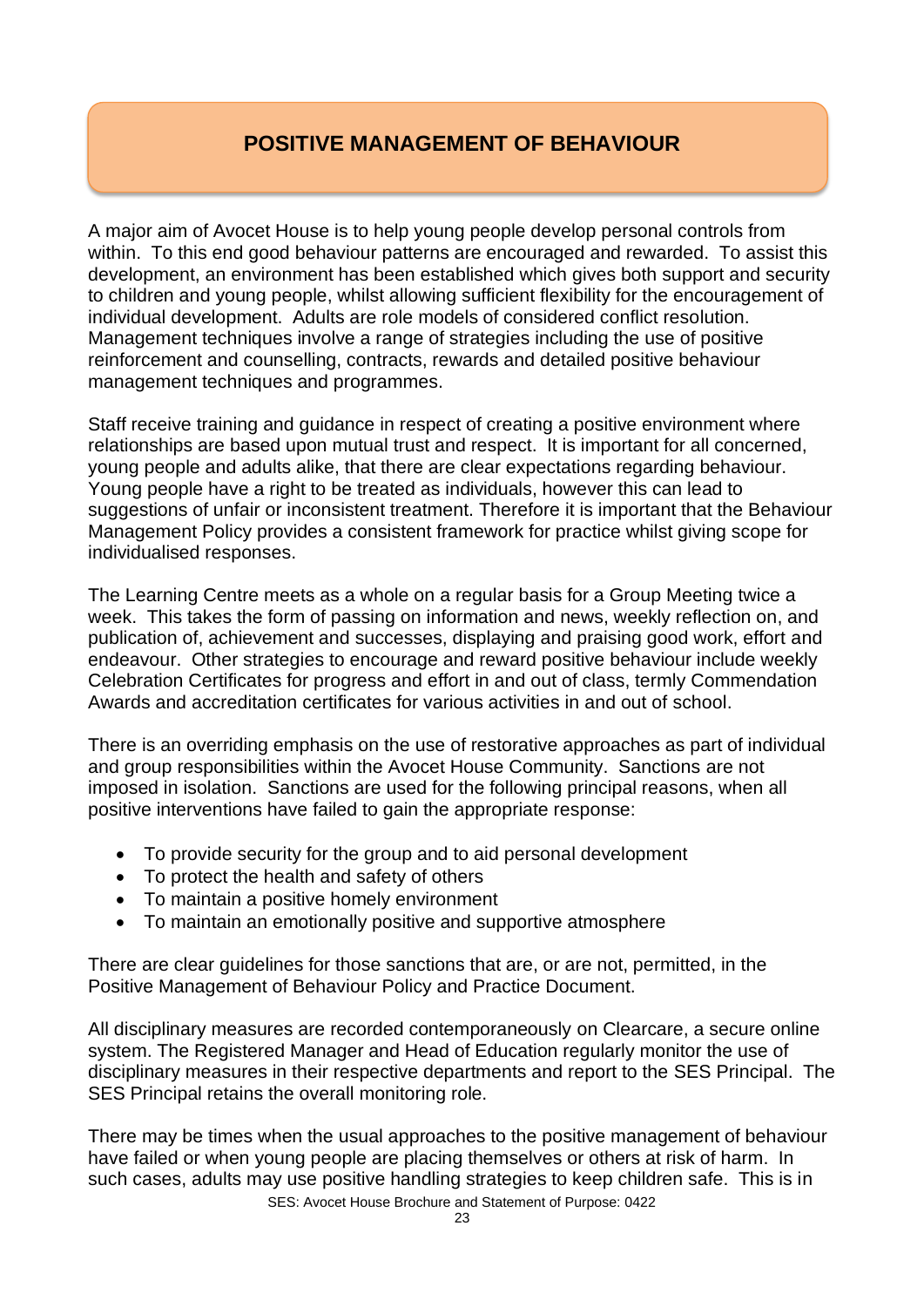# **POSITIVE MANAGEMENT OF BEHAVIOUR**

A major aim of Avocet House is to help young people develop personal controls from within. To this end good behaviour patterns are encouraged and rewarded. To assist this development, an environment has been established which gives both support and security to children and young people, whilst allowing sufficient flexibility for the encouragement of individual development. Adults are role models of considered conflict resolution. Management techniques involve a range of strategies including the use of positive reinforcement and counselling, contracts, rewards and detailed positive behaviour management techniques and programmes.

Staff receive training and guidance in respect of creating a positive environment where relationships are based upon mutual trust and respect. It is important for all concerned, young people and adults alike, that there are clear expectations regarding behaviour. Young people have a right to be treated as individuals, however this can lead to suggestions of unfair or inconsistent treatment. Therefore it is important that the Behaviour Management Policy provides a consistent framework for practice whilst giving scope for individualised responses.

The Learning Centre meets as a whole on a regular basis for a Group Meeting twice a week. This takes the form of passing on information and news, weekly reflection on, and publication of, achievement and successes, displaying and praising good work, effort and endeavour. Other strategies to encourage and reward positive behaviour include weekly Celebration Certificates for progress and effort in and out of class, termly Commendation Awards and accreditation certificates for various activities in and out of school.

There is an overriding emphasis on the use of restorative approaches as part of individual and group responsibilities within the Avocet House Community. Sanctions are not imposed in isolation. Sanctions are used for the following principal reasons, when all positive interventions have failed to gain the appropriate response:

- To provide security for the group and to aid personal development
- To protect the health and safety of others
- To maintain a positive homely environment
- To maintain an emotionally positive and supportive atmosphere

There are clear guidelines for those sanctions that are, or are not, permitted, in the Positive Management of Behaviour Policy and Practice Document.

All disciplinary measures are recorded contemporaneously on Clearcare, a secure online system. The Registered Manager and Head of Education regularly monitor the use of disciplinary measures in their respective departments and report to the SES Principal. The SES Principal retains the overall monitoring role.

SES: Avocet House Brochure and Statement of Purpose: 0422 There may be times when the usual approaches to the positive management of behaviour have failed or when young people are placing themselves or others at risk of harm. In such cases, adults may use positive handling strategies to keep children safe. This is in

23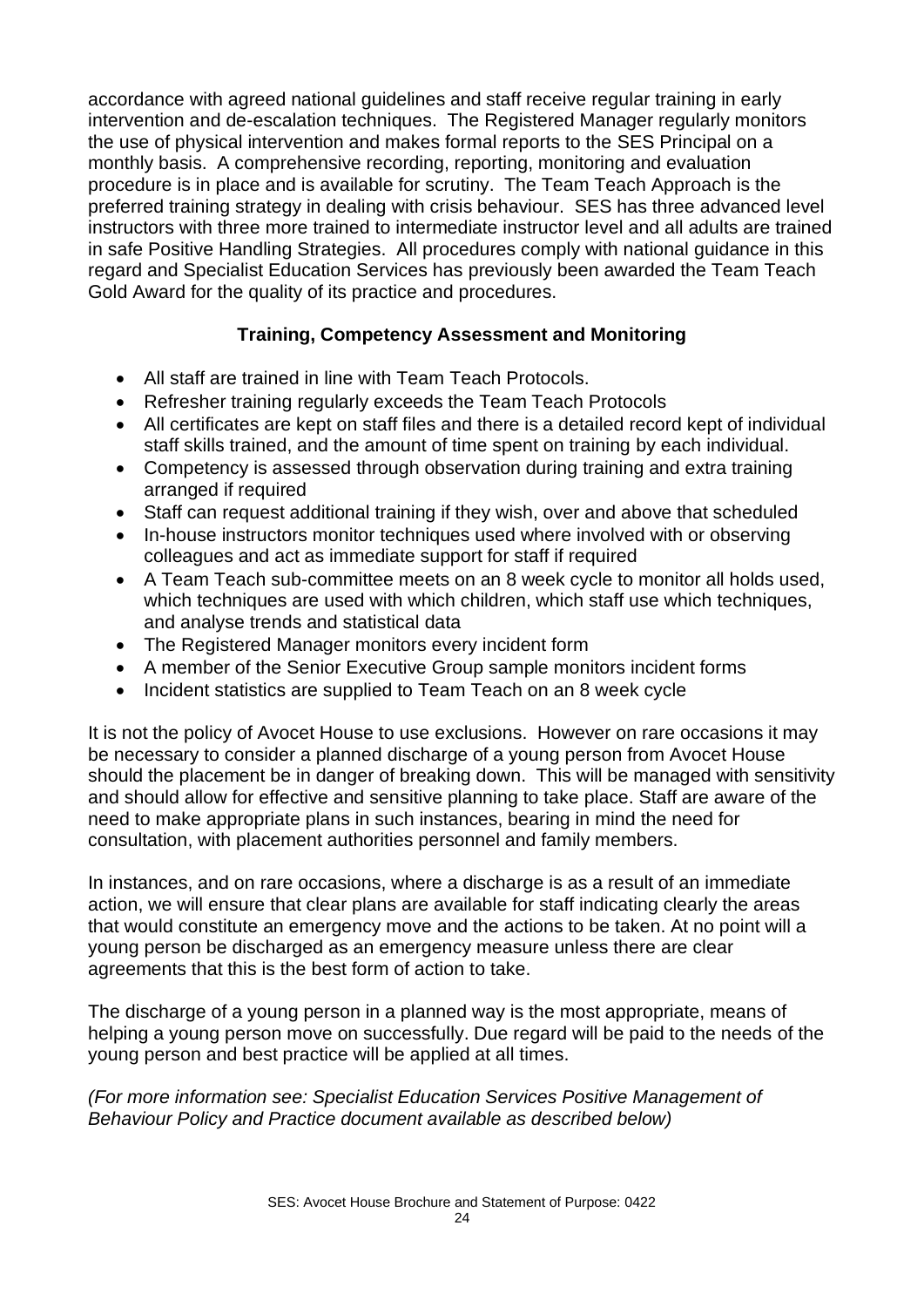accordance with agreed national guidelines and staff receive regular training in early intervention and de-escalation techniques. The Registered Manager regularly monitors the use of physical intervention and makes formal reports to the SES Principal on a monthly basis. A comprehensive recording, reporting, monitoring and evaluation procedure is in place and is available for scrutiny. The Team Teach Approach is the preferred training strategy in dealing with crisis behaviour. SES has three advanced level instructors with three more trained to intermediate instructor level and all adults are trained in safe Positive Handling Strategies. All procedures comply with national guidance in this regard and Specialist Education Services has previously been awarded the Team Teach Gold Award for the quality of its practice and procedures.

#### **Training, Competency Assessment and Monitoring**

- All staff are trained in line with Team Teach Protocols.
- Refresher training regularly exceeds the Team Teach Protocols
- All certificates are kept on staff files and there is a detailed record kept of individual staff skills trained, and the amount of time spent on training by each individual.
- Competency is assessed through observation during training and extra training arranged if required
- Staff can request additional training if they wish, over and above that scheduled
- In-house instructors monitor techniques used where involved with or observing colleagues and act as immediate support for staff if required
- A Team Teach sub-committee meets on an 8 week cycle to monitor all holds used, which techniques are used with which children, which staff use which techniques, and analyse trends and statistical data
- The Registered Manager monitors every incident form
- A member of the Senior Executive Group sample monitors incident forms
- Incident statistics are supplied to Team Teach on an 8 week cycle

It is not the policy of Avocet House to use exclusions. However on rare occasions it may be necessary to consider a planned discharge of a young person from Avocet House should the placement be in danger of breaking down. This will be managed with sensitivity and should allow for effective and sensitive planning to take place. Staff are aware of the need to make appropriate plans in such instances, bearing in mind the need for consultation, with placement authorities personnel and family members.

In instances, and on rare occasions, where a discharge is as a result of an immediate action, we will ensure that clear plans are available for staff indicating clearly the areas that would constitute an emergency move and the actions to be taken. At no point will a young person be discharged as an emergency measure unless there are clear agreements that this is the best form of action to take.

The discharge of a young person in a planned way is the most appropriate, means of helping a young person move on successfully. Due regard will be paid to the needs of the young person and best practice will be applied at all times.

*(For more information see: Specialist Education Services Positive Management of Behaviour Policy and Practice document available as described below)*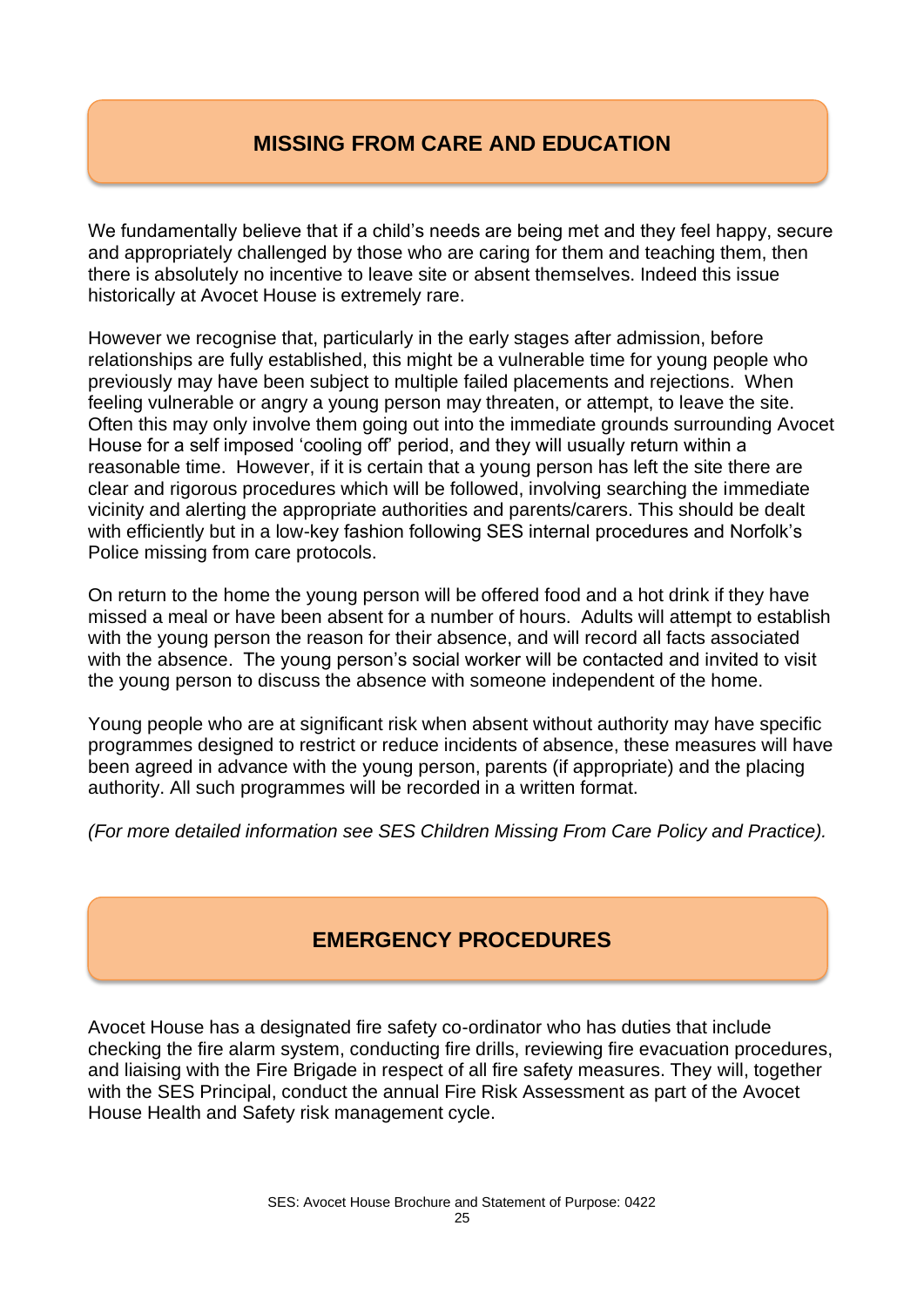# **MISSING FROM CARE AND EDUCATION**

We fundamentally believe that if a child's needs are being met and they feel happy, secure and appropriately challenged by those who are caring for them and teaching them, then there is absolutely no incentive to leave site or absent themselves. Indeed this issue historically at Avocet House is extremely rare.

However we recognise that, particularly in the early stages after admission, before relationships are fully established, this might be a vulnerable time for young people who previously may have been subject to multiple failed placements and rejections. When feeling vulnerable or angry a young person may threaten, or attempt, to leave the site. Often this may only involve them going out into the immediate grounds surrounding Avocet House for a self imposed 'cooling off' period, and they will usually return within a reasonable time. However, if it is certain that a young person has left the site there are clear and rigorous procedures which will be followed, involving searching the immediate vicinity and alerting the appropriate authorities and parents/carers. This should be dealt with efficiently but in a low-key fashion following SES internal procedures and Norfolk's Police missing from care protocols.

On return to the home the young person will be offered food and a hot drink if they have missed a meal or have been absent for a number of hours. Adults will attempt to establish with the young person the reason for their absence, and will record all facts associated with the absence. The young person's social worker will be contacted and invited to visit the young person to discuss the absence with someone independent of the home.

Young people who are at significant risk when absent without authority may have specific programmes designed to restrict or reduce incidents of absence, these measures will have been agreed in advance with the young person, parents (if appropriate) and the placing authority. All such programmes will be recorded in a written format.

*(For more detailed information see SES Children Missing From Care Policy and Practice).*

## **EMERGENCY PROCEDURES**

Avocet House has a designated fire safety co-ordinator who has duties that include checking the fire alarm system, conducting fire drills, reviewing fire evacuation procedures, and liaising with the Fire Brigade in respect of all fire safety measures. They will, together with the SES Principal, conduct the annual Fire Risk Assessment as part of the Avocet House Health and Safety risk management cycle.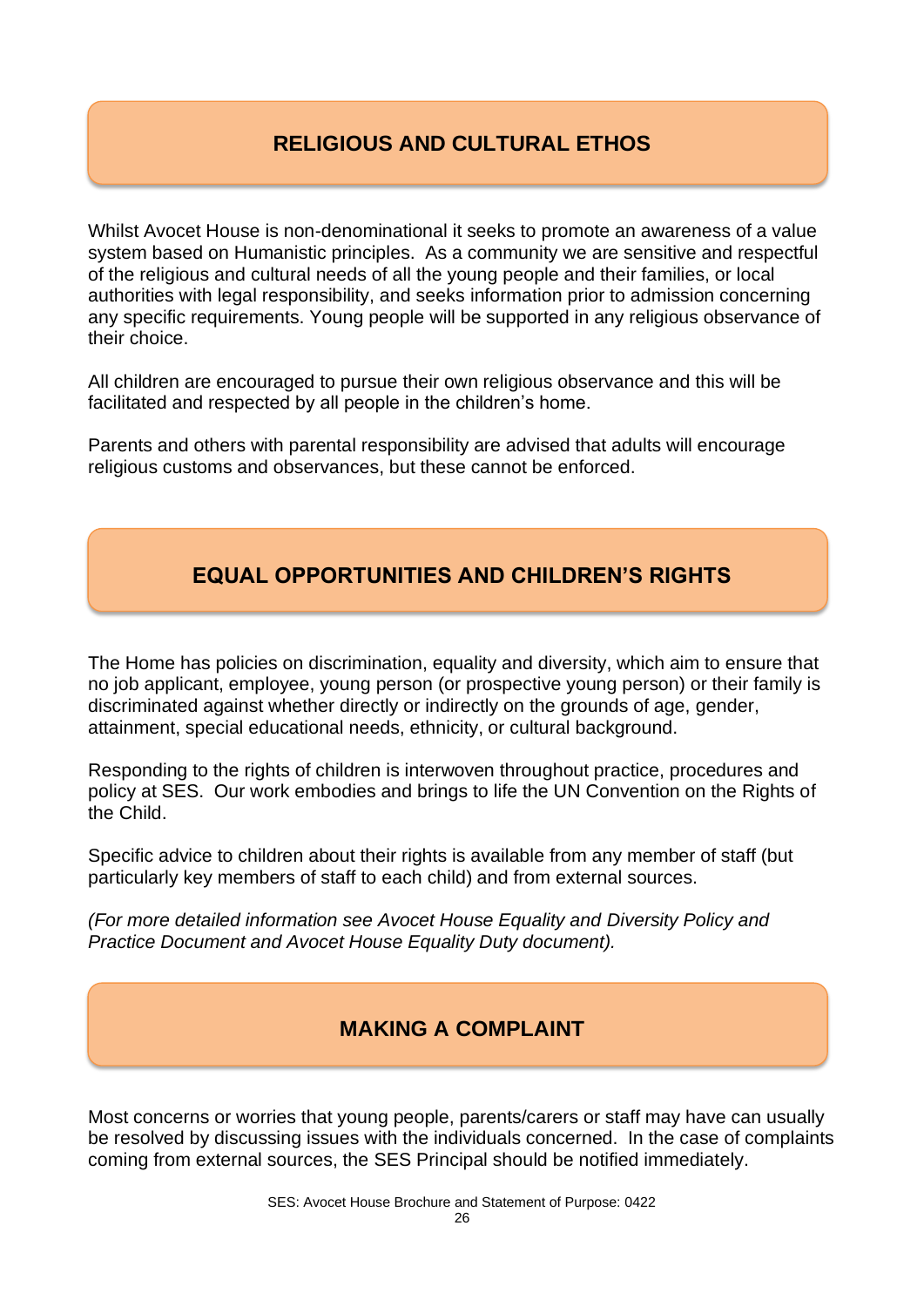# **RELIGIOUS AND CULTURAL ETHOS**

Whilst Avocet House is non-denominational it seeks to promote an awareness of a value system based on Humanistic principles. As a community we are sensitive and respectful of the religious and cultural needs of all the young people and their families, or local authorities with legal responsibility, and seeks information prior to admission concerning any specific requirements. Young people will be supported in any religious observance of their choice.

All children are encouraged to pursue their own religious observance and this will be facilitated and respected by all people in the children's home.

Parents and others with parental responsibility are advised that adults will encourage religious customs and observances, but these cannot be enforced.

# **EQUAL OPPORTUNITIES AND CHILDREN'S RIGHTS**

The Home has policies on discrimination, equality and diversity, which aim to ensure that no job applicant, employee, young person (or prospective young person) or their family is discriminated against whether directly or indirectly on the grounds of age, gender, attainment, special educational needs, ethnicity, or cultural background.

Responding to the rights of children is interwoven throughout practice, procedures and policy at SES. Our work embodies and brings to life the UN Convention on the Rights of the Child.

Specific advice to children about their rights is available from any member of staff (but particularly key members of staff to each child) and from external sources.

*(For more detailed information see Avocet House Equality and Diversity Policy and Practice Document and Avocet House Equality Duty document).*

#### **MAKING A COMPLAINT**

Most concerns or worries that young people, parents/carers or staff may have can usually be resolved by discussing issues with the individuals concerned. In the case of complaints coming from external sources, the SES Principal should be notified immediately.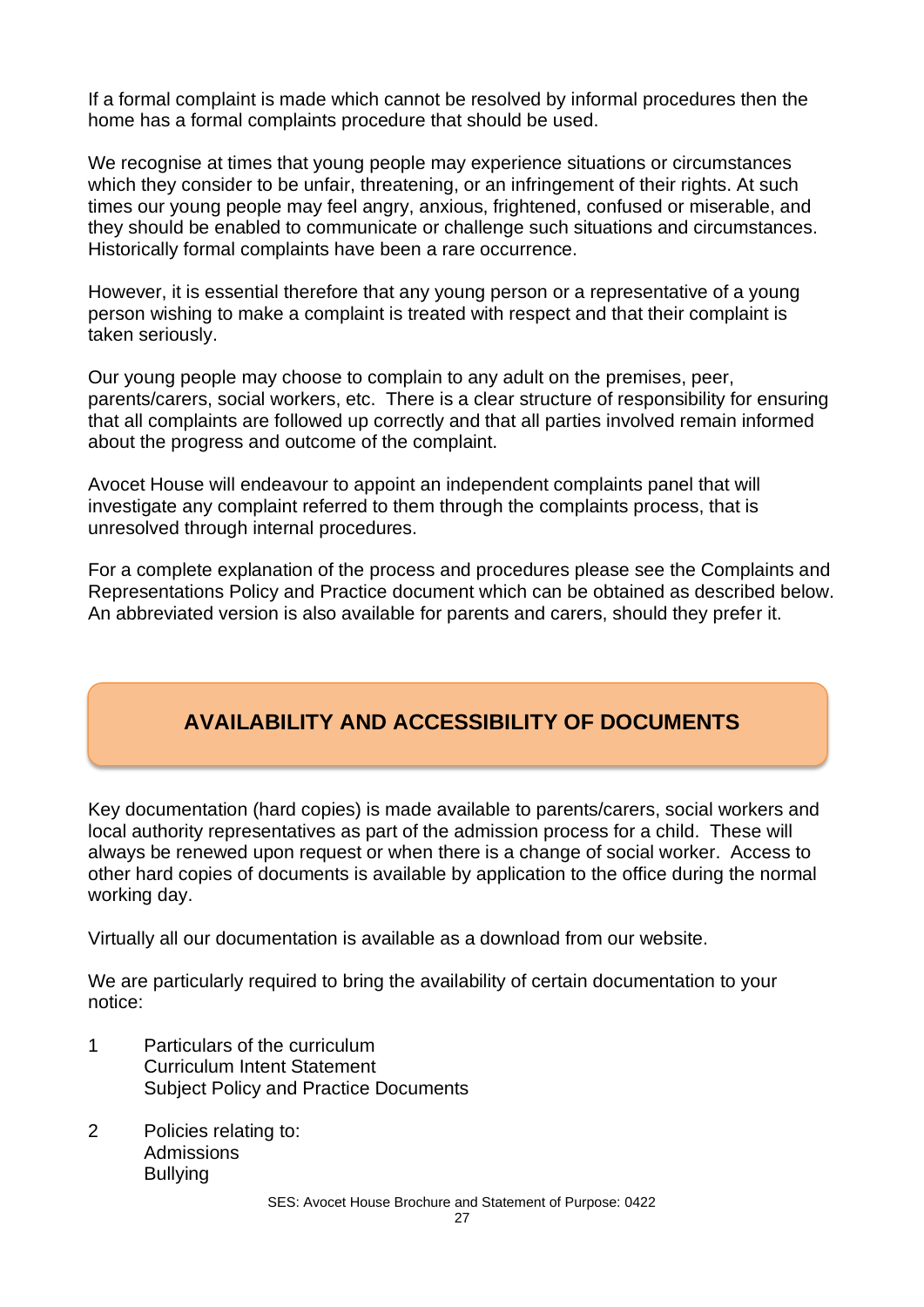If a formal complaint is made which cannot be resolved by informal procedures then the home has a formal complaints procedure that should be used.

We recognise at times that young people may experience situations or circumstances which they consider to be unfair, threatening, or an infringement of their rights. At such times our young people may feel angry, anxious, frightened, confused or miserable, and they should be enabled to communicate or challenge such situations and circumstances. Historically formal complaints have been a rare occurrence.

However, it is essential therefore that any young person or a representative of a young person wishing to make a complaint is treated with respect and that their complaint is taken seriously.

Our young people may choose to complain to any adult on the premises, peer, parents/carers, social workers, etc. There is a clear structure of responsibility for ensuring that all complaints are followed up correctly and that all parties involved remain informed about the progress and outcome of the complaint.

Avocet House will endeavour to appoint an independent complaints panel that will investigate any complaint referred to them through the complaints process, that is unresolved through internal procedures.

For a complete explanation of the process and procedures please see the Complaints and Representations Policy and Practice document which can be obtained as described below. An abbreviated version is also available for parents and carers, should they prefer it.

# **AVAILABILITY AND ACCESSIBILITY OF DOCUMENTS**

Key documentation (hard copies) is made available to parents/carers, social workers and local authority representatives as part of the admission process for a child. These will always be renewed upon request or when there is a change of social worker. Access to other hard copies of documents is available by application to the office during the normal working day.

Virtually all our documentation is available as a download from our website.

We are particularly required to bring the availability of certain documentation to your notice:

- 1 Particulars of the curriculum Curriculum Intent Statement Subject Policy and Practice Documents
- 2 Policies relating to: **Admissions Bullying**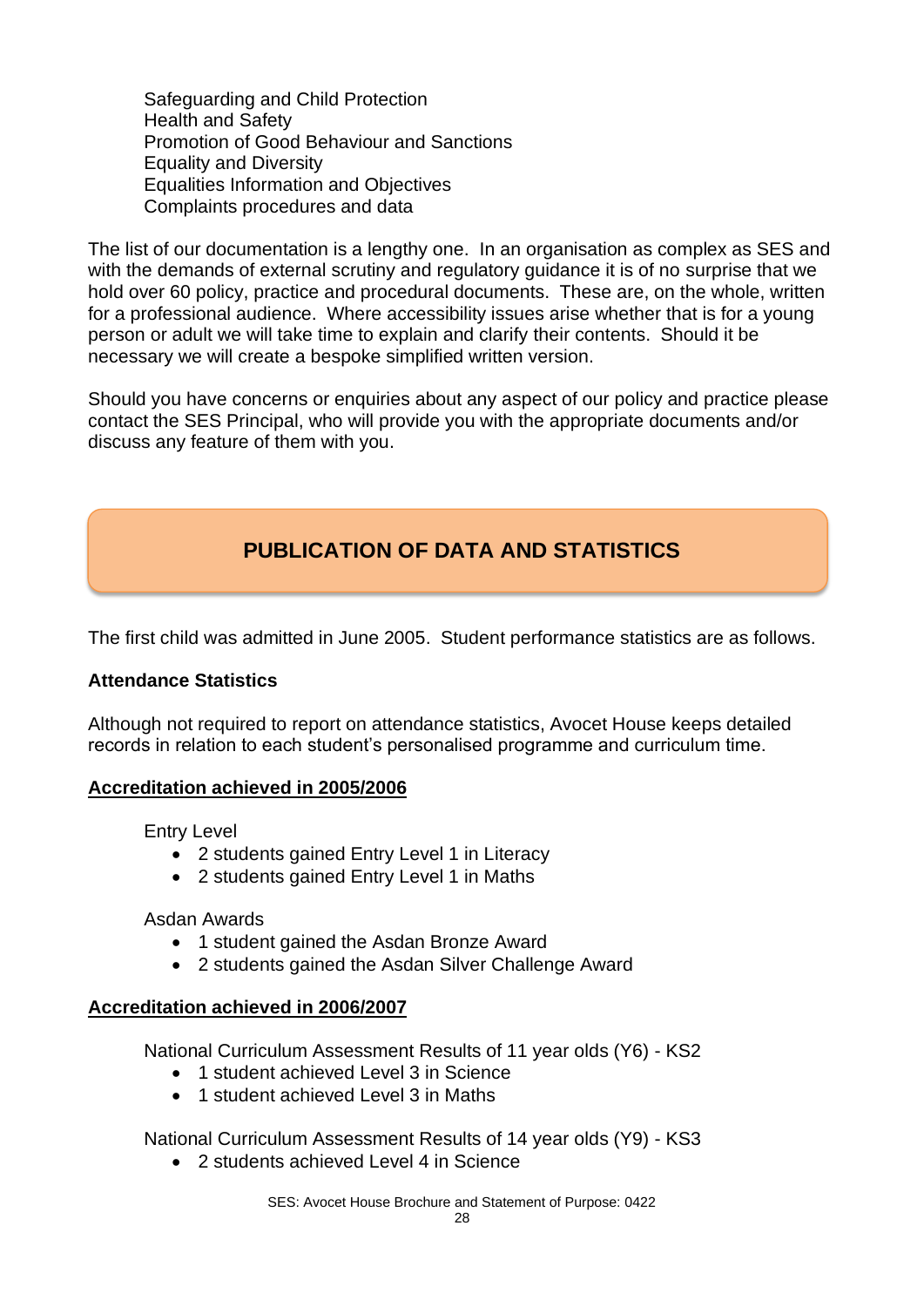Safeguarding and Child Protection Health and Safety Promotion of Good Behaviour and Sanctions Equality and Diversity Equalities Information and Objectives Complaints procedures and data

The list of our documentation is a lengthy one. In an organisation as complex as SES and with the demands of external scrutiny and regulatory guidance it is of no surprise that we hold over 60 policy, practice and procedural documents. These are, on the whole, written for a professional audience. Where accessibility issues arise whether that is for a young person or adult we will take time to explain and clarify their contents. Should it be necessary we will create a bespoke simplified written version.

Should you have concerns or enquiries about any aspect of our policy and practice please contact the SES Principal, who will provide you with the appropriate documents and/or discuss any feature of them with you.

# **PUBLICATION OF DATA AND STATISTICS**

The first child was admitted in June 2005. Student performance statistics are as follows.

#### **Attendance Statistics**

Although not required to report on attendance statistics, Avocet House keeps detailed records in relation to each student's personalised programme and curriculum time.

#### **Accreditation achieved in 2005/2006**

Entry Level

- 2 students gained Entry Level 1 in Literacy
- 2 students gained Entry Level 1 in Maths

#### Asdan Awards

- 1 student gained the Asdan Bronze Award
- 2 students gained the Asdan Silver Challenge Award

#### **Accreditation achieved in 2006/2007**

National Curriculum Assessment Results of 11 year olds (Y6) - KS2

- 1 student achieved Level 3 in Science
- 1 student achieved Level 3 in Maths

National Curriculum Assessment Results of 14 year olds (Y9) - KS3

• 2 students achieved Level 4 in Science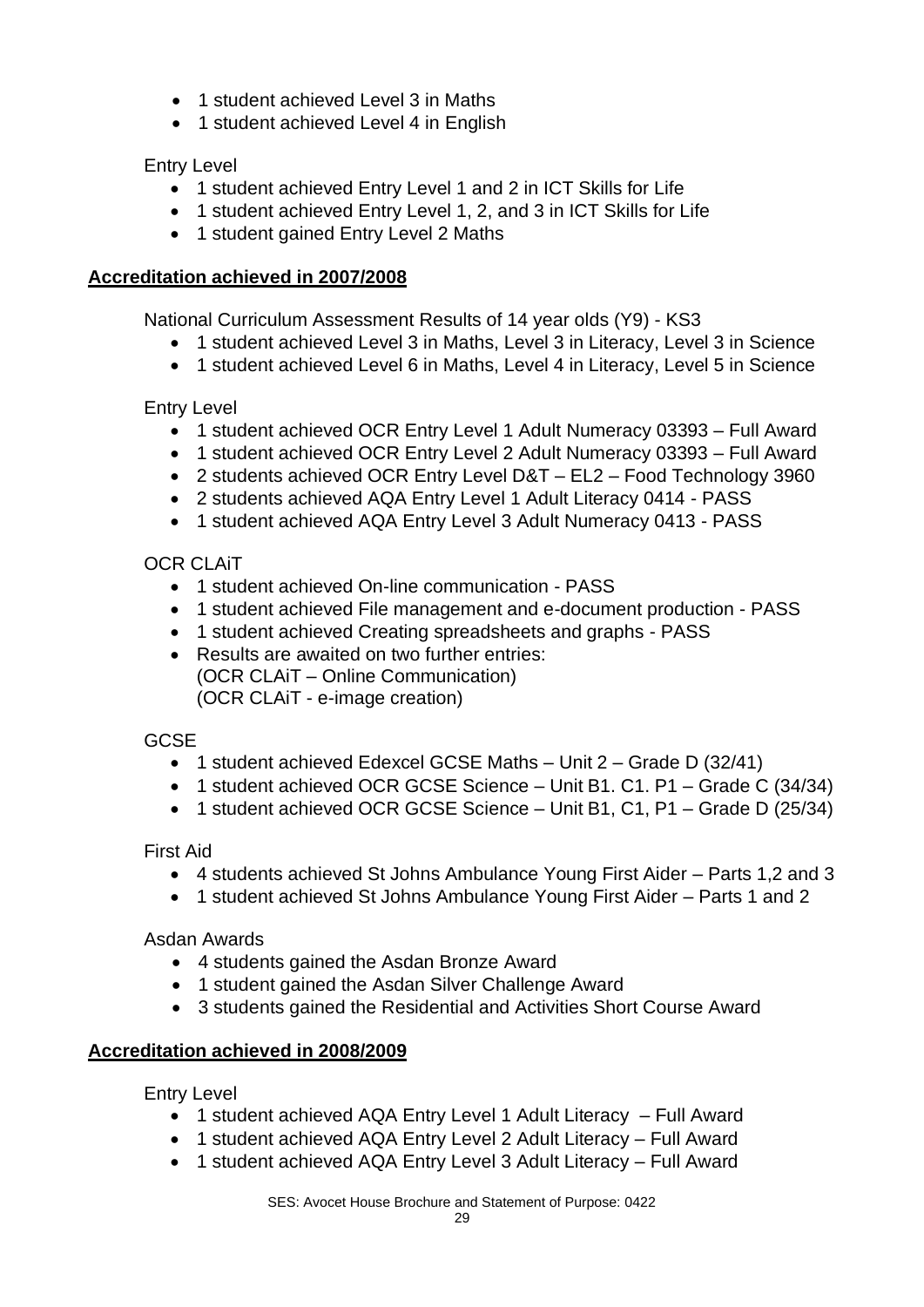- 1 student achieved Level 3 in Maths
- 1 student achieved Level 4 in English

Entry Level

- 1 student achieved Entry Level 1 and 2 in ICT Skills for Life
- 1 student achieved Entry Level 1, 2, and 3 in ICT Skills for Life
- 1 student gained Entry Level 2 Maths

#### **Accreditation achieved in 2007/2008**

National Curriculum Assessment Results of 14 year olds (Y9) - KS3

- 1 student achieved Level 3 in Maths, Level 3 in Literacy, Level 3 in Science
- 1 student achieved Level 6 in Maths, Level 4 in Literacy, Level 5 in Science

#### Entry Level

- 1 student achieved OCR Entry Level 1 Adult Numeracy 03393 Full Award
- 1 student achieved OCR Entry Level 2 Adult Numeracy 03393 Full Award
- 2 students achieved OCR Entry Level D&T EL2 Food Technology 3960
- 2 students achieved AQA Entry Level 1 Adult Literacy 0414 PASS
- 1 student achieved AQA Entry Level 3 Adult Numeracy 0413 PASS

#### OCR CLAiT

- 1 student achieved On-line communication PASS
- 1 student achieved File management and e-document production PASS
- 1 student achieved Creating spreadsheets and graphs PASS
- Results are awaited on two further entries: (OCR CLAiT – Online Communication) (OCR CLAiT - e-image creation)

#### **GCSE**

- 1 student achieved Edexcel GCSE Maths Unit 2 Grade D (32/41)
- 1 student achieved OCR GCSE Science Unit B1. C1. P1 Grade C (34/34)
- 1 student achieved OCR GCSE Science Unit B1, C1, P1 Grade D (25/34)

#### First Aid

- 4 students achieved St Johns Ambulance Young First Aider Parts 1,2 and 3
- 1 student achieved St Johns Ambulance Young First Aider Parts 1 and 2

#### Asdan Awards

- 4 students gained the Asdan Bronze Award
- 1 student gained the Asdan Silver Challenge Award
- 3 students gained the Residential and Activities Short Course Award

#### **Accreditation achieved in 2008/2009**

Entry Level

- 1 student achieved AQA Entry Level 1 Adult Literacy Full Award
- 1 student achieved AQA Entry Level 2 Adult Literacy Full Award
- 1 student achieved AQA Entry Level 3 Adult Literacy Full Award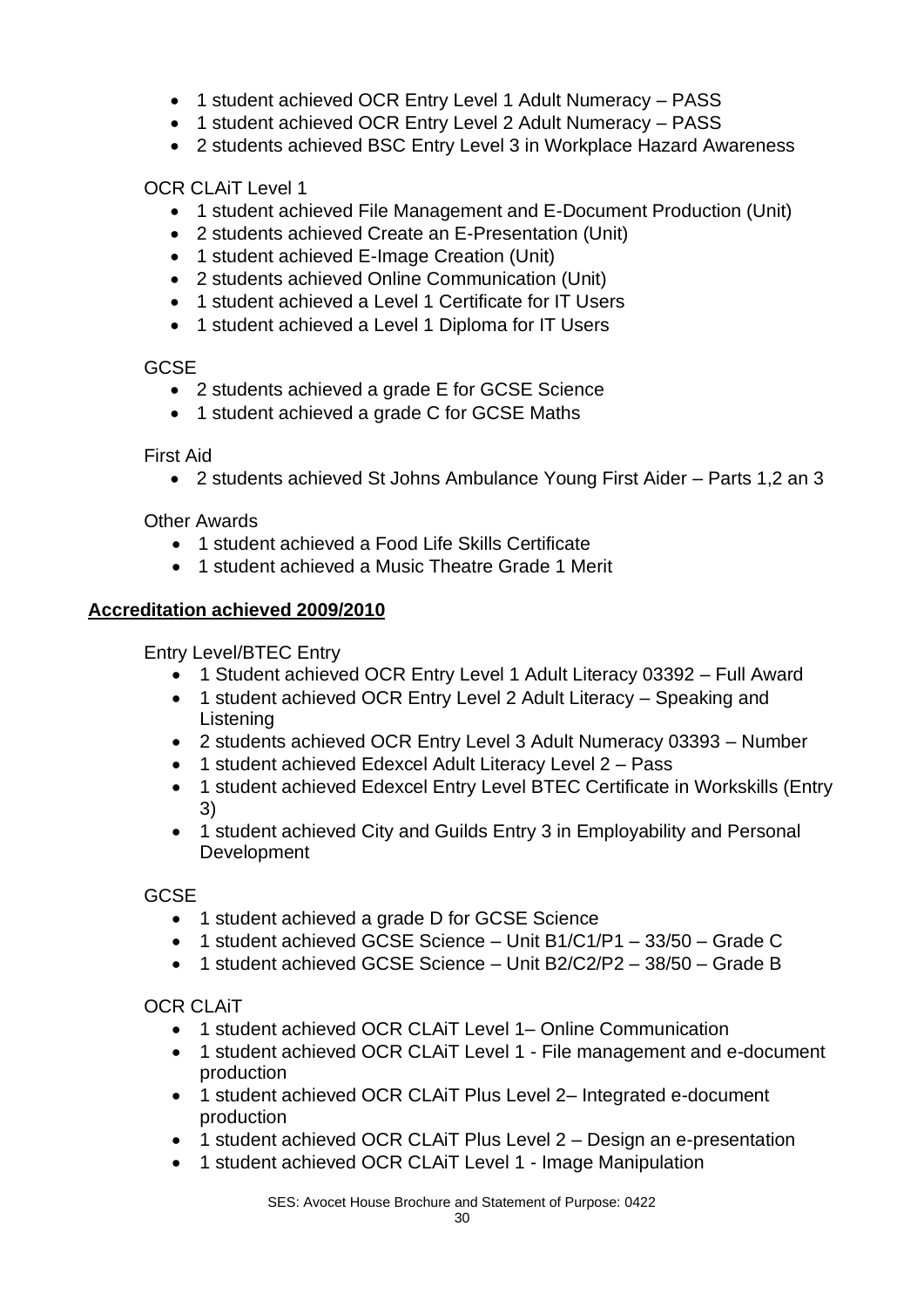- 1 student achieved OCR Entry Level 1 Adult Numeracy PASS
- 1 student achieved OCR Entry Level 2 Adult Numeracy PASS
- 2 students achieved BSC Entry Level 3 in Workplace Hazard Awareness

OCR CLAiT Level 1

- 1 student achieved File Management and E-Document Production (Unit)
- 2 students achieved Create an E-Presentation (Unit)
- 1 student achieved E-Image Creation (Unit)
- 2 students achieved Online Communication (Unit)
- 1 student achieved a Level 1 Certificate for IT Users
- 1 student achieved a Level 1 Diploma for IT Users

**GCSF** 

- 2 students achieved a grade E for GCSE Science
- 1 student achieved a grade C for GCSE Maths

#### First Aid

• 2 students achieved St Johns Ambulance Young First Aider – Parts 1,2 an 3

#### Other Awards

- 1 student achieved a Food Life Skills Certificate
- 1 student achieved a Music Theatre Grade 1 Merit

#### **Accreditation achieved 2009/2010**

Entry Level/BTEC Entry

- 1 Student achieved OCR Entry Level 1 Adult Literacy 03392 Full Award
- 1 student achieved OCR Entry Level 2 Adult Literacy Speaking and Listening
- 2 students achieved OCR Entry Level 3 Adult Numeracy 03393 Number
- 1 student achieved Edexcel Adult Literacy Level 2 Pass
- 1 student achieved Edexcel Entry Level BTEC Certificate in Workskills (Entry 3)
- 1 student achieved City and Guilds Entry 3 in Employability and Personal Development

**GCSE** 

- 1 student achieved a grade D for GCSE Science
- 1 student achieved GCSE Science Unit B1/C1/P1 33/50 Grade C
- 1 student achieved GCSE Science Unit B2/C2/P2 38/50 Grade B

#### OCR CLAiT

- 1 student achieved OCR CLAiT Level 1– Online Communication
- 1 student achieved OCR CLAiT Level 1 File management and e-document production
- 1 student achieved OCR CLAiT Plus Level 2– Integrated e-document production
- 1 student achieved OCR CLAiT Plus Level 2 Design an e-presentation
- 1 student achieved OCR CLAiT Level 1 Image Manipulation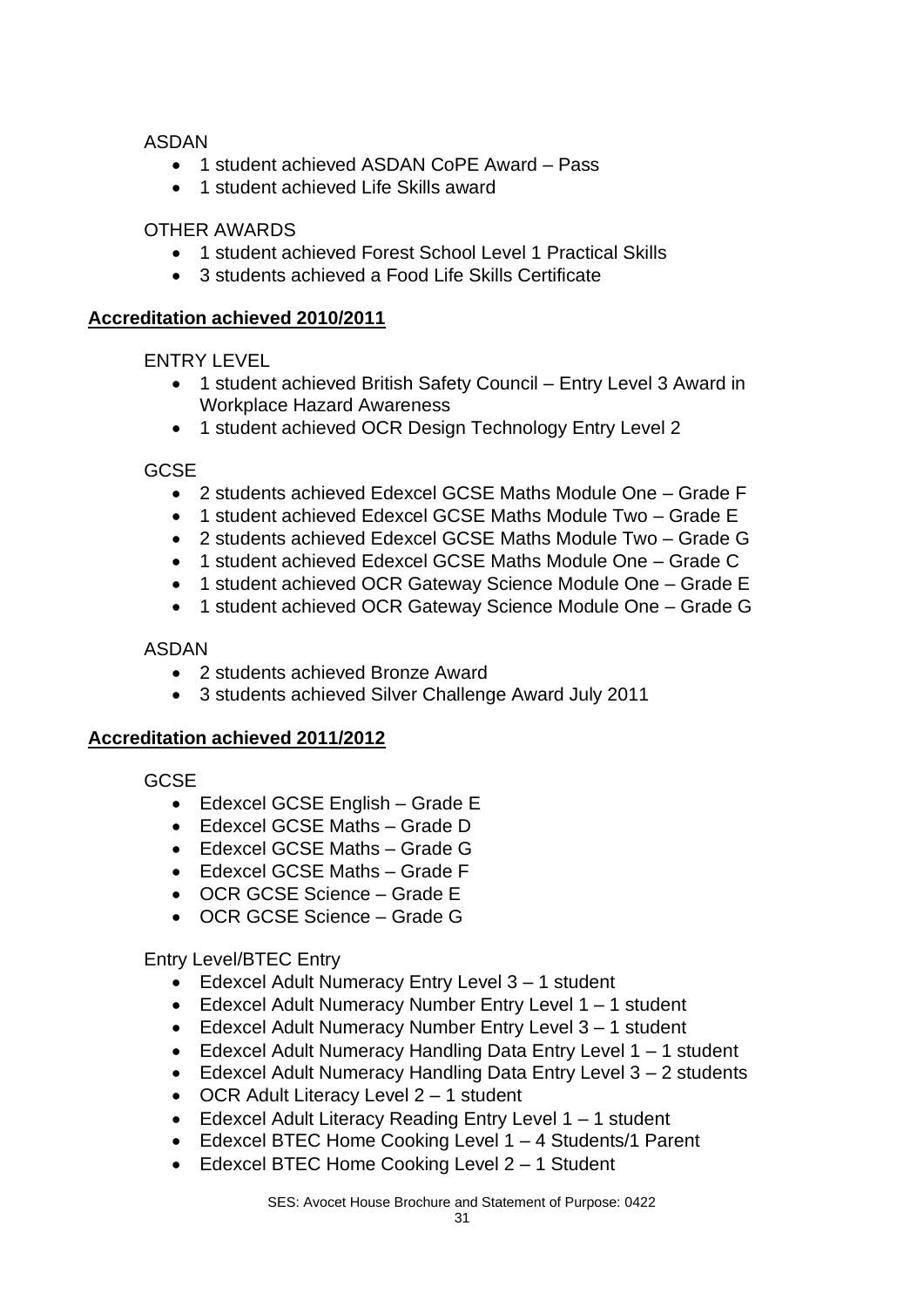ASDAN

- 1 student achieved ASDAN CoPE Award Pass
- 1 student achieved Life Skills award

#### OTHER AWARDS

- 1 student achieved Forest School Level 1 Practical Skills
- 3 students achieved a Food Life Skills Certificate

#### **Accreditation achieved 2010/2011**

ENTRY LEVEL

- 1 student achieved British Safety Council Entry Level 3 Award in Workplace Hazard Awareness
- 1 student achieved OCR Design Technology Entry Level 2

**GCSE** 

- 2 students achieved Edexcel GCSE Maths Module One Grade F
- 1 student achieved Edexcel GCSE Maths Module Two Grade E
- 2 students achieved Edexcel GCSE Maths Module Two Grade G
- 1 student achieved Edexcel GCSE Maths Module One Grade C
- 1 student achieved OCR Gateway Science Module One Grade E
- 1 student achieved OCR Gateway Science Module One Grade G

#### ASDAN

- 2 students achieved Bronze Award
- 3 students achieved Silver Challenge Award July 2011

#### **Accreditation achieved 2011/2012**

GCSE

- Edexcel GCSE English Grade E
- Edexcel GCSE Maths Grade D
- Edexcel GCSE Maths Grade G
- Edexcel GCSE Maths Grade F
- OCR GCSE Science Grade E
- OCR GCSE Science Grade G

Entry Level/BTEC Entry

- Edexcel Adult Numeracy Entry Level 3 1 student
- Edexcel Adult Numeracy Number Entry Level 1 1 student
- Edexcel Adult Numeracy Number Entry Level 3 1 student
- Edexcel Adult Numeracy Handling Data Entry Level 1 1 student
- Edexcel Adult Numeracy Handling Data Entry Level 3 2 students
- OCR Adult Literacy Level 2 1 student
- Edexcel Adult Literacy Reading Entry Level 1 1 student
- Edexcel BTEC Home Cooking Level 1 4 Students/1 Parent
- Edexcel BTEC Home Cooking Level 2 1 Student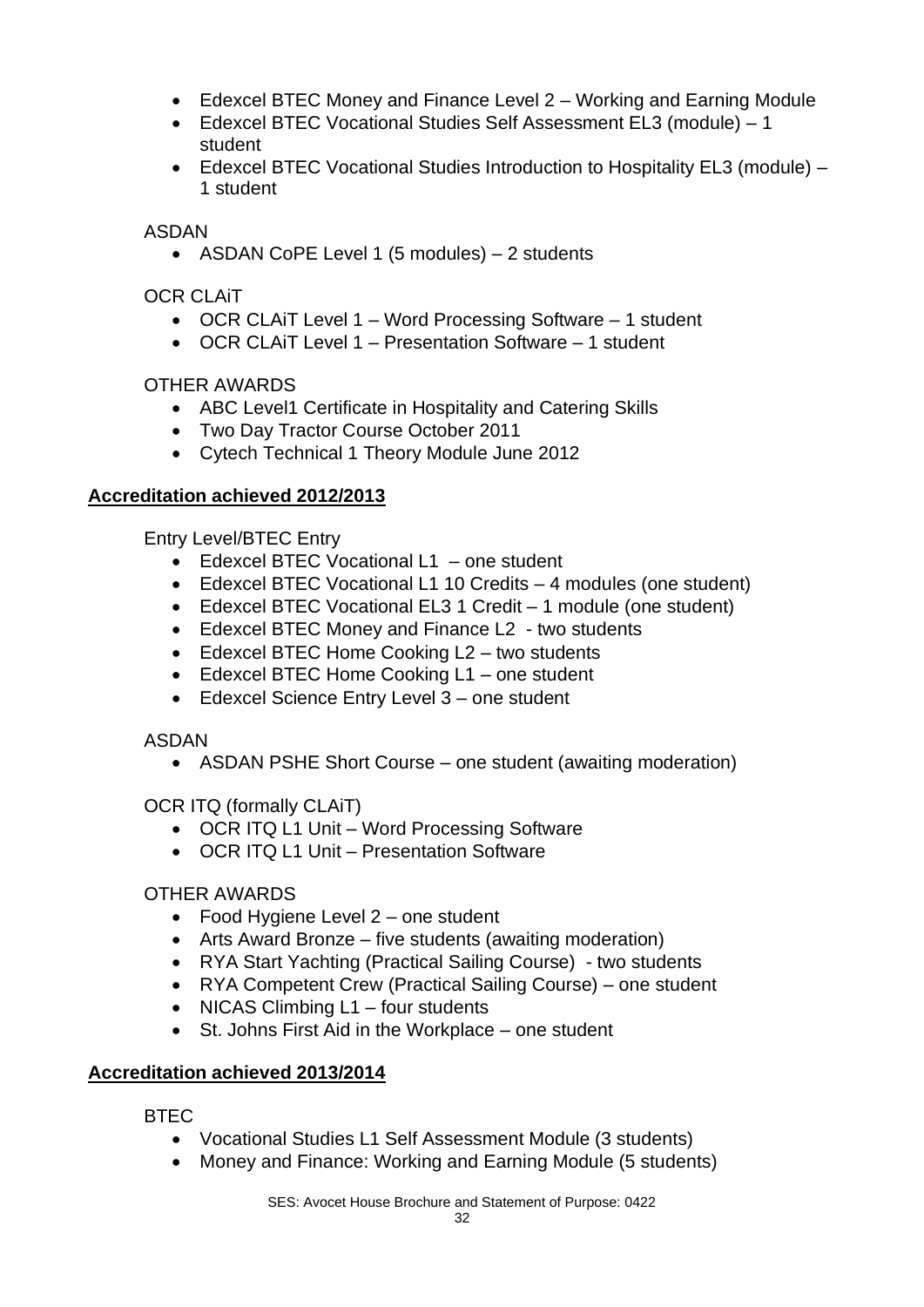- Edexcel BTEC Money and Finance Level 2 Working and Earning Module
- Edexcel BTEC Vocational Studies Self Assessment EL3 (module) 1 student
- Edexcel BTEC Vocational Studies Introduction to Hospitality EL3 (module) 1 student

ASDAN

• ASDAN CoPE Level 1 (5 modules) – 2 students

OCR CLAiT

- OCR CLAiT Level 1 Word Processing Software 1 student
- OCR CLAIT Level 1 Presentation Software 1 student

OTHER AWARDS

- ABC Level1 Certificate in Hospitality and Catering Skills
- Two Day Tractor Course October 2011
- Cytech Technical 1 Theory Module June 2012

#### **Accreditation achieved 2012/2013**

Entry Level/BTEC Entry

- Edexcel BTEC Vocational L1 one student
- Edexcel BTEC Vocational L1 10 Credits 4 modules (one student)
- Edexcel BTEC Vocational EL3 1 Credit 1 module (one student)
- Edexcel BTEC Money and Finance L2 two students
- Edexcel BTEC Home Cooking L2 two students
- Edexcel BTEC Home Cooking L1 one student
- Edexcel Science Entry Level 3 one student

#### ASDAN

• ASDAN PSHE Short Course – one student (awaiting moderation)

OCR ITQ (formally CLAiT)

- OCR ITQ L1 Unit Word Processing Software
- OCR ITQ L1 Unit Presentation Software

#### OTHER AWARDS

- Food Hygiene Level 2 one student
- Arts Award Bronze five students (awaiting moderation)
- RYA Start Yachting (Practical Sailing Course) two students
- RYA Competent Crew (Practical Sailing Course) one student
- NICAS Climbing L1 four students
- St. Johns First Aid in the Workplace one student

#### **Accreditation achieved 2013/2014**

BTEC

- Vocational Studies L1 Self Assessment Module (3 students)
- Money and Finance: Working and Earning Module (5 students)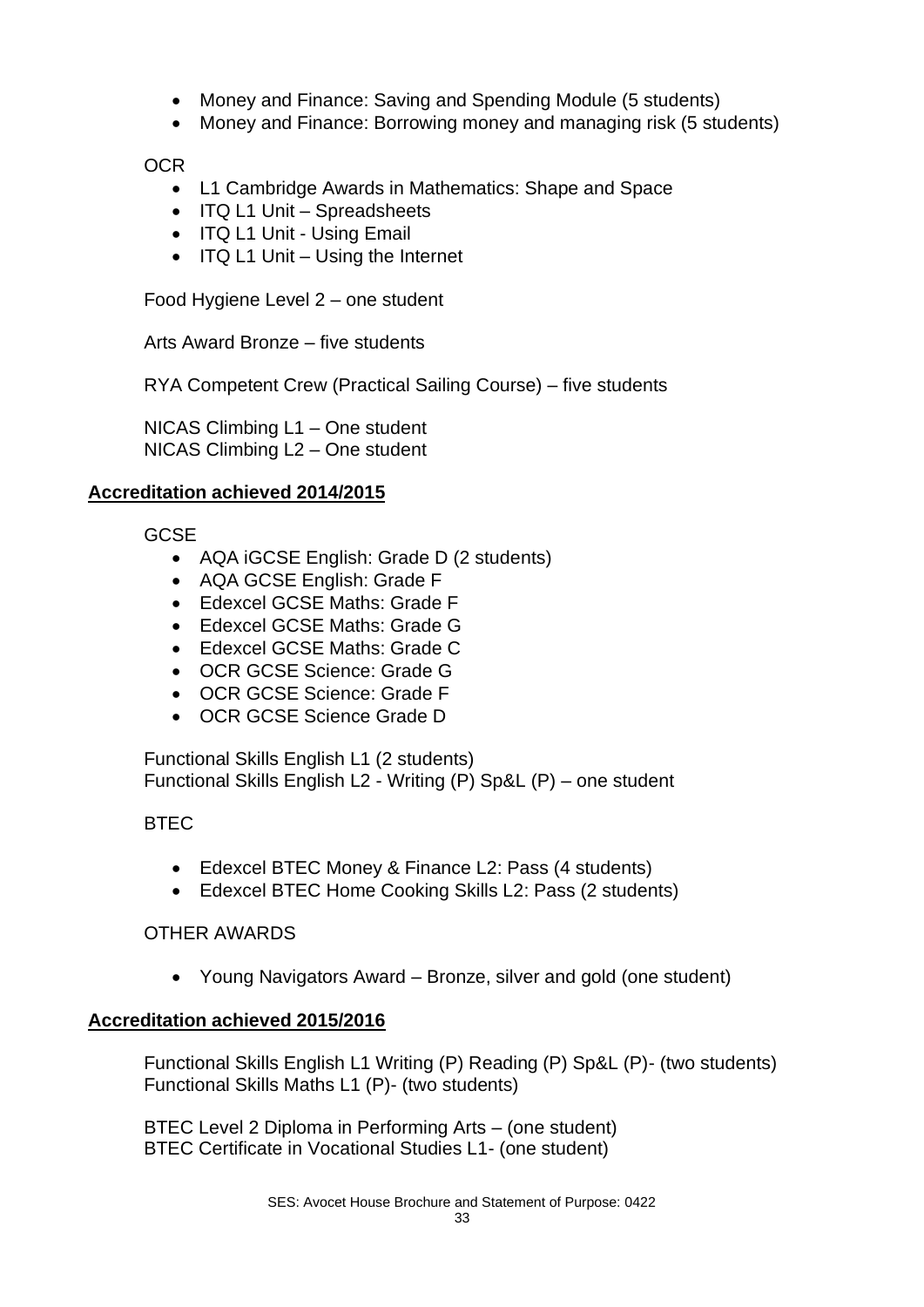- Money and Finance: Saving and Spending Module (5 students)
- Money and Finance: Borrowing money and managing risk (5 students)

#### OCR

- L1 Cambridge Awards in Mathematics: Shape and Space
- ITQ L1 Unit Spreadsheets
- ITQ L1 Unit Using Email
- ITQ L1 Unit Using the Internet

Food Hygiene Level 2 – one student

Arts Award Bronze – five students

RYA Competent Crew (Practical Sailing Course) – five students

NICAS Climbing L1 – One student NICAS Climbing L2 – One student

#### **Accreditation achieved 2014/2015**

**GCSE** 

- AQA iGCSE English: Grade D (2 students)
- AQA GCSE English: Grade F
- Edexcel GCSE Maths: Grade F
- Edexcel GCSE Maths: Grade G
- Edexcel GCSE Maths: Grade C
- OCR GCSE Science: Grade G
- OCR GCSE Science: Grade F
- OCR GCSE Science Grade D

Functional Skills English L1 (2 students) Functional Skills English L2 - Writing (P) Sp&L (P) – one student

#### BTEC

- Edexcel BTEC Money & Finance L2: Pass (4 students)
- Edexcel BTEC Home Cooking Skills L2: Pass (2 students)

#### OTHER AWARDS

• Young Navigators Award – Bronze, silver and gold (one student)

#### **Accreditation achieved 2015/2016**

Functional Skills English L1 Writing (P) Reading (P) Sp&L (P)- (two students) Functional Skills Maths L1 (P)- (two students)

BTEC Level 2 Diploma in Performing Arts – (one student) BTEC Certificate in Vocational Studies L1- (one student)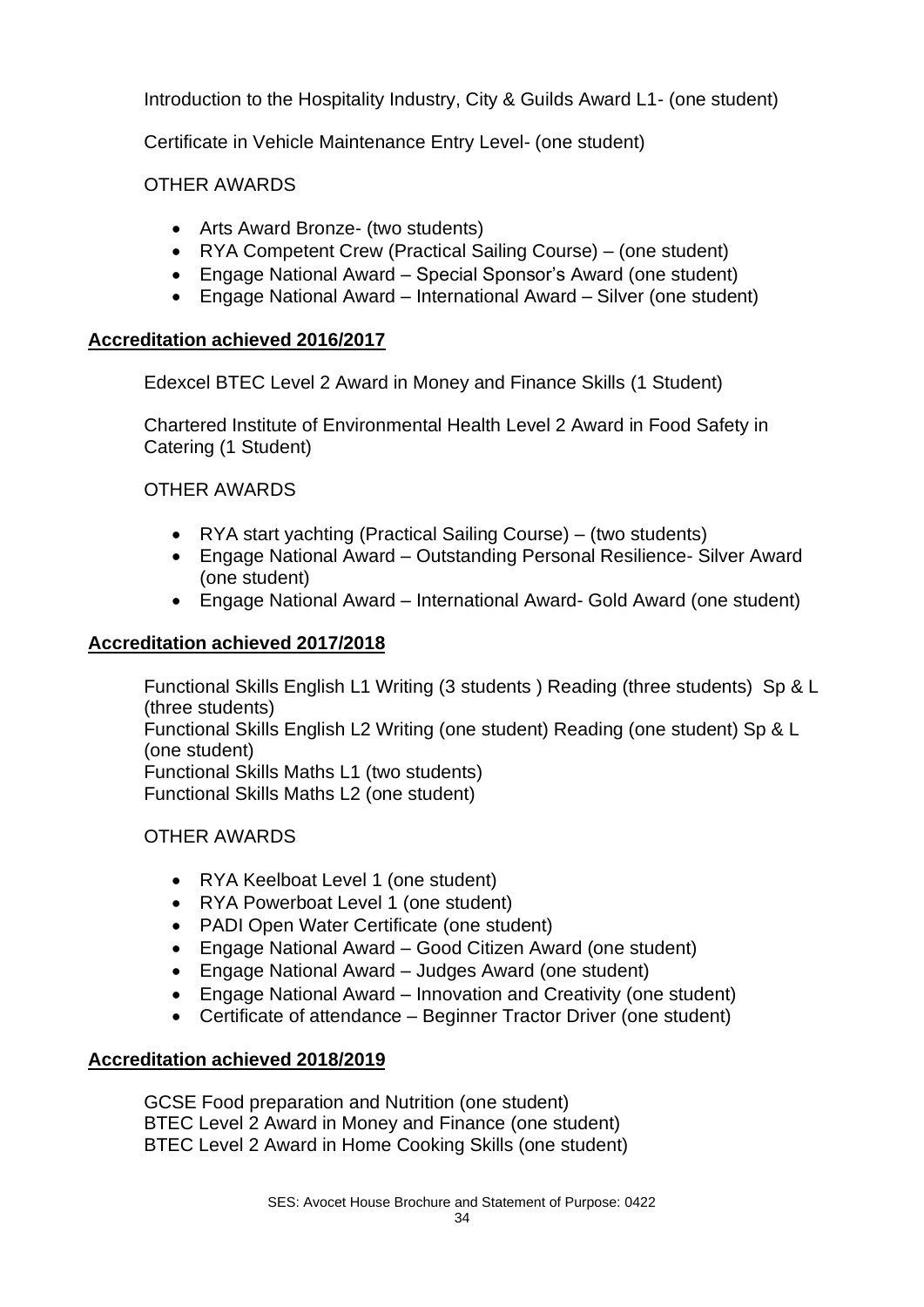Introduction to the Hospitality Industry, City & Guilds Award L1- (one student)

Certificate in Vehicle Maintenance Entry Level- (one student)

OTHER AWARDS

- Arts Award Bronze- (two students)
- RYA Competent Crew (Practical Sailing Course) (one student)
- Engage National Award Special Sponsor's Award (one student)
- Engage National Award International Award Silver (one student)

#### **Accreditation achieved 2016/2017**

Edexcel BTEC Level 2 Award in Money and Finance Skills (1 Student)

Chartered Institute of Environmental Health Level 2 Award in Food Safety in Catering (1 Student)

OTHER AWARDS

- RYA start yachting (Practical Sailing Course) (two students)
- Engage National Award Outstanding Personal Resilience- Silver Award (one student)
- Engage National Award International Award- Gold Award (one student)

#### **Accreditation achieved 2017/2018**

Functional Skills English L1 Writing (3 students ) Reading (three students) Sp & L (three students)

Functional Skills English L2 Writing (one student) Reading (one student) Sp & L (one student)

Functional Skills Maths L1 (two students) Functional Skills Maths L2 (one student)

#### OTHER AWARDS

- RYA Keelboat Level 1 (one student)
- RYA Powerboat Level 1 (one student)
- PADI Open Water Certificate (one student)
- Engage National Award Good Citizen Award (one student)
- Engage National Award Judges Award (one student)
- Engage National Award Innovation and Creativity (one student)
- Certificate of attendance Beginner Tractor Driver (one student)

#### **Accreditation achieved 2018/2019**

GCSE Food preparation and Nutrition (one student) BTEC Level 2 Award in Money and Finance (one student) BTEC Level 2 Award in Home Cooking Skills (one student)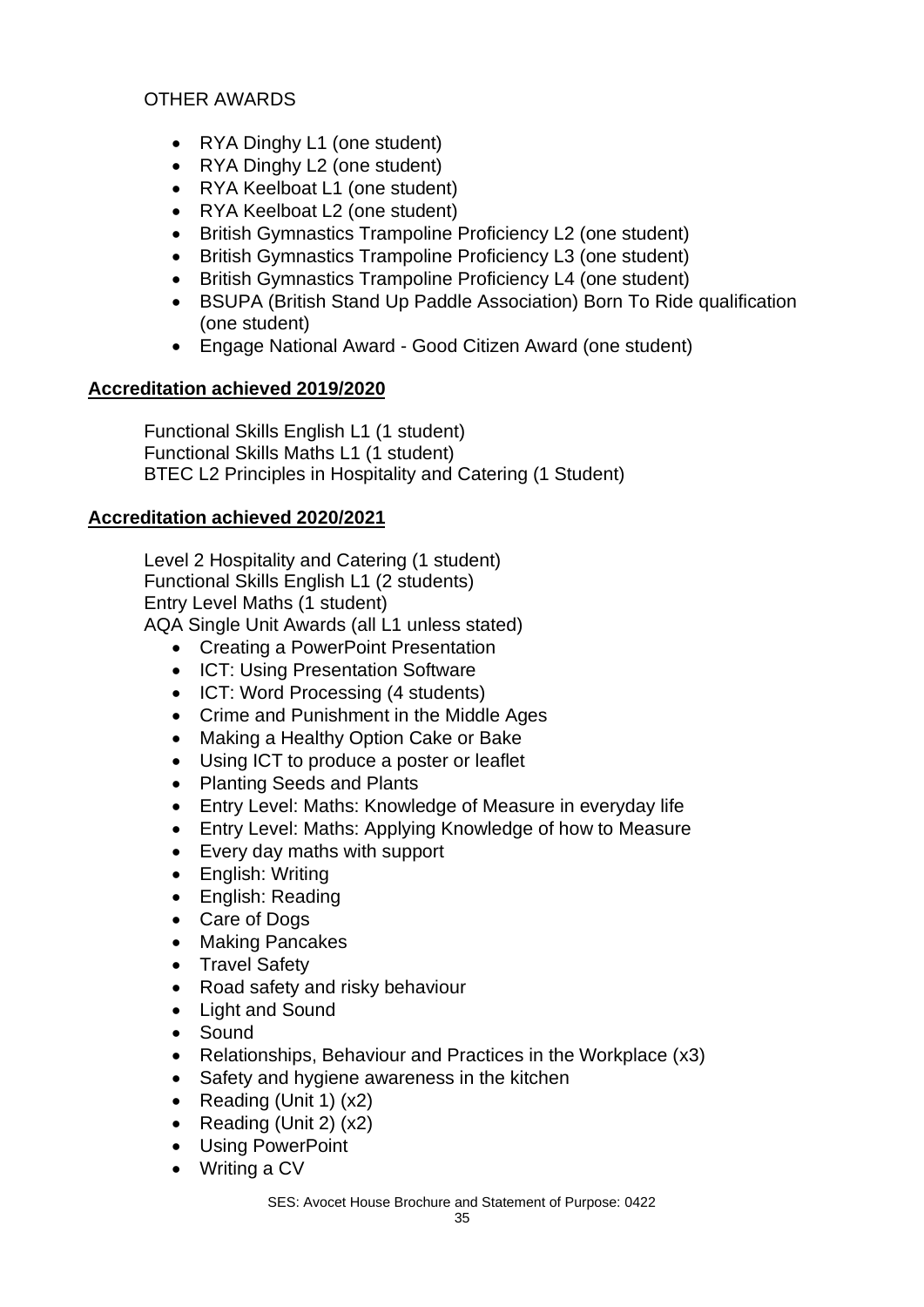#### OTHER AWARDS

- RYA Dinghy L1 (one student)
- RYA Dinghy L2 (one student)
- RYA Keelboat L1 (one student)
- RYA Keelboat L2 (one student)
- British Gymnastics Trampoline Proficiency L2 (one student)
- British Gymnastics Trampoline Proficiency L3 (one student)
- British Gymnastics Trampoline Proficiency L4 (one student)
- BSUPA (British Stand Up Paddle Association) Born To Ride qualification (one student)
- Engage National Award Good Citizen Award (one student)

#### **Accreditation achieved 2019/2020**

Functional Skills English L1 (1 student) Functional Skills Maths L1 (1 student) BTEC L2 Principles in Hospitality and Catering (1 Student)

#### **Accreditation achieved 2020/2021**

Level 2 Hospitality and Catering (1 student) Functional Skills English L1 (2 students) Entry Level Maths (1 student)

AQA Single Unit Awards (all L1 unless stated)

- Creating a PowerPoint Presentation
- ICT: Using Presentation Software
- ICT: Word Processing (4 students)
- Crime and Punishment in the Middle Ages
- Making a Healthy Option Cake or Bake
- Using ICT to produce a poster or leaflet
- Planting Seeds and Plants
- Entry Level: Maths: Knowledge of Measure in everyday life
- Entry Level: Maths: Applying Knowledge of how to Measure
- Every day maths with support
- English: Writing
- English: Reading
- Care of Dogs
- Making Pancakes
- Travel Safety
- Road safety and risky behaviour
- Light and Sound
- Sound
- Relationships, Behaviour and Practices in the Workplace (x3)
- Safety and hygiene awareness in the kitchen
- Reading (Unit 1) (x2)
- Reading (Unit 2) (x2)
- Using PowerPoint
- Writing a CV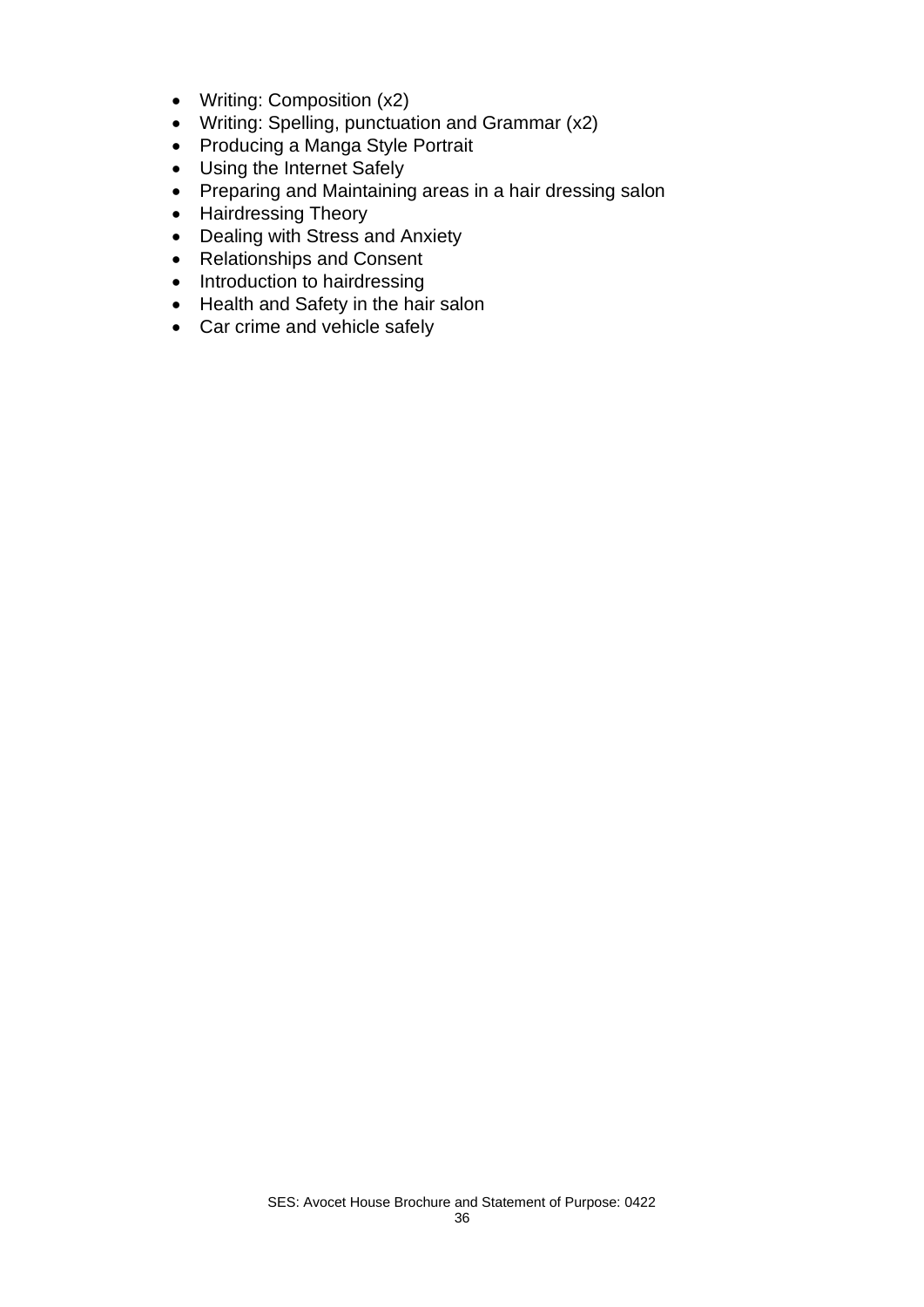- Writing: Composition (x2)
- Writing: Spelling, punctuation and Grammar (x2)
- Producing a Manga Style Portrait
- Using the Internet Safely
- Preparing and Maintaining areas in a hair dressing salon
- Hairdressing Theory
- Dealing with Stress and Anxiety
- Relationships and Consent
- Introduction to hairdressing
- Health and Safety in the hair salon
- Car crime and vehicle safely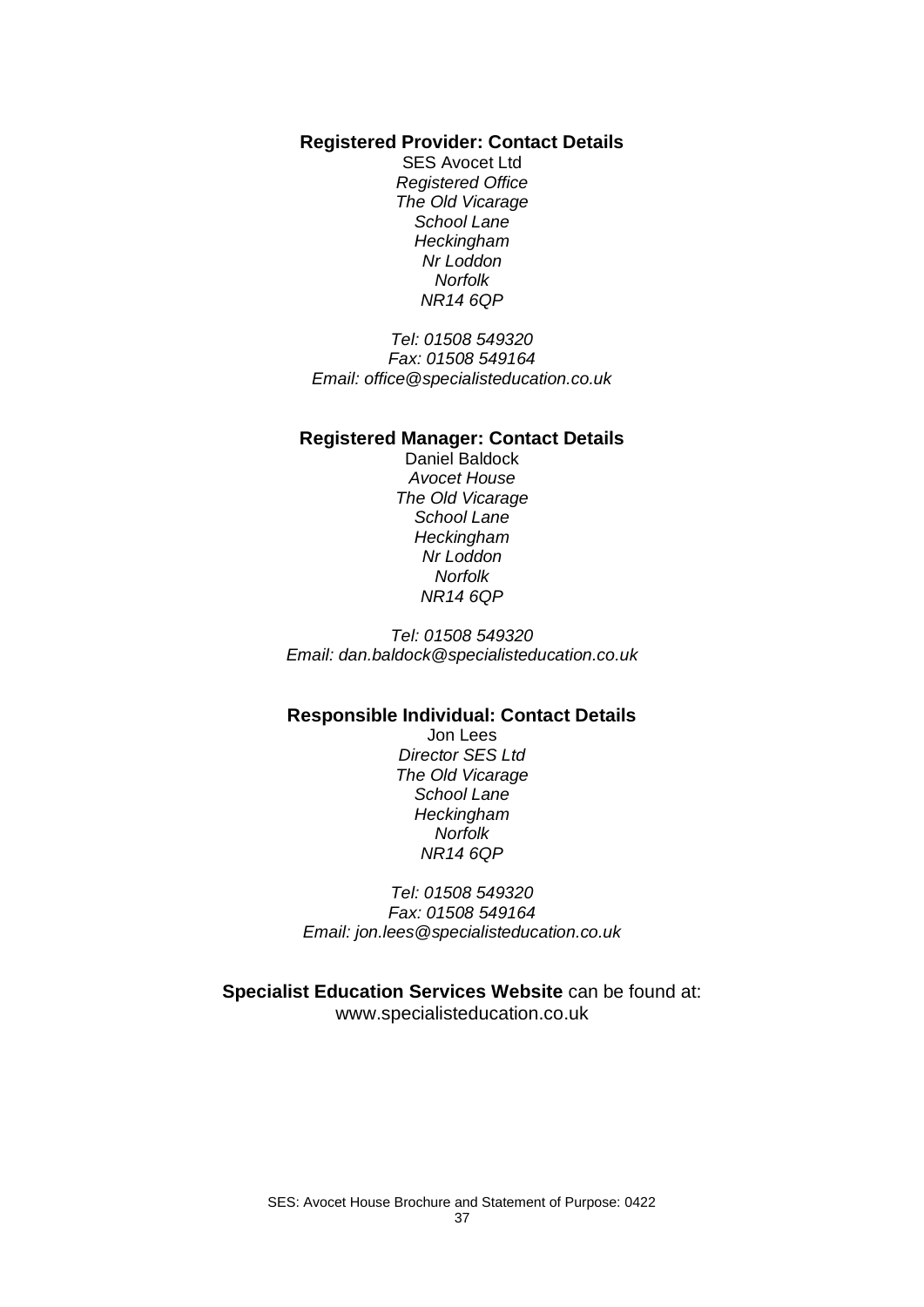**Registered Provider: Contact Details**

SES Avocet Ltd *Registered Office The Old Vicarage School Lane Heckingham Nr Loddon Norfolk NR14 6QP*

*Tel: 01508 549320 Fax: 01508 549164 Email: office@specialisteducation.co.uk*

#### **Registered Manager: Contact Details**

Daniel Baldock *Avocet House The Old Vicarage School Lane Heckingham Nr Loddon Norfolk NR14 6QP*

*Tel: 01508 549320 Email: dan.baldock@specialisteducation.co.uk*

#### **Responsible Individual: Contact Details**

Jon Lees *Director SES Ltd The Old Vicarage School Lane Heckingham Norfolk NR14 6QP*

*Tel: 01508 549320 Fax: 01508 549164 Email: jon.lees@specialisteducation.co.uk*

**Specialist Education Services Website** can be found at: www.specialisteducation.co.uk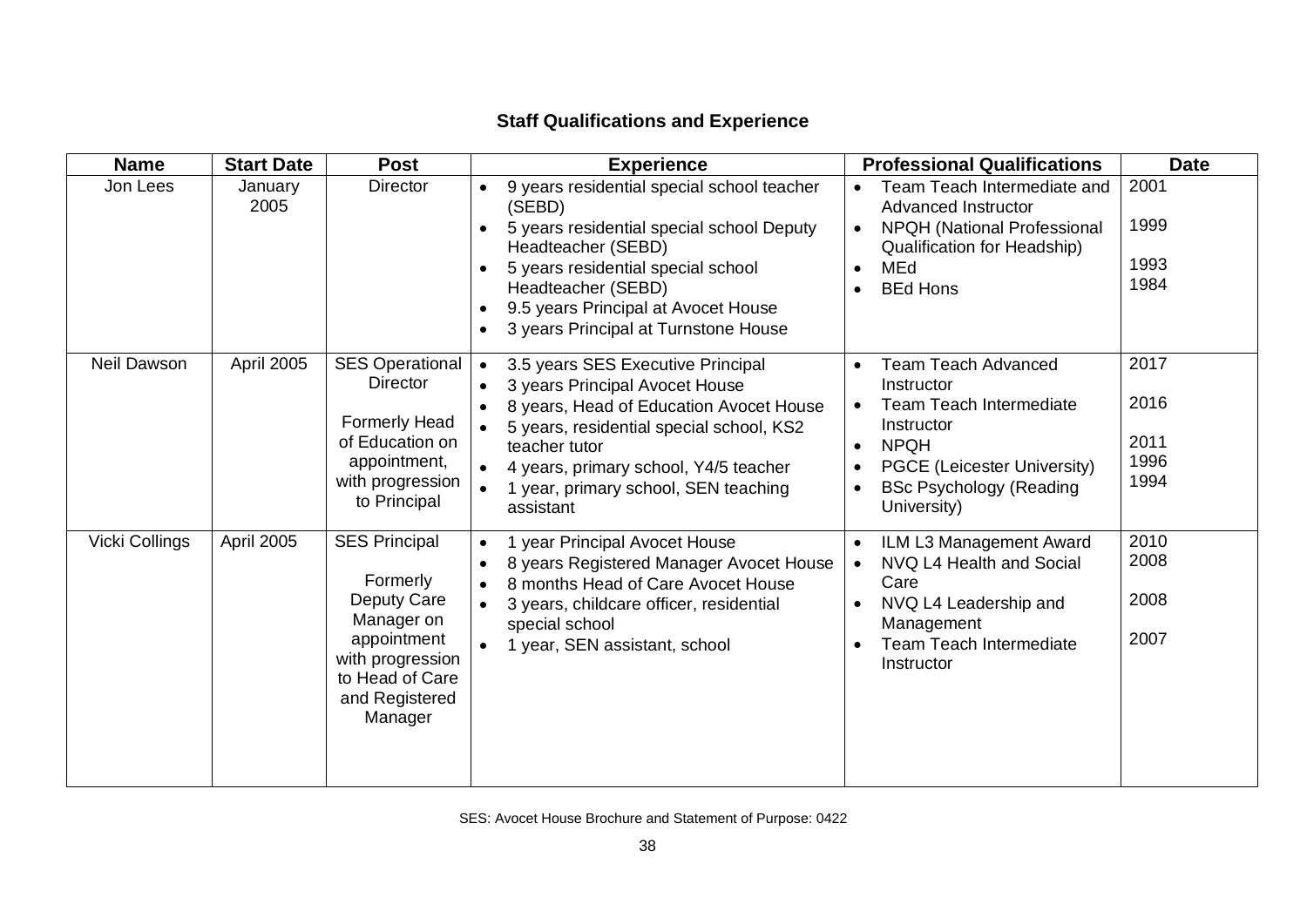# **Staff Qualifications and Experience**

| <b>Name</b>    | <b>Start Date</b> | <b>Post</b>                                                                                                                                      | <b>Experience</b>                                                                                                                                                                                                                                                                                   | <b>Professional Qualifications</b>                                                                                                                                                                                                                       | <b>Date</b>                          |
|----------------|-------------------|--------------------------------------------------------------------------------------------------------------------------------------------------|-----------------------------------------------------------------------------------------------------------------------------------------------------------------------------------------------------------------------------------------------------------------------------------------------------|----------------------------------------------------------------------------------------------------------------------------------------------------------------------------------------------------------------------------------------------------------|--------------------------------------|
| Jon Lees       | January<br>2005   | <b>Director</b>                                                                                                                                  | 9 years residential special school teacher<br>(SEBD)<br>5 years residential special school Deputy<br>Headteacher (SEBD)<br>5 years residential special school<br>Headteacher (SEBD)<br>9.5 years Principal at Avocet House<br>3 years Principal at Turnstone House                                  | Team Teach Intermediate and<br>$\bullet$<br><b>Advanced Instructor</b><br><b>NPQH (National Professional</b><br>$\bullet$<br><b>Qualification for Headship)</b><br>MEd<br>$\bullet$<br><b>BEd Hons</b><br>$\bullet$                                      | 2001<br>1999<br>1993<br>1984         |
| Neil Dawson    | April 2005        | <b>SES Operational</b><br><b>Director</b><br><b>Formerly Head</b><br>of Education on<br>appointment,<br>with progression<br>to Principal         | 3.5 years SES Executive Principal<br>$\bullet$<br>3 years Principal Avocet House<br>8 years, Head of Education Avocet House<br>$\bullet$<br>5 years, residential special school, KS2<br>teacher tutor<br>4 years, primary school, Y4/5 teacher<br>1 year, primary school, SEN teaching<br>assistant | <b>Team Teach Advanced</b><br>$\bullet$<br>Instructor<br>Team Teach Intermediate<br>$\bullet$<br>Instructor<br><b>NPQH</b><br>$\bullet$<br><b>PGCE (Leicester University)</b><br>$\bullet$<br><b>BSc Psychology (Reading</b><br>$\bullet$<br>University) | 2017<br>2016<br>2011<br>1996<br>1994 |
| Vicki Collings | April 2005        | <b>SES Principal</b><br>Formerly<br>Deputy Care<br>Manager on<br>appointment<br>with progression<br>to Head of Care<br>and Registered<br>Manager | 1 year Principal Avocet House<br>$\bullet$<br>8 years Registered Manager Avocet House<br>8 months Head of Care Avocet House<br>3 years, childcare officer, residential<br>$\bullet$<br>special school<br>1 year, SEN assistant, school<br>$\bullet$                                                 | ILM L3 Management Award<br>$\bullet$<br>NVQ L4 Health and Social<br>$\bullet$<br>Care<br>NVQ L4 Leadership and<br>$\bullet$<br>Management<br><b>Team Teach Intermediate</b><br>$\bullet$<br>Instructor                                                   | 2010<br>2008<br>2008<br>2007         |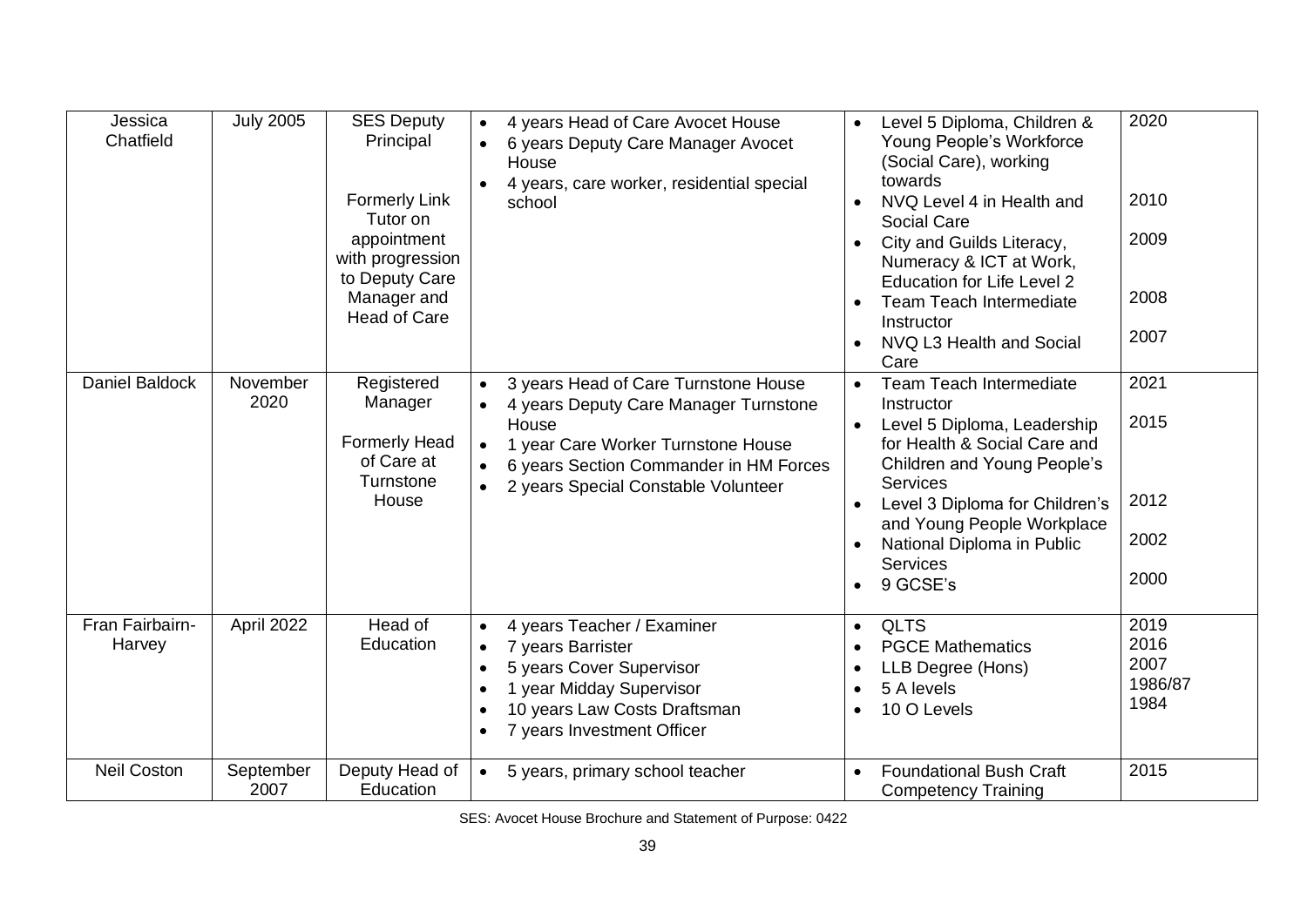| Jessica<br>Chatfield      | <b>July 2005</b>  | <b>SES Deputy</b><br>Principal<br><b>Formerly Link</b><br>Tutor on<br>appointment<br>with progression<br>to Deputy Care<br>Manager and<br><b>Head of Care</b> | 4 years Head of Care Avocet House<br>6 years Deputy Care Manager Avocet<br>House<br>4 years, care worker, residential special<br>school                                                                                    | 2020<br>Level 5 Diploma, Children &<br>Young People's Workforce<br>(Social Care), working<br>towards<br>2010<br>NVQ Level 4 in Health and<br>Social Care<br>2009<br>City and Guilds Literacy,<br>Numeracy & ICT at Work,<br><b>Education for Life Level 2</b><br>2008<br><b>Team Teach Intermediate</b><br>Instructor<br>2007<br>NVQ L3 Health and Social<br>Care   |         |
|---------------------------|-------------------|---------------------------------------------------------------------------------------------------------------------------------------------------------------|----------------------------------------------------------------------------------------------------------------------------------------------------------------------------------------------------------------------------|---------------------------------------------------------------------------------------------------------------------------------------------------------------------------------------------------------------------------------------------------------------------------------------------------------------------------------------------------------------------|---------|
| Daniel Baldock            | November<br>2020  | Registered<br>Manager<br><b>Formerly Head</b><br>of Care at<br>Turnstone<br>House                                                                             | 3 years Head of Care Turnstone House<br>4 years Deputy Care Manager Turnstone<br>House<br>1 year Care Worker Turnstone House<br>$\bullet$<br>6 years Section Commander in HM Forces<br>2 years Special Constable Volunteer | 2021<br><b>Team Teach Intermediate</b><br>$\bullet$<br>Instructor<br>2015<br>Level 5 Diploma, Leadership<br>for Health & Social Care and<br><b>Children and Young People's</b><br><b>Services</b><br>2012<br>Level 3 Diploma for Children's<br>and Young People Workplace<br>2002<br>National Diploma in Public<br><b>Services</b><br>2000<br>9 GCSE's<br>$\bullet$ |         |
| Fran Fairbairn-<br>Harvey | April 2022        | Head of<br>Education                                                                                                                                          | 4 years Teacher / Examiner<br>7 years Barrister<br>$\bullet$<br>5 years Cover Supervisor<br>$\bullet$<br>1 year Midday Supervisor<br>10 years Law Costs Draftsman<br>7 years Investment Officer                            | 2019<br><b>QLTS</b><br>$\bullet$<br>2016<br><b>PGCE Mathematics</b><br>$\bullet$<br>2007<br>LLB Degree (Hons)<br>$\bullet$<br>5 A levels<br>$\bullet$<br>1984<br>10 O Levels<br>$\bullet$                                                                                                                                                                           | 1986/87 |
| <b>Neil Coston</b>        | September<br>2007 | Deputy Head of<br>Education                                                                                                                                   | 5 years, primary school teacher<br>$\bullet$                                                                                                                                                                               | 2015<br><b>Foundational Bush Craft</b><br><b>Competency Training</b>                                                                                                                                                                                                                                                                                                |         |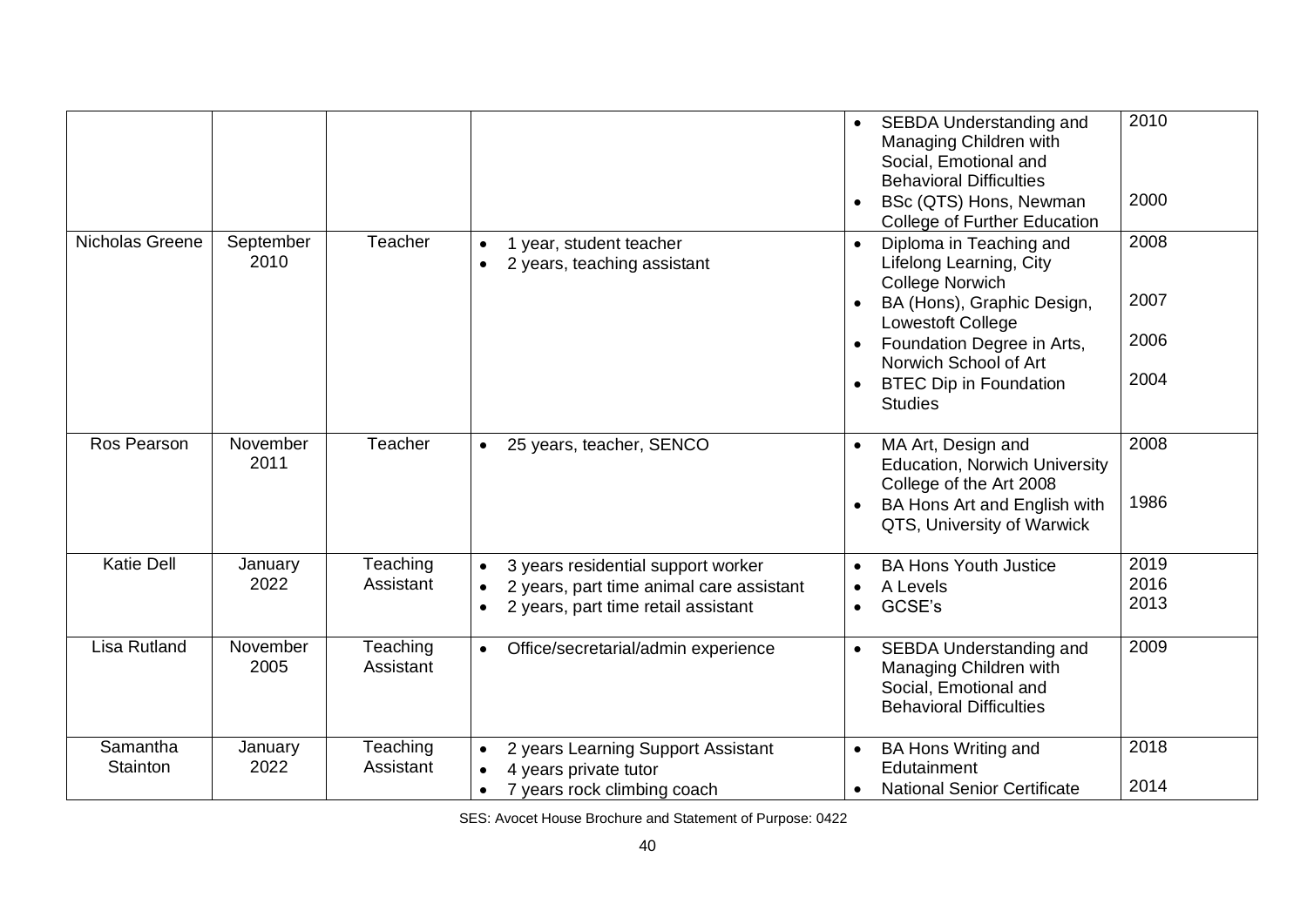|                      |                   |                       |                                                                                                                                                 | SEBDA Understanding and<br>Managing Children with<br>Social, Emotional and<br><b>Behavioral Difficulties</b><br>BSc (QTS) Hons, Newman<br>College of Further Education | 2010<br>2000         |
|----------------------|-------------------|-----------------------|-------------------------------------------------------------------------------------------------------------------------------------------------|------------------------------------------------------------------------------------------------------------------------------------------------------------------------|----------------------|
| Nicholas Greene      | September<br>2010 | Teacher               | year, student teacher<br>$\bullet$<br>2 years, teaching assistant<br>$\bullet$                                                                  | Diploma in Teaching and<br>$\bullet$<br>Lifelong Learning, City<br><b>College Norwich</b>                                                                              | 2008                 |
|                      |                   |                       |                                                                                                                                                 | BA (Hons), Graphic Design,<br>Lowestoft College                                                                                                                        | 2007                 |
|                      |                   |                       |                                                                                                                                                 | Foundation Degree in Arts,<br>Norwich School of Art                                                                                                                    | 2006                 |
|                      |                   |                       |                                                                                                                                                 | <b>BTEC Dip in Foundation</b><br><b>Studies</b>                                                                                                                        | 2004                 |
| Ros Pearson          | November<br>2011  | Teacher               | 25 years, teacher, SENCO<br>$\bullet$                                                                                                           | MA Art, Design and<br>$\bullet$<br><b>Education, Norwich University</b><br>College of the Art 2008<br>BA Hons Art and English with<br>QTS, University of Warwick       | 2008<br>1986         |
| <b>Katie Dell</b>    | January<br>2022   | Teaching<br>Assistant | 3 years residential support worker<br>2 years, part time animal care assistant<br>$\bullet$<br>2 years, part time retail assistant<br>$\bullet$ | <b>BA Hons Youth Justice</b><br>$\bullet$<br>A Levels<br>$\bullet$<br>GCSE's<br>$\bullet$                                                                              | 2019<br>2016<br>2013 |
| Lisa Rutland         | November<br>2005  | Teaching<br>Assistant | Office/secretarial/admin experience<br>$\bullet$                                                                                                | SEBDA Understanding and<br>$\bullet$<br>Managing Children with<br>Social, Emotional and<br><b>Behavioral Difficulties</b>                                              | 2009                 |
| Samantha<br>Stainton | January<br>2022   | Teaching<br>Assistant | 2 years Learning Support Assistant<br>4 years private tutor<br>$\bullet$                                                                        | <b>BA Hons Writing and</b><br>Edutainment                                                                                                                              | 2018                 |
|                      |                   |                       | 7 years rock climbing coach<br>$\bullet$                                                                                                        | <b>National Senior Certificate</b><br>$\bullet$                                                                                                                        | 2014                 |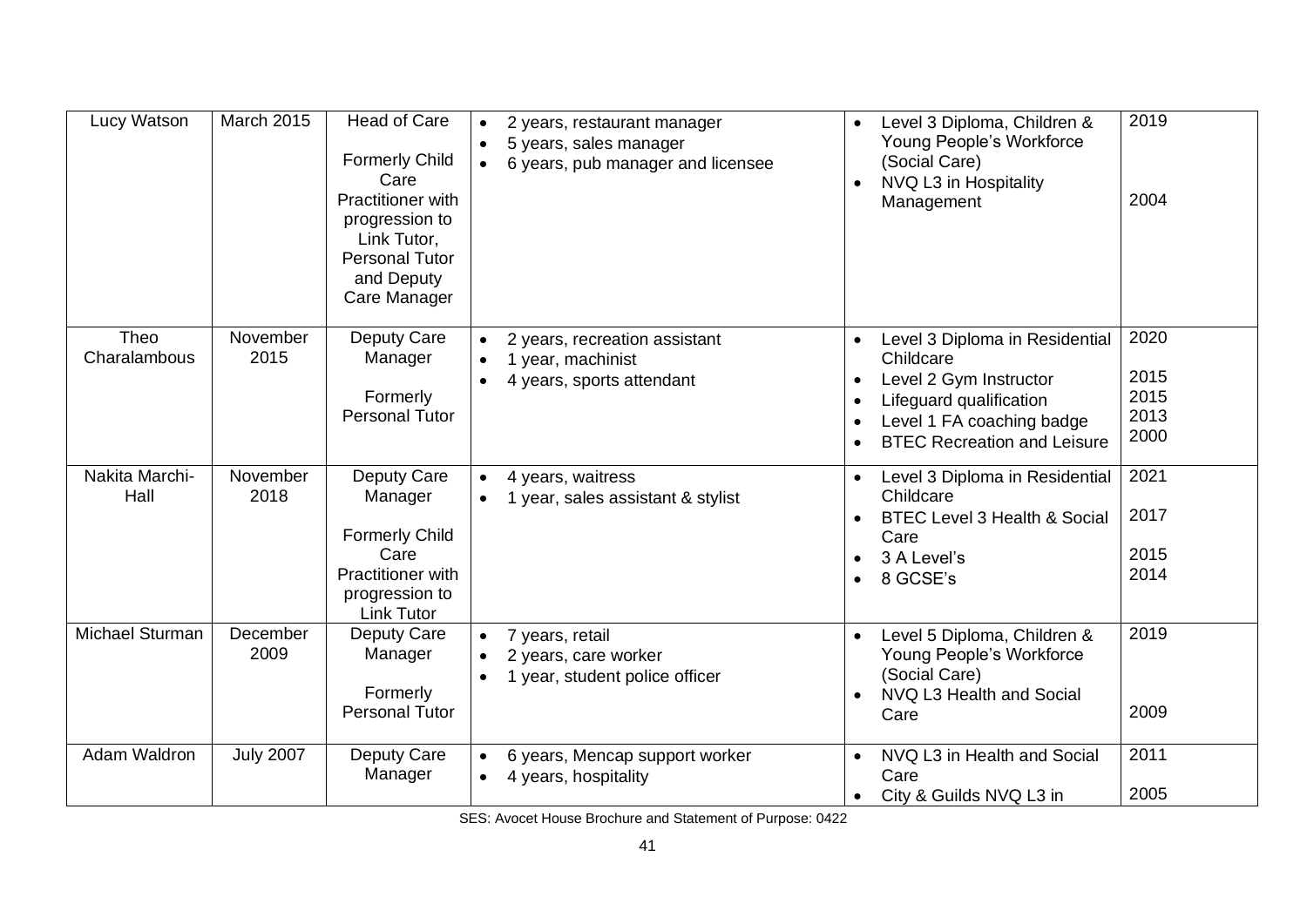| Lucy Watson            | <b>March 2015</b> | Head of Care<br><b>Formerly Child</b><br>Care<br>Practitioner with<br>progression to<br>Link Tutor,<br>Personal Tutor<br>and Deputy<br>Care Manager | 2 years, restaurant manager<br>$\bullet$<br>5 years, sales manager<br>6 years, pub manager and licensee | Level 3 Diploma, Children &<br>Young People's Workforce<br>(Social Care)<br>NVQ L3 in Hospitality<br>Management                                                                               | 2019<br>2004                         |
|------------------------|-------------------|-----------------------------------------------------------------------------------------------------------------------------------------------------|---------------------------------------------------------------------------------------------------------|-----------------------------------------------------------------------------------------------------------------------------------------------------------------------------------------------|--------------------------------------|
| Theo<br>Charalambous   | November<br>2015  | Deputy Care<br>Manager<br>Formerly<br>Personal Tutor                                                                                                | 2 years, recreation assistant<br>1 year, machinist<br>4 years, sports attendant                         | Level 3 Diploma in Residential<br>Childcare<br>Level 2 Gym Instructor<br>Lifeguard qualification<br>Level 1 FA coaching badge<br>$\bullet$<br><b>BTEC Recreation and Leisure</b><br>$\bullet$ | 2020<br>2015<br>2015<br>2013<br>2000 |
| Nakita Marchi-<br>Hall | November<br>2018  | Deputy Care<br>Manager<br><b>Formerly Child</b><br>Care<br><b>Practitioner with</b><br>progression to<br><b>Link Tutor</b>                          | 4 years, waitress<br>1 year, sales assistant & stylist                                                  | Level 3 Diploma in Residential<br>Childcare<br><b>BTEC Level 3 Health &amp; Social</b><br>Care<br>3 A Level's<br>8 GCSE's<br>$\bullet$                                                        | 2021<br>2017<br>2015<br>2014         |
| Michael Sturman        | December<br>2009  | Deputy Care<br>Manager<br>Formerly<br><b>Personal Tutor</b>                                                                                         | 7 years, retail<br>2 years, care worker<br>1 year, student police officer                               | Level 5 Diploma, Children &<br>$\bullet$<br>Young People's Workforce<br>(Social Care)<br>NVQ L3 Health and Social<br>Care                                                                     | 2019<br>2009                         |
| Adam Waldron           | <b>July 2007</b>  | Deputy Care<br>Manager                                                                                                                              | 6 years, Mencap support worker<br>4 years, hospitality                                                  | NVQ L3 in Health and Social<br>Care<br>City & Guilds NVQ L3 in<br>$\bullet$                                                                                                                   | 2011<br>2005                         |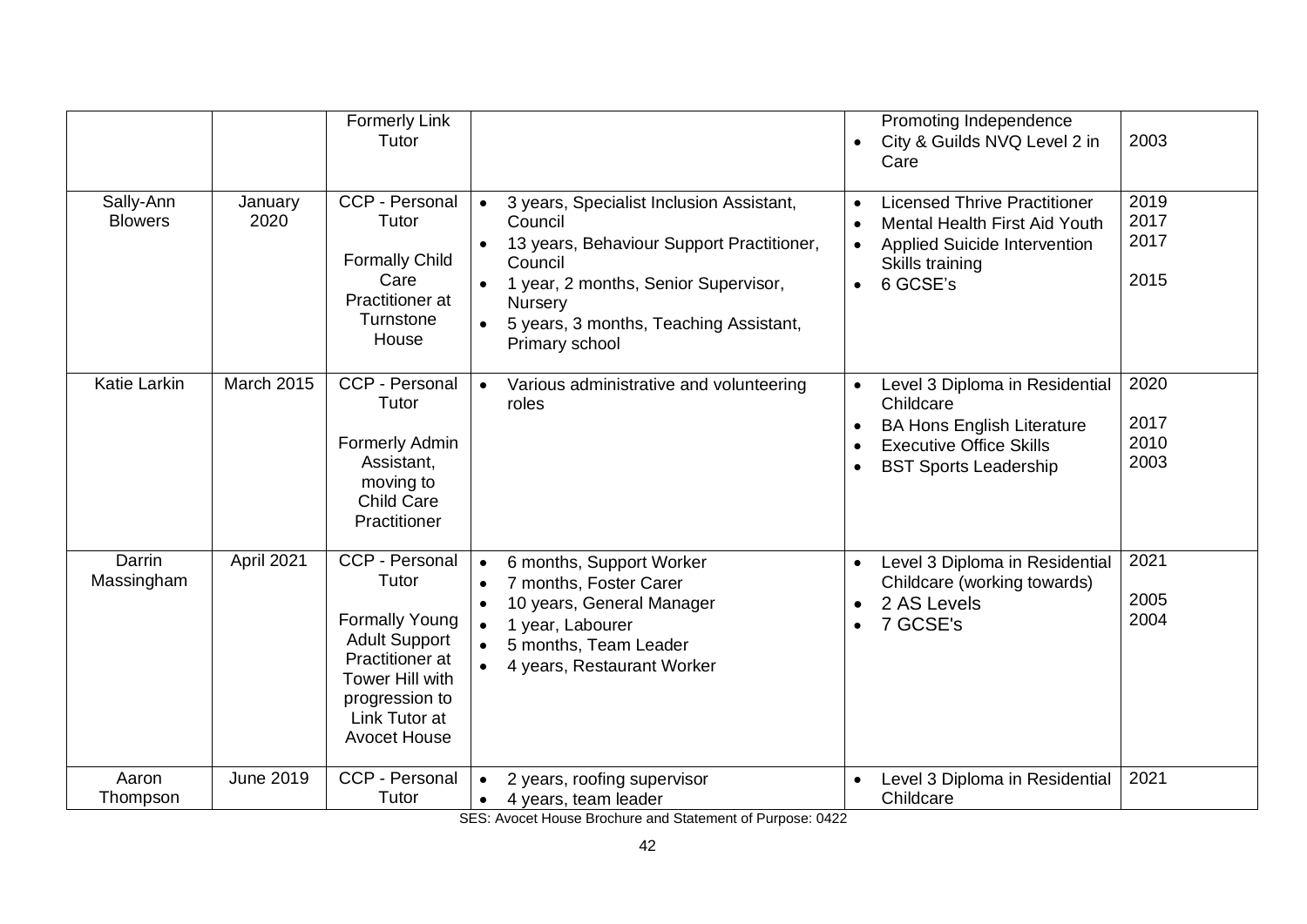|                             |                   | <b>Formerly Link</b><br>Tutor                                                                                                                                            | Care                                                                                                                                                                                                                                                                                        | Promoting Independence<br>2003<br>City & Guilds NVQ Level 2 in                                                                                                                     |
|-----------------------------|-------------------|--------------------------------------------------------------------------------------------------------------------------------------------------------------------------|---------------------------------------------------------------------------------------------------------------------------------------------------------------------------------------------------------------------------------------------------------------------------------------------|------------------------------------------------------------------------------------------------------------------------------------------------------------------------------------|
| Sally-Ann<br><b>Blowers</b> | January<br>2020   | CCP - Personal<br>Tutor<br><b>Formally Child</b><br>Care<br>Practitioner at<br>Turnstone<br>House                                                                        | 3 years, Specialist Inclusion Assistant,<br>$\bullet$<br>$\bullet$<br>Council<br>$\bullet$<br>13 years, Behaviour Support Practitioner,<br>Council<br>1 year, 2 months, Senior Supervisor,<br>$\bullet$<br>Nursery<br>5 years, 3 months, Teaching Assistant,<br>$\bullet$<br>Primary school | 2019<br><b>Licensed Thrive Practitioner</b><br>2017<br><b>Mental Health First Aid Youth</b><br>2017<br><b>Applied Suicide Intervention</b><br>Skills training<br>2015<br>6 GCSE's  |
| <b>Katie Larkin</b>         | <b>March 2015</b> | CCP - Personal<br>Tutor<br>Formerly Admin<br>Assistant,<br>moving to<br><b>Child Care</b><br>Practitioner                                                                | $\bullet$<br>Various administrative and volunteering<br>$\bullet$<br>roles<br>$\bullet$<br>$\bullet$<br>$\bullet$                                                                                                                                                                           | 2020<br>Level 3 Diploma in Residential<br>Childcare<br>2017<br><b>BA Hons English Literature</b><br>2010<br><b>Executive Office Skills</b><br>2003<br><b>BST Sports Leadership</b> |
| Darrin<br>Massingham        | April 2021        | CCP - Personal<br>Tutor<br><b>Formally Young</b><br><b>Adult Support</b><br>Practitioner at<br>Tower Hill with<br>progression to<br>Link Tutor at<br><b>Avocet House</b> | 6 months, Support Worker<br>$\bullet$<br>$\bullet$<br>7 months, Foster Carer<br>$\bullet$<br>10 years, General Manager<br>$\bullet$<br>$\bullet$<br>1 year, Labourer<br>$\bullet$<br>5 months, Team Leader<br>4 years, Restaurant Worker                                                    | 2021<br>Level 3 Diploma in Residential<br>Childcare (working towards)<br>2005<br>2 AS Levels<br>2004<br>7 GCSE's                                                                   |
| Aaron<br>Thompson           | <b>June 2019</b>  | CCP - Personal<br>Tutor                                                                                                                                                  | 2 years, roofing supervisor<br>$\bullet$<br>4 years, team leader<br>$\bullet$                                                                                                                                                                                                               | 2021<br>Level 3 Diploma in Residential<br>Childcare                                                                                                                                |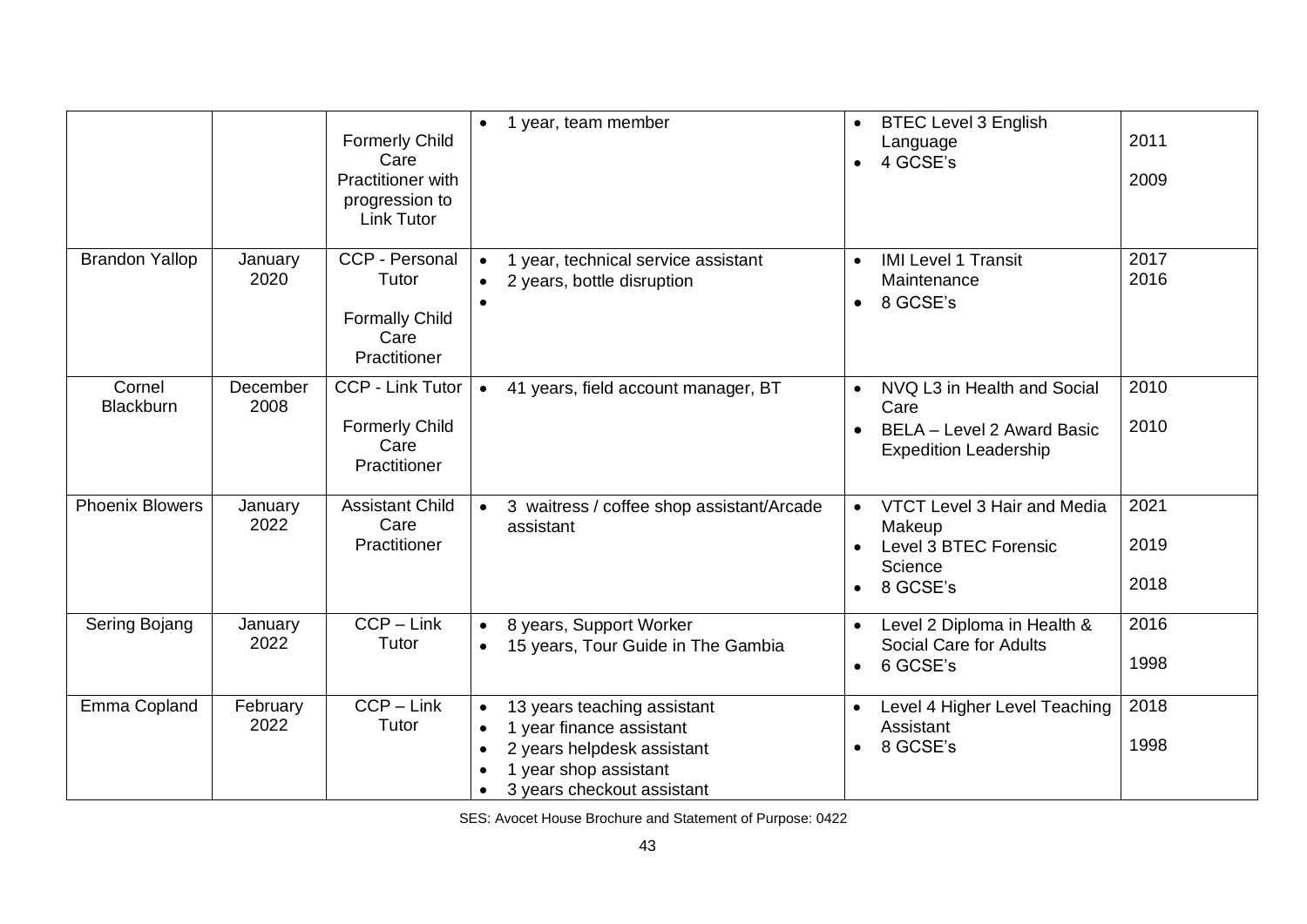|                        |                  | <b>Formerly Child</b><br>Care<br>Practitioner with<br>progression to<br><b>Link Tutor</b> | year, team member<br>$\bullet$                                                                                                                                         | <b>BTEC Level 3 English</b><br>Language<br>4 GCSE's                                                            | 2011<br>2009         |
|------------------------|------------------|-------------------------------------------------------------------------------------------|------------------------------------------------------------------------------------------------------------------------------------------------------------------------|----------------------------------------------------------------------------------------------------------------|----------------------|
| <b>Brandon Yallop</b>  | January<br>2020  | CCP - Personal<br>Tutor<br><b>Formally Child</b><br>Care<br>Practitioner                  | year, technical service assistant<br>$\bullet$<br>2 years, bottle disruption                                                                                           | <b>IMI Level 1 Transit</b><br>$\bullet$<br>Maintenance<br>8 GCSE's<br>$\bullet$                                | 2017<br>2016         |
| Cornel<br>Blackburn    | December<br>2008 | <b>CCP - Link Tutor</b><br><b>Formerly Child</b><br>Care<br>Practitioner                  | 41 years, field account manager, BT<br>$\bullet$                                                                                                                       | NVQ L3 in Health and Social<br>$\bullet$<br>Care<br>BELA - Level 2 Award Basic<br><b>Expedition Leadership</b> | 2010<br>2010         |
| <b>Phoenix Blowers</b> | January<br>2022  | <b>Assistant Child</b><br>Care<br>Practitioner                                            | 3 waitress / coffee shop assistant/Arcade<br>$\bullet$<br>assistant                                                                                                    | VTCT Level 3 Hair and Media<br>Makeup<br>Level 3 BTEC Forensic<br>$\bullet$<br>Science<br>8 GCSE's             | 2021<br>2019<br>2018 |
| Sering Bojang          | January<br>2022  | $CCP - Link$<br>Tutor                                                                     | 8 years, Support Worker<br>$\bullet$<br>15 years, Tour Guide in The Gambia<br>$\bullet$                                                                                | Level 2 Diploma in Health &<br>Social Care for Adults<br>6 GCSE's<br>$\bullet$                                 | 2016<br>1998         |
| Emma Copland           | February<br>2022 | $CCP - Link$<br>Tutor                                                                     | 13 years teaching assistant<br>$\bullet$<br>1 year finance assistant<br>$\bullet$<br>2 years helpdesk assistant<br>1 year shop assistant<br>3 years checkout assistant | Level 4 Higher Level Teaching<br>Assistant<br>8 GCSE's<br>$\bullet$                                            | 2018<br>1998         |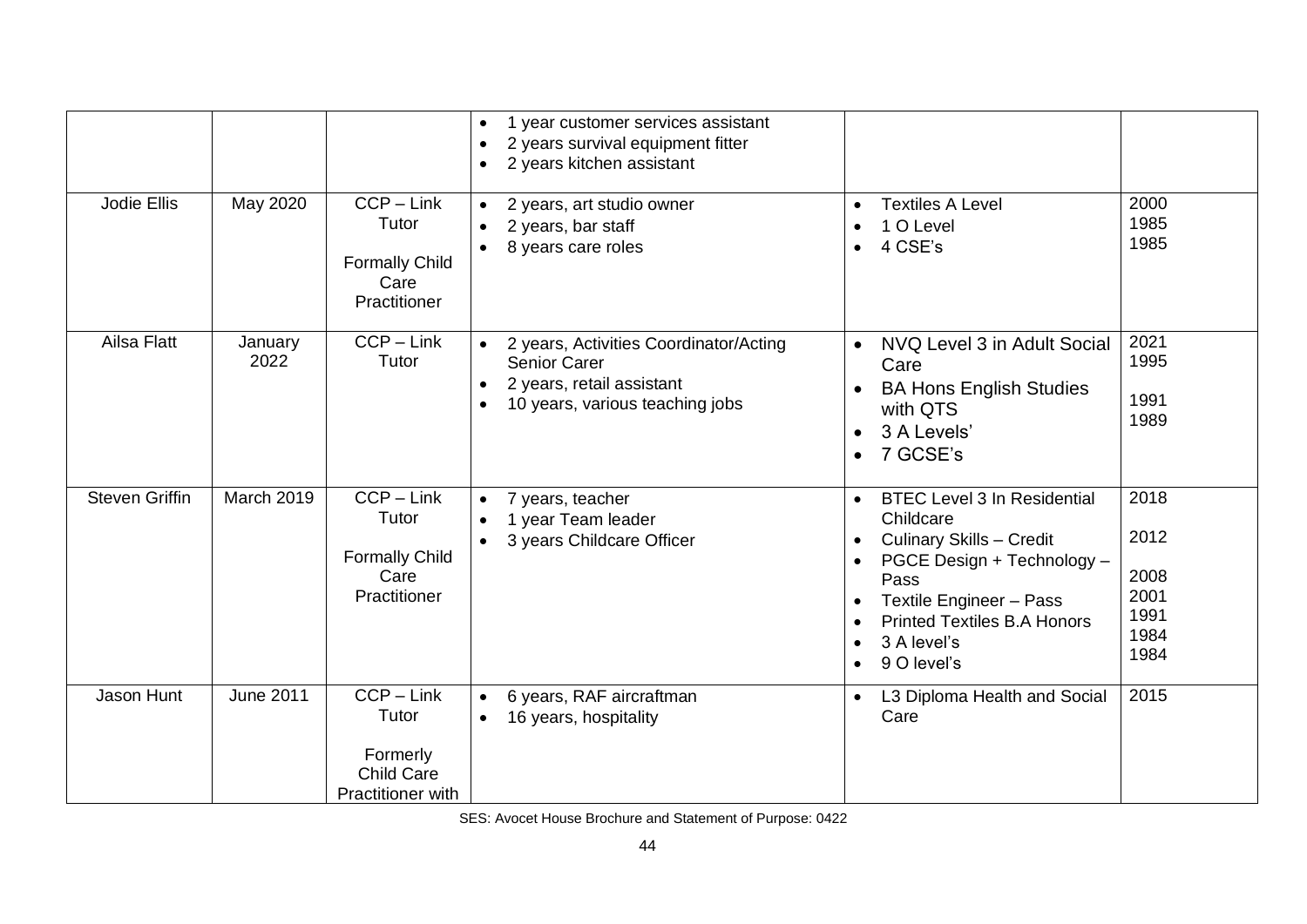|                       |                  |                                                                             | 1 year customer services assistant<br>2 years survival equipment fitter<br>2 years kitchen assistant                          |                                                                                                                                                                                                                                                                             |                                                      |
|-----------------------|------------------|-----------------------------------------------------------------------------|-------------------------------------------------------------------------------------------------------------------------------|-----------------------------------------------------------------------------------------------------------------------------------------------------------------------------------------------------------------------------------------------------------------------------|------------------------------------------------------|
| Jodie Ellis           | May 2020         | $CCP - Link$<br>Tutor<br><b>Formally Child</b><br>Care<br>Practitioner      | 2 years, art studio owner<br>2 years, bar staff<br>8 years care roles                                                         | <b>Textiles A Level</b><br>$\bullet$<br>1 O Level<br>$\bullet$<br>4 CSE's<br>$\bullet$                                                                                                                                                                                      | 2000<br>1985<br>1985                                 |
| Ailsa Flatt           | January<br>2022  | $CCP - Link$<br>Tutor                                                       | 2 years, Activities Coordinator/Acting<br><b>Senior Carer</b><br>2 years, retail assistant<br>10 years, various teaching jobs | NVQ Level 3 in Adult Social<br>$\bullet$<br>Care<br><b>BA Hons English Studies</b><br>with QTS<br>3 A Levels'<br>$\bullet$<br>7 GCSE's<br>$\bullet$                                                                                                                         | 2021<br>1995<br>1991<br>1989                         |
| <b>Steven Griffin</b> | March 2019       | $CCP - Link$<br>Tutor<br><b>Formally Child</b><br>Care<br>Practitioner      | 7 years, teacher<br>$\bullet$<br>1 year Team leader<br>3 years Childcare Officer                                              | <b>BTEC Level 3 In Residential</b><br>$\bullet$<br>Childcare<br><b>Culinary Skills - Credit</b><br>$\bullet$<br>PGCE Design + Technology -<br>Pass<br>Textile Engineer - Pass<br><b>Printed Textiles B.A Honors</b><br>3 A level's<br>$\bullet$<br>9 O level's<br>$\bullet$ | 2018<br>2012<br>2008<br>2001<br>1991<br>1984<br>1984 |
| Jason Hunt            | <b>June 2011</b> | $CCP - Link$<br>Tutor<br>Formerly<br><b>Child Care</b><br>Practitioner with | 6 years, RAF aircraftman<br>16 years, hospitality<br>$\bullet$                                                                | L3 Diploma Health and Social<br>Care                                                                                                                                                                                                                                        | 2015                                                 |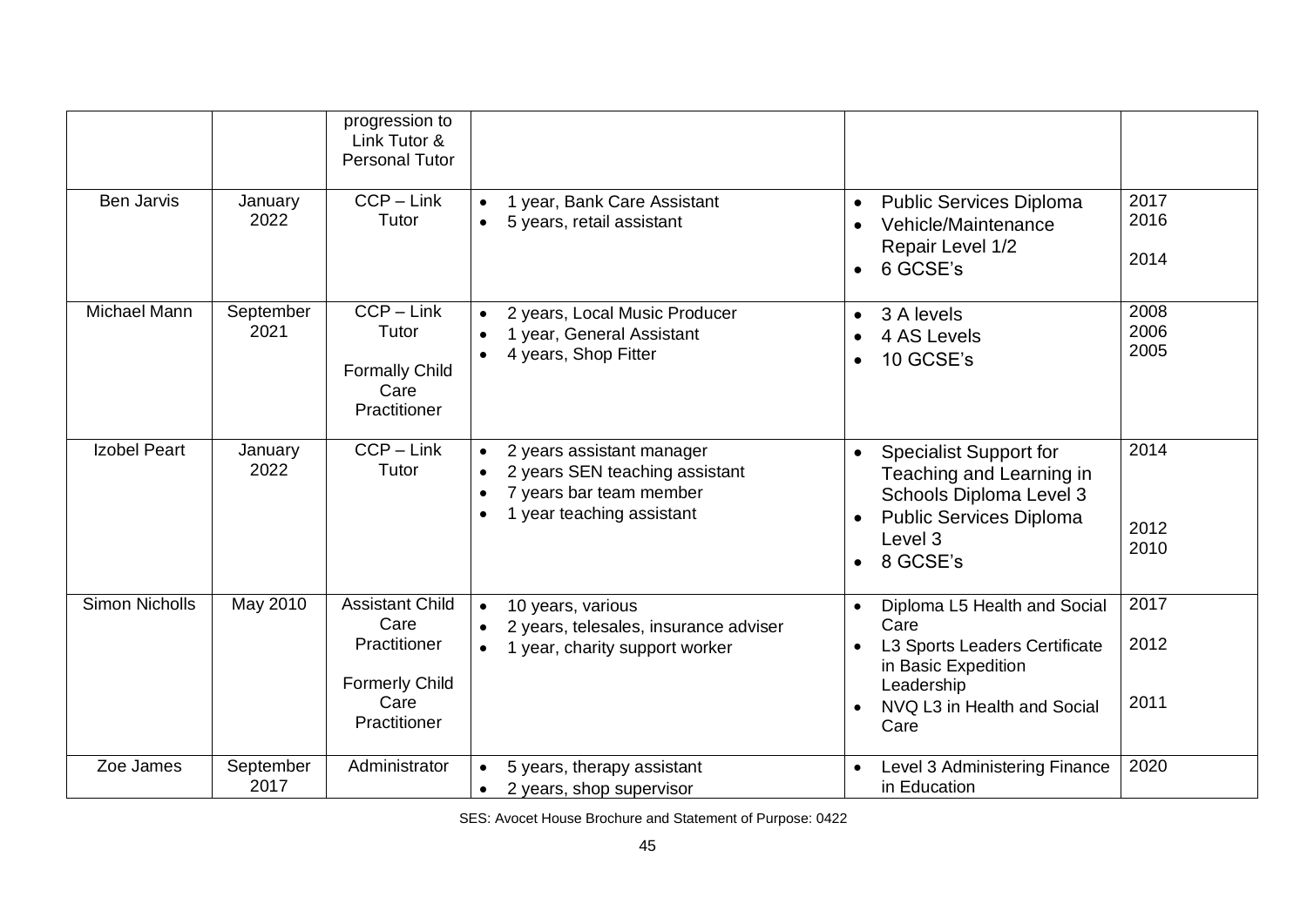|                       |                   | progression to<br>Link Tutor &<br><b>Personal Tutor</b>                                         |                                                                                                                                               |                                                                                                                                                                |                      |
|-----------------------|-------------------|-------------------------------------------------------------------------------------------------|-----------------------------------------------------------------------------------------------------------------------------------------------|----------------------------------------------------------------------------------------------------------------------------------------------------------------|----------------------|
| <b>Ben Jarvis</b>     | January<br>2022   | $CCP - Link$<br>Tutor                                                                           | 1 year, Bank Care Assistant<br>$\bullet$<br>5 years, retail assistant<br>$\bullet$                                                            | <b>Public Services Diploma</b><br>$\bullet$<br>Vehicle/Maintenance<br>Repair Level 1/2<br>6 GCSE's<br>$\bullet$                                                | 2017<br>2016<br>2014 |
| Michael Mann          | September<br>2021 | $CCP - Link$<br>Tutor<br><b>Formally Child</b><br>Care<br>Practitioner                          | 2 years, Local Music Producer<br>$\bullet$<br>1 year, General Assistant<br>$\bullet$<br>4 years, Shop Fitter<br>$\bullet$                     | 3 A levels<br>$\bullet$<br>4 AS Levels<br>10 GCSE's<br>$\bullet$                                                                                               | 2008<br>2006<br>2005 |
| <b>Izobel Peart</b>   | January<br>2022   | $CCP - Link$<br>Tutor                                                                           | 2 years assistant manager<br>2 years SEN teaching assistant<br>$\bullet$<br>7 years bar team member<br>$\bullet$<br>1 year teaching assistant | <b>Specialist Support for</b><br>Teaching and Learning in<br>Schools Diploma Level 3<br>Public Services Diploma<br>$\bullet$<br>Level 3<br>8 GCSE's            | 2014<br>2012<br>2010 |
| <b>Simon Nicholls</b> | May 2010          | <b>Assistant Child</b><br>Care<br>Practitioner<br><b>Formerly Child</b><br>Care<br>Practitioner | 10 years, various<br>$\bullet$<br>2 years, telesales, insurance adviser<br>1 year, charity support worker<br>$\bullet$                        | Diploma L5 Health and Social<br>Care<br>L3 Sports Leaders Certificate<br>$\bullet$<br>in Basic Expedition<br>Leadership<br>NVQ L3 in Health and Social<br>Care | 2017<br>2012<br>2011 |
| Zoe James             | September<br>2017 | Administrator                                                                                   | 5 years, therapy assistant<br>$\bullet$<br>2 years, shop supervisor<br>$\bullet$                                                              | Level 3 Administering Finance<br>in Education                                                                                                                  | 2020                 |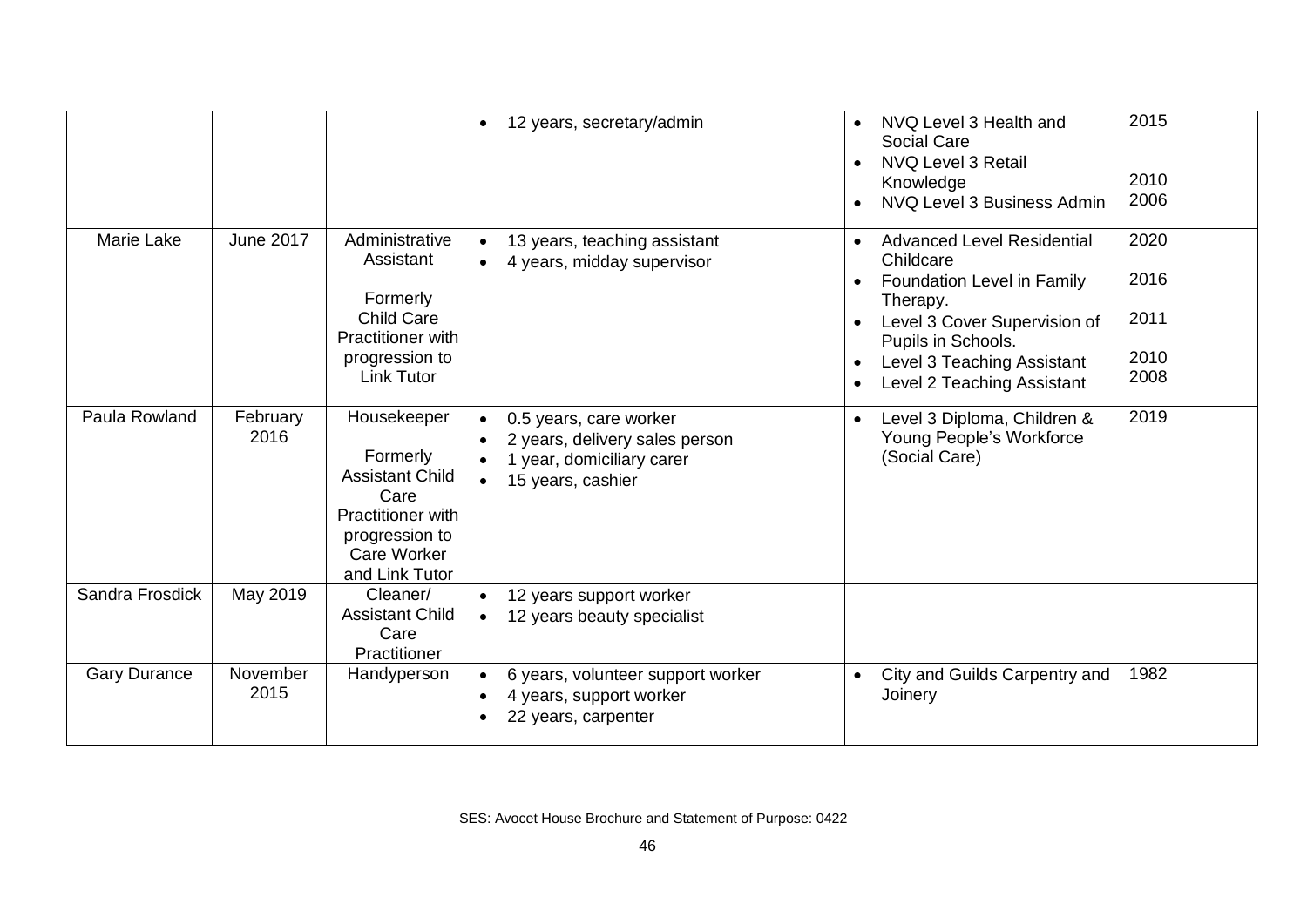|                     |                  |                                                                                                                                   | 12 years, secretary/admin<br>$\bullet$                                                                                               | NVQ Level 3 Health and<br><b>Social Care</b><br>NVQ Level 3 Retail<br>$\bullet$<br>Knowledge<br>NVQ Level 3 Business Admin                                                                | 2015<br>2010<br>2006         |
|---------------------|------------------|-----------------------------------------------------------------------------------------------------------------------------------|--------------------------------------------------------------------------------------------------------------------------------------|-------------------------------------------------------------------------------------------------------------------------------------------------------------------------------------------|------------------------------|
| Marie Lake          | <b>June 2017</b> | Administrative<br>Assistant<br>Formerly<br><b>Child Care</b><br>Practitioner with<br>progression to                               | 13 years, teaching assistant<br>$\bullet$<br>4 years, midday supervisor                                                              | <b>Advanced Level Residential</b><br>Childcare<br>Foundation Level in Family<br>Therapy.<br>Level 3 Cover Supervision of<br>Pupils in Schools.<br>Level 3 Teaching Assistant<br>$\bullet$ | 2020<br>2016<br>2011<br>2010 |
|                     |                  | <b>Link Tutor</b>                                                                                                                 |                                                                                                                                      | Level 2 Teaching Assistant<br>$\bullet$                                                                                                                                                   | 2008                         |
| Paula Rowland       | February<br>2016 | Housekeeper<br>Formerly<br><b>Assistant Child</b><br>Care<br>Practitioner with<br>progression to<br>Care Worker<br>and Link Tutor | 0.5 years, care worker<br>$\bullet$<br>2 years, delivery sales person<br>1 year, domiciliary carer<br>15 years, cashier<br>$\bullet$ | Level 3 Diploma, Children &<br>$\bullet$<br>Young People's Workforce<br>(Social Care)                                                                                                     | 2019                         |
| Sandra Frosdick     | May 2019         | Cleaner/<br><b>Assistant Child</b><br>Care<br>Practitioner                                                                        | 12 years support worker<br>12 years beauty specialist<br>$\bullet$                                                                   |                                                                                                                                                                                           |                              |
| <b>Gary Durance</b> | November<br>2015 | Handyperson                                                                                                                       | 6 years, volunteer support worker<br>$\bullet$<br>4 years, support worker<br>22 years, carpenter                                     | City and Guilds Carpentry and<br>$\bullet$<br>Joinery                                                                                                                                     | 1982                         |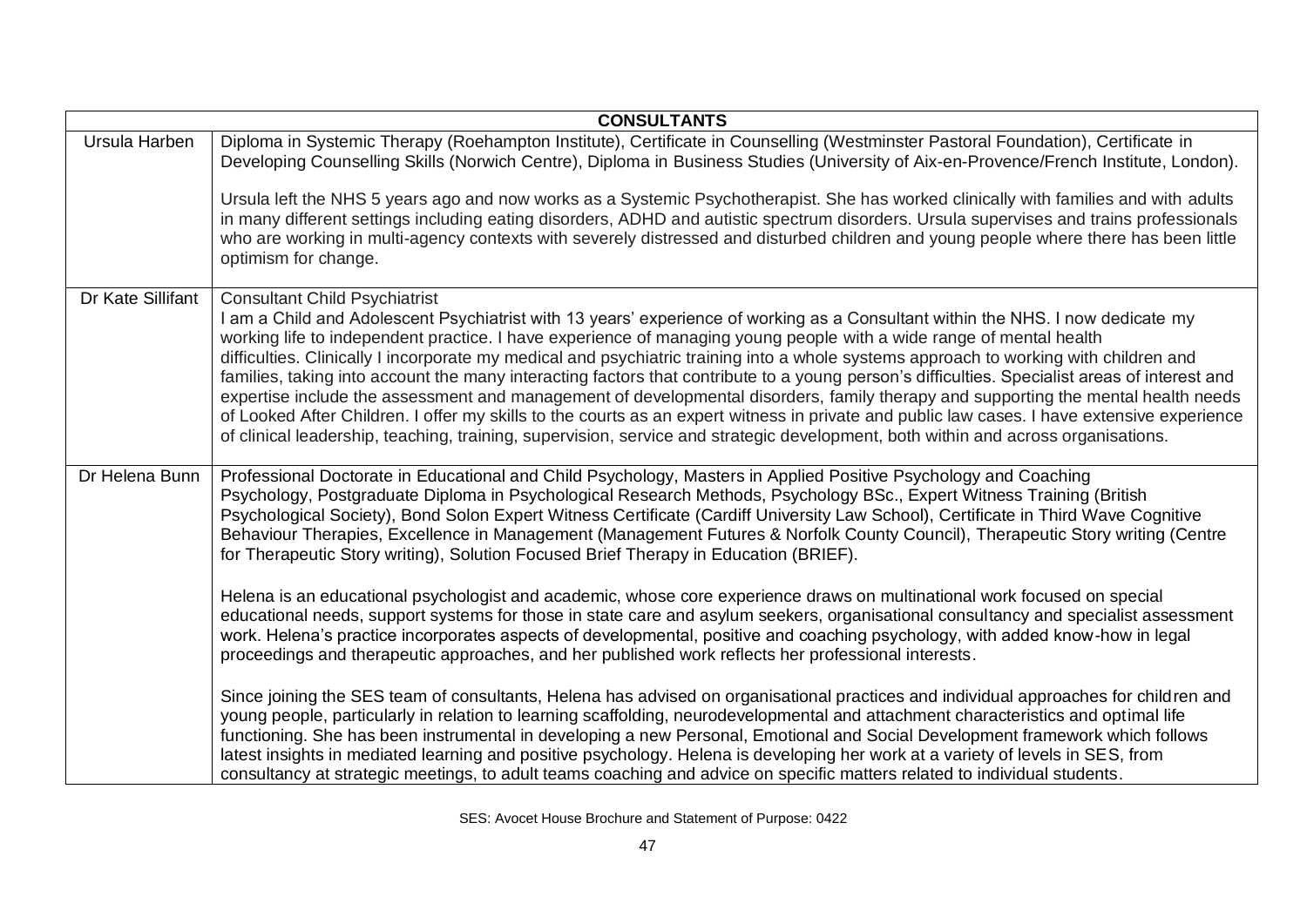|                   | <b>CONSULTANTS</b>                                                                                                                                                                                                                                                                                                                                                                                                                                                                                                                                                                                                                                                                                                                                                                                                                                                                                                                                                                                                |
|-------------------|-------------------------------------------------------------------------------------------------------------------------------------------------------------------------------------------------------------------------------------------------------------------------------------------------------------------------------------------------------------------------------------------------------------------------------------------------------------------------------------------------------------------------------------------------------------------------------------------------------------------------------------------------------------------------------------------------------------------------------------------------------------------------------------------------------------------------------------------------------------------------------------------------------------------------------------------------------------------------------------------------------------------|
| Ursula Harben     | Diploma in Systemic Therapy (Roehampton Institute), Certificate in Counselling (Westminster Pastoral Foundation), Certificate in<br>Developing Counselling Skills (Norwich Centre), Diploma in Business Studies (University of Aix-en-Provence/French Institute, London).                                                                                                                                                                                                                                                                                                                                                                                                                                                                                                                                                                                                                                                                                                                                         |
|                   | Ursula left the NHS 5 years ago and now works as a Systemic Psychotherapist. She has worked clinically with families and with adults<br>in many different settings including eating disorders, ADHD and autistic spectrum disorders. Ursula supervises and trains professionals<br>who are working in multi-agency contexts with severely distressed and disturbed children and young people where there has been little<br>optimism for change.                                                                                                                                                                                                                                                                                                                                                                                                                                                                                                                                                                  |
| Dr Kate Sillifant | <b>Consultant Child Psychiatrist</b><br>I am a Child and Adolescent Psychiatrist with 13 years' experience of working as a Consultant within the NHS. I now dedicate my<br>working life to independent practice. I have experience of managing young people with a wide range of mental health<br>difficulties. Clinically I incorporate my medical and psychiatric training into a whole systems approach to working with children and<br>families, taking into account the many interacting factors that contribute to a young person's difficulties. Specialist areas of interest and<br>expertise include the assessment and management of developmental disorders, family therapy and supporting the mental health needs<br>of Looked After Children. I offer my skills to the courts as an expert witness in private and public law cases. I have extensive experience<br>of clinical leadership, teaching, training, supervision, service and strategic development, both within and across organisations. |
| Dr Helena Bunn    | Professional Doctorate in Educational and Child Psychology, Masters in Applied Positive Psychology and Coaching<br>Psychology, Postgraduate Diploma in Psychological Research Methods, Psychology BSc., Expert Witness Training (British<br>Psychological Society), Bond Solon Expert Witness Certificate (Cardiff University Law School), Certificate in Third Wave Cognitive<br>Behaviour Therapies, Excellence in Management (Management Futures & Norfolk County Council), Therapeutic Story writing (Centre<br>for Therapeutic Story writing), Solution Focused Brief Therapy in Education (BRIEF).                                                                                                                                                                                                                                                                                                                                                                                                          |
|                   | Helena is an educational psychologist and academic, whose core experience draws on multinational work focused on special<br>educational needs, support systems for those in state care and asylum seekers, organisational consultancy and specialist assessment<br>work. Helena's practice incorporates aspects of developmental, positive and coaching psychology, with added know-how in legal<br>proceedings and therapeutic approaches, and her published work reflects her professional interests.                                                                                                                                                                                                                                                                                                                                                                                                                                                                                                           |
|                   | Since joining the SES team of consultants, Helena has advised on organisational practices and individual approaches for children and<br>young people, particularly in relation to learning scaffolding, neurodevelopmental and attachment characteristics and optimal life<br>functioning. She has been instrumental in developing a new Personal, Emotional and Social Development framework which follows<br>latest insights in mediated learning and positive psychology. Helena is developing her work at a variety of levels in SES, from<br>consultancy at strategic meetings, to adult teams coaching and advice on specific matters related to individual students.                                                                                                                                                                                                                                                                                                                                       |